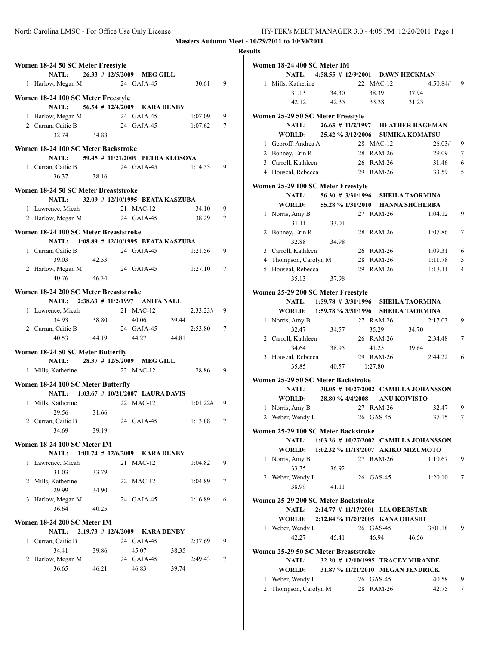|                                                                       |       |                                    |       |          |   | <b>Results</b> |
|-----------------------------------------------------------------------|-------|------------------------------------|-------|----------|---|----------------|
| Women 18-24 50 SC Meter Freestyle<br>NATL: 26.33 # 12/5/2009 MEG GILL |       |                                    |       |          |   | Wα             |
| 1 Harlow, Megan M                                                     |       | 24 GAJA-45                         |       | 30.61    | 9 |                |
|                                                                       |       |                                    |       |          |   |                |
| Women 18-24 100 SC Meter Freestyle<br>NATL:                           |       |                                    |       |          |   |                |
|                                                                       |       | 56.54 # 12/4/2009 KARA DENBY       |       |          |   |                |
| 1 Harlow, Megan M 24 GAJA-45                                          |       |                                    |       | 1:07.09  | 9 | Wс             |
| 2 Curran, Caitie B<br>32.74 34.88                                     |       | 24 GAJA-45                         |       | 1:07.62  | 7 |                |
|                                                                       |       |                                    |       |          |   |                |
| Women 18-24 100 SC Meter Backstroke                                   |       |                                    |       |          |   |                |
| NATL: 59.45 # 11/21/2009 PETRA KLOSOVA                                |       |                                    |       |          |   |                |
| 1 Curran, Caitie B 24 GAJA-45 1:14.53                                 |       |                                    |       |          | 9 |                |
| 36.37                                                                 | 38.16 |                                    |       |          |   |                |
| Women 18-24 50 SC Meter Breaststroke                                  |       |                                    |       |          |   | Wo             |
| <b>NATL:</b>                                                          |       | 32.09 # 12/10/1995 BEATA KASZUBA   |       |          |   |                |
| 1 Lawrence, Micah                                                     |       | 21 MAC-12                          |       | 34.10    | 9 |                |
| 2 Harlow, Megan M 24 GAJA-45                                          |       |                                    |       | 38.29    | 7 |                |
|                                                                       |       |                                    |       |          |   |                |
| Women 18-24 100 SC Meter Breaststroke                                 |       |                                    |       |          |   |                |
| NATL: 1:08.89 # 12/10/1995 BEATA KASZUBA                              |       |                                    |       |          |   |                |
| 1 Curran, Caitie B                                                    |       | 24 GAJA-45                         |       | 1:21.56  | 9 |                |
| 39.03                                                                 | 42.53 |                                    |       |          |   |                |
| 2 Harlow, Megan M                                                     |       | 24 GAJA-45 1:27.10                 |       |          | 7 |                |
| 40.76                                                                 | 46.34 |                                    |       |          |   |                |
| Women 18-24 200 SC Meter Breaststroke                                 |       |                                    |       |          |   | W <sub>0</sub> |
| NATL: 2:38.63 # 11/2/1997 ANITA NALL                                  |       |                                    |       |          |   |                |
| 1 Lawrence, Micah                                                     |       | 21 MAC-12                          |       | 2:33.23# | 9 |                |
| 34.93                                                                 | 38.80 | 40.06 39.44                        |       |          |   |                |
| 2 Curran, Caitie B                                                    |       | 24 GAJA-45                         |       | 2:53.80  | 7 |                |
| 40.53                                                                 | 44.19 | 44.27 44.81                        |       |          |   |                |
|                                                                       |       |                                    |       |          |   |                |
| Women 18-24 50 SC Meter Butterfly                                     |       |                                    |       |          |   |                |
| <b>NATL:</b>                                                          |       | 28.37 # 12/5/2009 MEG GILL         |       |          |   |                |
| 1 Mills, Katherine                                                    |       | 22 MAC-12                          |       | 28.86    | 9 |                |
| Women 18-24 100 SC Meter Butterfly                                    |       |                                    |       |          |   | Wс             |
| NATL: 1:03.67 # 10/21/2007 LAURA DAVIS                                |       |                                    |       |          |   |                |
| 1 Mills, Katherine                                                    |       | 22 MAC-12                          |       | 1:01.22# | 9 |                |
| 29.56 31.66                                                           |       |                                    |       |          |   |                |
| 2 Curran, Caitie B                                                    |       | 24 GAJA-45                         |       | 1:13.88  | 7 |                |
| 34.69                                                                 | 39.19 |                                    |       |          |   | Wα             |
|                                                                       |       |                                    |       |          |   |                |
| Women 18-24 100 SC Meter IM                                           |       |                                    |       |          |   |                |
| <b>NATL:</b>                                                          |       | $1:01.74$ # $12/6/2009$ KARA DENBY |       |          |   |                |
| 1 Lawrence, Micah                                                     |       | 21 MAC-12                          |       | 1:04.82  | 9 |                |
| 31.03                                                                 | 33.79 |                                    |       |          |   |                |
| 2 Mills, Katherine                                                    |       | 22 MAC-12                          |       | 1:04.89  | 7 |                |
| 29.99                                                                 | 34.90 |                                    |       |          |   |                |
| 3 Harlow, Megan M                                                     |       | 24 GAJA-45                         |       | 1:16.89  | 6 | Wα             |
| 36.64                                                                 | 40.25 |                                    |       |          |   |                |
| Women 18-24 200 SC Meter IM                                           |       |                                    |       |          |   |                |
| <b>NATL:</b>                                                          |       | 2:19.73 # 12/4/2009 KARA DENBY     |       |          |   |                |
| 1 Curran, Caitie B                                                    |       | 24 GAJA-45                         |       | 2:37.69  | 9 |                |
| 34.41                                                                 | 39.86 | 45.07                              | 38.35 |          |   | $\mathbf{W_0}$ |
| 2 Harlow, Megan M                                                     |       | 24 GAJA-45                         |       | 2:49.43  | 7 |                |
| 36.65                                                                 | 46.21 | 46.83                              | 39.74 |          |   |                |
|                                                                       |       |                                    |       |          |   |                |
|                                                                       |       |                                    |       |          |   |                |

|   | Women 18-24 400 SC Meter IM                |                                              |    |              |                        |          |                |
|---|--------------------------------------------|----------------------------------------------|----|--------------|------------------------|----------|----------------|
|   | <b>NATL:</b>                               | 4:58.55 # 12/9/2001 DAWN HECKMAN             |    |              |                        |          |                |
|   | 1 Mills, Katherine                         |                                              |    | 22 MAC-12    |                        | 4:50.84# | 9              |
|   | 31.13                                      | 34.30                                        |    | 38.39        | 37.94                  |          |                |
|   | 42.12                                      | 42.35                                        |    | 33.38        | 31.23                  |          |                |
|   |                                            |                                              |    |              |                        |          |                |
|   | Women 25-29 50 SC Meter Freestyle          |                                              |    |              |                        |          |                |
|   | <b>NATL:</b>                               | 26.63 # 11/2/1997 HEATHER HAGEMAN            |    |              |                        |          |                |
|   | <b>WORLD:</b>                              | 25.42 % 3/12/2006 SUMIKA KOMATSU             |    |              |                        |          |                |
|   | 1 Georoff, Andrea A                        |                                              |    | 28 MAC-12    |                        | 26.03#   | 9              |
|   | 2 Bonney, Erin R                           |                                              |    | 28 RAM-26    |                        | 29.09    | 7              |
|   | 3 Carroll, Kathleen                        |                                              |    | 26 RAM-26    |                        | 31.46    | 6              |
|   | 4 Houseal, Rebecca                         |                                              |    | 29 RAM-26    |                        | 33.59    | 5              |
|   |                                            |                                              |    |              |                        |          |                |
|   | Women 25-29 100 SC Meter Freestyle         |                                              |    |              |                        |          |                |
|   | <b>NATL:</b>                               | 56.30 # 3/31/1996 SHEILA TAORMINA            |    |              |                        |          |                |
|   | WORLD:                                     | 55.28 % 1/31/2010 HANNA SHCHERBA             |    |              |                        |          |                |
| 1 | Norris, Amy B                              |                                              |    | 27 RAM-26    |                        | 1:04.12  | 9              |
|   | 31.11                                      | 33.01                                        |    |              |                        |          |                |
| 2 | Bonney, Erin R                             |                                              |    | 28 RAM-26    |                        | 1:07.86  | 7              |
|   | 32.88                                      | 34.98                                        |    |              |                        |          |                |
|   | 3 Carroll, Kathleen                        |                                              |    | 26 RAM-26    |                        | 1:09.31  | 6              |
|   |                                            |                                              |    |              |                        |          |                |
|   | 4 Thompson, Carolyn M                      |                                              |    | 28 RAM-26    |                        | 1:11.78  | 5              |
|   | 5 Houseal, Rebecca                         |                                              |    | 29 RAM-26    |                        | 1:13.11  | $\overline{4}$ |
|   | 35.13                                      | 37.98                                        |    |              |                        |          |                |
|   | Women 25-29 200 SC Meter Freestyle         |                                              |    |              |                        |          |                |
|   | <b>NATL:</b>                               | 1:59.78 # 3/31/1996 SHEILA TAORMINA          |    |              |                        |          |                |
|   | WORLD:                                     | 1:59.78 % 3/31/1996                          |    |              | <b>SHEILA TAORMINA</b> |          |                |
|   | 1 Norris, Amy B                            |                                              |    | 27 RAM-26    |                        | 2:17.03  | 9              |
|   | 32.47                                      |                                              |    |              |                        |          |                |
|   |                                            | 34.57                                        |    | 35.29        | 34.70                  |          |                |
|   | 2 Carroll, Kathleen                        |                                              |    | 26 RAM-26    |                        | 2:34.48  | 7              |
|   | 34.64                                      | 38.95                                        |    | 41.25        | 39.64                  |          |                |
| 3 | Houseal, Rebecca                           |                                              |    | 29 RAM-26    |                        | 2:44.22  | 6              |
|   | 35.85                                      | 40.57                                        |    | 1:27.80      |                        |          |                |
|   | Women 25-29 50 SC Meter Backstroke         |                                              |    |              |                        |          |                |
|   | <b>NATL:</b>                               | 30.05 # 10/27/2002 CAMILLA JOHANSSON         |    |              |                        |          |                |
|   | <b>WORLD:</b>                              | 28.80 % 4/4/2008                             |    | ANU KOIVISTO |                        |          |                |
| 1 | Norris, Amy B                              |                                              |    | 27 RAM-26    |                        | 32.47    | 9              |
| 2 |                                            |                                              |    | $GAS-45$     |                        |          | 7              |
|   | Weber, Wendy L                             |                                              | 26 |              |                        | 37.15    |                |
|   | Women 25-29 100 SC Meter Backstroke        |                                              |    |              |                        |          |                |
|   |                                            | NATL: 1:03.26 # 10/27/2002 CAMILLA JOHANSSON |    |              |                        |          |                |
|   | WORLD: 1:02.32 % 11/18/2007 AKIKO MIZUMOTO |                                              |    |              |                        |          |                |
| 1 | Norris, Amy B                              |                                              |    | 27 RAM-26    |                        | 1:10.67  | 9              |
|   | 33.75                                      | 36.92                                        |    |              |                        |          |                |
|   | 2 Weber, Wendy L                           |                                              |    | 26 GAS-45    |                        | 1:20.10  | 7              |
|   | 38.99                                      | 41.11                                        |    |              |                        |          |                |
|   |                                            |                                              |    |              |                        |          |                |
|   | Women 25-29 200 SC Meter Backstroke        |                                              |    |              |                        |          |                |
|   |                                            | NATL: 2:14.77 # 11/17/2001 LIA OBERSTAR      |    |              |                        |          |                |
|   | WORLD: 2:12.84 % 11/20/2005 KANA OHASHI    |                                              |    |              |                        |          |                |
|   | 1 Weber, Wendy L                           |                                              |    | 26 GAS-45    |                        | 3:01.18  | 9              |
|   | 42.27                                      | 45.41                                        |    | 46.94        | 46.56                  |          |                |
|   |                                            |                                              |    |              |                        |          |                |
|   | Women 25-29 50 SC Meter Breaststroke       |                                              |    |              |                        |          |                |
|   | <b>NATL:</b>                               | 32.20 # 12/10/1995 TRACEY MIRANDE            |    |              |                        |          |                |
|   | WORLD: 31.87 % 11/21/2010 MEGAN JENDRICK   |                                              |    |              |                        |          |                |
| 1 | Weber, Wendy L                             |                                              |    | 26 GAS-45    |                        | 40.58    | 9              |
|   | 2 Thompson, Carolyn M                      |                                              |    | 28 RAM-26    |                        | 42.75    | 7              |
|   |                                            |                                              |    |              |                        |          |                |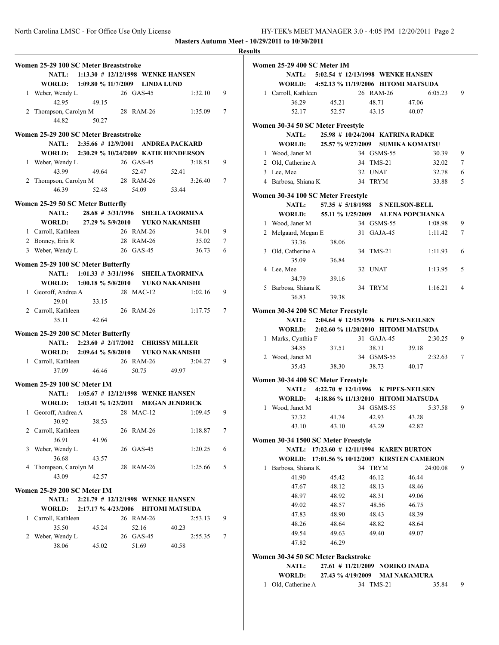|   | Women 25-29 100 SC Meter Breaststroke            |       |             | NATL: 1:13.30 # 12/12/1998 WENKE HANSEN     |   |
|---|--------------------------------------------------|-------|-------------|---------------------------------------------|---|
|   | WORLD: 1:09.80 % 11/7/2009 LINDA LUND            |       |             |                                             |   |
|   |                                                  |       |             |                                             |   |
|   | 1 Weber, Wendy L                                 | 49.15 | 26 GAS-45   | 1:32.10                                     | 9 |
|   | 42.95                                            |       |             |                                             |   |
|   | 2 Thompson, Carolyn M                            |       | 28 RAM-26   | 1:35.09                                     | 7 |
|   | 44.82                                            | 50.27 |             |                                             |   |
|   |                                                  |       |             |                                             |   |
|   | Women 25-29 200 SC Meter Breaststroke            |       |             |                                             |   |
|   |                                                  |       |             | NATL: 2:35.66 # 12/9/2001 ANDREA PACKARD    |   |
|   |                                                  |       |             | WORLD: 2:30.29 % 10/24/2009 KATIE HENDERSON |   |
|   |                                                  |       | 26 GAS-45   | 3:18.51                                     | 9 |
|   | 1 Weber, Wendy L<br>43.99 49.64                  |       | 52.47       | 52.41                                       |   |
|   | 2 Thompson, Carolyn M<br>46.39 52.48 54.09 53.44 |       |             | 3:26.40                                     | 7 |
|   |                                                  |       |             |                                             |   |
|   |                                                  |       |             |                                             |   |
|   | Women 25-29 50 SC Meter Butterfly                |       |             |                                             |   |
|   |                                                  |       |             | NATL: 28.68 # 3/31/1996 SHEILA TAORMINA     |   |
|   |                                                  |       |             |                                             |   |
|   |                                                  |       |             | WORLD: 27.29 % 5/9/2010 YUKO NAKANISHI      |   |
|   | 1 Carroll, Kathleen 26 RAM-26                    |       |             | 34.01                                       | 9 |
|   | 2 Bonney, Erin R                                 |       | 28 RAM-26   | 35.02                                       | 7 |
|   | 3 Weber, Wendy L 26 GAS-45                       |       |             | 36.73                                       | 6 |
|   |                                                  |       |             |                                             |   |
|   | Women 25-29 100 SC Meter Butterfly               |       |             |                                             |   |
|   |                                                  |       |             | NATL: 1:01.33 # 3/31/1996 SHEILA TAORMINA   |   |
|   |                                                  |       |             | WORLD: 1:00.18 % 5/8/2010 YUKO NAKANISHI    |   |
|   | 1 Georoff, Andrea A                              |       | 28 MAC-12   | 1:02.16                                     | 9 |
|   | 29.01                                            | 33.15 |             |                                             |   |
|   |                                                  |       |             |                                             |   |
|   | 2 Carroll, Kathleen                              |       | 26 RAM-26   | 1:17.75                                     | 7 |
|   | 35.11                                            | 42.64 |             |                                             |   |
|   | Women 25-29 200 SC Meter Butterfly               |       |             |                                             |   |
|   |                                                  |       |             |                                             |   |
|   |                                                  |       |             | NATL: 2:23.60 # 2/17/2002 CHRISSY MILLER    |   |
|   |                                                  |       |             | WORLD: 2:09.64 % 5/8/2010 YUKO NAKANISHI    |   |
|   | 1 Carroll, Kathleen                              |       | 26 RAM-26   | 3:04.27                                     | 9 |
|   | 37.09                                            | 46.46 | 50.75 49.97 |                                             |   |
|   |                                                  |       |             |                                             |   |
|   | Women 25-29 100 SC Meter IM                      |       |             |                                             |   |
|   |                                                  |       |             | NATL: 1:05.67 # 12/12/1998 WENKE HANSEN     |   |
|   |                                                  |       |             | WORLD: 1:03.41 % 1/23/2011 MEGAN JENDRICK   |   |
|   | 1 Georoff, Andrea A                              |       | 28 MAC-12   | 1:09.45                                     | 9 |
|   | 30.92                                            | 38.53 |             |                                             |   |
|   |                                                  |       |             |                                             |   |
|   | 2 Carroll, Kathleen                              |       | 26 RAM-26   | 1:18.87                                     | 7 |
|   | 36.91                                            | 41.96 |             |                                             |   |
| 3 | Weber, Wendy L                                   |       | 26 GAS-45   | 1:20.25                                     | 6 |
|   | 36.68                                            | 43.57 |             |                                             |   |
|   | 4 Thompson, Carolyn M                            |       | 28 RAM-26   | 1:25.66                                     | 5 |
|   | 43.09                                            | 42.57 |             |                                             |   |
|   |                                                  |       |             |                                             |   |
|   | Women 25-29 200 SC Meter IM                      |       |             |                                             |   |
|   | <b>NATL:</b>                                     |       |             | 2:21.79 # 12/12/1998 WENKE HANSEN           |   |
|   | <b>WORLD:</b>                                    |       |             | 2:17.17 % 4/23/2006 HITOMI MATSUDA          |   |
|   |                                                  |       |             |                                             |   |
|   | 1 Carroll, Kathleen                              |       | 26 RAM-26   | 2:53.13                                     | 9 |
|   | 35.50                                            | 45.24 | 52.16       | 40.23                                       |   |
|   | 2 Weber, Wendy L                                 |       | 26 GAS-45   | 2:55.35                                     | 7 |
|   | 38.06                                            | 45.02 | 51.69       | 40.58                                       |   |
|   |                                                  |       |             |                                             |   |
|   |                                                  |       |             |                                             |   |
|   |                                                  |       |             |                                             |   |
|   |                                                  |       |             |                                             |   |

|   | Women 25-29 400 SC Meter IM                       |                                         |    |                                 |                                            |                           |
|---|---------------------------------------------------|-----------------------------------------|----|---------------------------------|--------------------------------------------|---------------------------|
|   |                                                   | NATL: 5:02.54 # 12/13/1998 WENKE HANSEN |    |                                 |                                            |                           |
|   | WORLD: 4:52.13 % 11/19/2006 HITOMI MATSUDA        |                                         |    |                                 |                                            |                           |
|   | 1 Carroll, Kathleen                               |                                         |    | 26 RAM-26                       |                                            | 9<br>6:05.23              |
|   | 36.29                                             | 45.21                                   |    | 48.71                           | 47.06                                      |                           |
|   | 52.17                                             | 52.57                                   |    | 43.15                           | 40.07                                      |                           |
|   |                                                   |                                         |    |                                 |                                            |                           |
|   | Women 30-34 50 SC Meter Freestyle<br><b>NATL:</b> |                                         |    |                                 | 25.98 # 10/24/2004 KATRINA RADKE           |                           |
|   | WORLD:                                            | 25.57 % 9/27/2009                       |    |                                 | <b>SUMIKA KOMATSU</b>                      |                           |
|   |                                                   |                                         |    | 34 GSMS-55                      |                                            | 9                         |
|   | 1 Wood, Janet M                                   |                                         |    |                                 |                                            | 30.39                     |
|   | 2 Old, Catherine A                                |                                         |    | 34 TMS-21                       |                                            | 7<br>32.02                |
|   | 3 Lee, Mee                                        |                                         |    | 32 UNAT                         |                                            | 6<br>32.78                |
|   | 4 Barbosa, Shiana K                               |                                         |    | 34 TRYM                         |                                            | 5<br>33.88                |
|   | Women 30-34 100 SC Meter Freestyle                |                                         |    |                                 |                                            |                           |
|   | <b>NATL:</b>                                      |                                         |    |                                 | 57.35 # 5/18/1988 S NEILSON-BELL           |                           |
|   | WORLD: 55.11 % 1/25/2009 ALENA POPCHANKA          |                                         |    |                                 |                                            |                           |
|   | 1 Wood, Janet M                                   |                                         |    | 34 GSMS-55                      |                                            | 1:08.98<br>9              |
|   | 2 Melgaard, Megan E                               |                                         |    | 31 GAJA-45                      |                                            | 7<br>1:11.42              |
|   | 33.36                                             | 38.06                                   |    |                                 |                                            |                           |
|   | 3 Old, Catherine A                                |                                         |    | 34 TMS-21                       |                                            | 6<br>1:11.93              |
|   | 35.09                                             | 36.84                                   |    |                                 |                                            |                           |
|   | 4 Lee, Mee                                        |                                         |    | 32 UNAT                         |                                            | 5<br>1:13.95              |
|   | 34.79                                             | 39.16                                   |    |                                 |                                            |                           |
|   | 5 Barbosa, Shiana K                               |                                         | 34 | <b>TRYM</b>                     |                                            | $\overline{4}$<br>1:16.21 |
|   | 36.83                                             | 39.38                                   |    |                                 |                                            |                           |
|   |                                                   |                                         |    |                                 |                                            |                           |
|   | Women 30-34 200 SC Meter Freestyle                |                                         |    |                                 |                                            |                           |
|   |                                                   |                                         |    |                                 | NATL: 2:04.64 # 12/15/1996 K PIPES-NEILSEN |                           |
|   | WORLD: 2:02.60 % 11/20/2010 HITOMI MATSUDA        |                                         |    |                                 |                                            |                           |
|   | 1 Marks, Cynthia F                                |                                         |    | 31 GAJA-45                      |                                            | 2:30.25<br>9              |
|   | 34.85                                             | 37.51                                   |    | 38.71                           | 39.18                                      |                           |
|   | 2 Wood, Janet M                                   |                                         |    | 34 GSMS-55                      |                                            | 7<br>2:32.63              |
|   | 35.43                                             | 38.30                                   |    | 38.73                           | 40.17                                      |                           |
|   | Women 30-34 400 SC Meter Freestyle                |                                         |    |                                 |                                            |                           |
|   | NATL:                                             |                                         |    |                                 | 4:22.70 # 12/1/1996 K PIPES-NEILSEN        |                           |
|   | WORLD: 4:18.86 % 11/13/2010 HITOMI MATSUDA        |                                         |    |                                 |                                            |                           |
| 1 | Wood, Janet M                                     |                                         |    | 34 GSMS-55                      |                                            | 9<br>5:37.58              |
|   | 37.32                                             | 41.74                                   |    | 42.93                           |                                            |                           |
|   |                                                   |                                         |    |                                 | 43.28                                      |                           |
|   | 43.10                                             | 43.10                                   |    | 43.29                           | 42.82                                      |                           |
|   | Women 30-34 1500 SC Meter Freestyle               |                                         |    |                                 |                                            |                           |
|   | <b>NATL:</b>                                      | 17:23.60 # 12/11/1994 KAREN BURTON      |    |                                 |                                            |                           |
|   | WORLD: 17:01.56 % 10/12/2007 KIRSTEN CAMERON      |                                         |    |                                 |                                            |                           |
| 1 | Barbosa, Shiana K                                 |                                         |    | 34 TRYM                         | 24:00.08                                   | 9                         |
|   | 41.90                                             | 45.42                                   |    | 46.12                           | 46.44                                      |                           |
|   | 47.67                                             | 48.12                                   |    | 48.13                           | 48.46                                      |                           |
|   | 48.97                                             | 48.92                                   |    | 48.31                           | 49.06                                      |                           |
|   | 49.02                                             | 48.57                                   |    | 48.56                           | 46.75                                      |                           |
|   | 47.83                                             | 48.90                                   |    | 48.43                           | 48.39                                      |                           |
|   | 48.26                                             | 48.64                                   |    | 48.82                           | 48.64                                      |                           |
|   | 49.54                                             | 49.63                                   |    | 49.40                           | 49.07                                      |                           |
|   | 47.82                                             | 46.29                                   |    |                                 |                                            |                           |
|   |                                                   |                                         |    |                                 |                                            |                           |
|   | Women 30-34 50 SC Meter Backstroke                |                                         |    |                                 |                                            |                           |
|   | <b>NATL:</b>                                      |                                         |    | 27.61 # 11/21/2009 NORIKO INADA |                                            |                           |
|   | <b>WORLD:</b>                                     |                                         |    |                                 | 27.43 % 4/19/2009 MAI NAKAMURA             |                           |
| 1 | Old, Catherine A                                  |                                         |    | 34 TMS-21                       |                                            | 35.84<br>9                |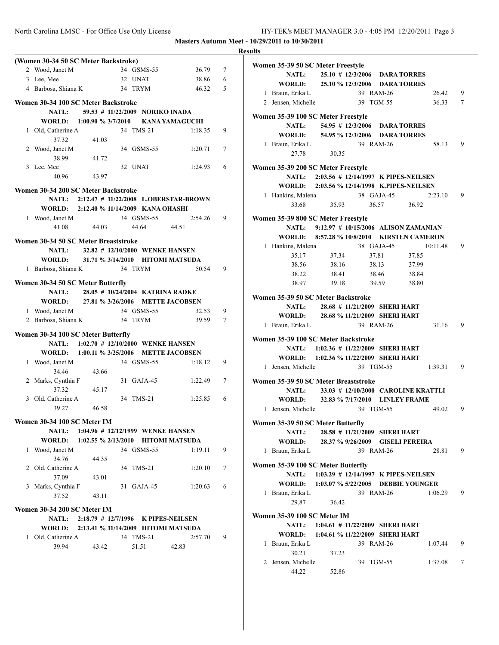| (Women 30-34 50 SC Meter Backstroke)                         |             |                                           |                                             |   |  |
|--------------------------------------------------------------|-------------|-------------------------------------------|---------------------------------------------|---|--|
| 2 Wood, Janet M                                              |             | 34 GSMS-55                                | 36.79                                       | 7 |  |
| 3 Lee, Mee                                                   |             | 32 UNAT                                   | 38.86                                       | 6 |  |
| 4 Barbosa, Shiana K 34 TRYM                                  |             |                                           | 46.32                                       | 5 |  |
| Women 30-34 100 SC Meter Backstroke                          |             |                                           |                                             |   |  |
| <b>NATL:</b>                                                 |             | 59.53 # 11/22/2009 NORIKO INADA           |                                             |   |  |
| WORLD: 1:00.90 % 3/7/2010 KANA YAMAGUCHI                     |             |                                           |                                             |   |  |
| 1 Old, Catherine A                                           |             | 34 TMS-21                                 | 1:18.35                                     | 9 |  |
| 37.32                                                        | 41.03       |                                           |                                             |   |  |
| 2 Wood, Janet M                                              |             | 34 GSMS-55                                | 1:20.71                                     | 7 |  |
| 38.99                                                        | 41.72       |                                           |                                             |   |  |
| 3 Lee, Mee                                                   |             | 32 UNAT                                   | 1:24.93                                     | 6 |  |
|                                                              | 40.96 43.97 |                                           |                                             |   |  |
| Women 30-34 200 SC Meter Backstroke                          |             |                                           |                                             |   |  |
|                                                              |             |                                           | NATL: 2:12.47 # 11/22/2008 L.OBERSTAR-BROWN |   |  |
| WORLD: 2:12.40 % 11/14/2009 KANA OHASHI                      |             |                                           |                                             |   |  |
| 1 Wood, Janet M                                              |             | 34 GSMS-55                                | 2:54.26                                     | 9 |  |
| 41.08                                                        | 44.03       | 44.64 44.51                               |                                             |   |  |
| Women 30-34 50 SC Meter Breaststroke                         |             |                                           |                                             |   |  |
|                                                              |             | NATL: 32.82 # 12/10/2000 WENKE HANSEN     |                                             |   |  |
| WORLD: 31.71 % 3/14/2010 HITOMI MATSUDA                      |             |                                           |                                             |   |  |
| 1 Barbosa, Shiana K                                          |             | 34 TRYM                                   | 50.54                                       | 9 |  |
|                                                              |             |                                           |                                             |   |  |
| Women 30-34 50 SC Meter Butterfly                            |             |                                           |                                             |   |  |
|                                                              |             | NATL: 28.05 # 10/24/2004 KATRINA RADKE    |                                             |   |  |
| WORLD: 27.81 % 3/26/2006 METTE JACOBSEN                      |             |                                           |                                             |   |  |
| 1 Wood, Janet M                                              |             | 34 GSMS-55<br>34 TRYM                     | 32.53                                       | 9 |  |
| 2 Barbosa, Shiana K                                          |             |                                           |                                             |   |  |
|                                                              |             |                                           | 39.59                                       | 7 |  |
|                                                              |             |                                           |                                             |   |  |
| Women 30-34 100 SC Meter Butterfly                           |             | NATL: 1:02.70 # 12/10/2000 WENKE HANSEN   |                                             |   |  |
|                                                              |             |                                           |                                             |   |  |
| WORLD: 1:00.11 % 3/25/2006 METTE JACOBSEN<br>1 Wood, Janet M |             | 34 GSMS-55                                | 1:18.12                                     | 9 |  |
| 34 46                                                        |             |                                           |                                             |   |  |
|                                                              | 43.66       | 31 GAJA-45                                | 1:22.49                                     | 7 |  |
| 2 Marks, Cynthia F<br>37.32                                  | 45.17       |                                           |                                             |   |  |
| 3 Old, Catherine A                                           |             | 34 TMS-21                                 | 1:25.85                                     | 6 |  |
| 39.27                                                        | 46.58       |                                           |                                             |   |  |
|                                                              |             |                                           |                                             |   |  |
| Women 30-34 100 SC Meter IM                                  |             |                                           |                                             |   |  |
|                                                              |             | NATL: 1:04.96 # 12/12/1999 WENKE HANSEN   |                                             |   |  |
|                                                              |             | WORLD: 1:02.55 % 2/13/2010 HITOMI MATSUDA |                                             |   |  |
| 1 Wood, Janet M                                              |             | 34 GSMS-55                                | 1:19.11                                     | 9 |  |
| 34.76                                                        | 44.35       |                                           |                                             |   |  |
| 2 Old, Catherine A                                           |             | 34 TMS-21                                 | 1:20.10                                     | 7 |  |
| 37.09                                                        | 43.01       |                                           |                                             |   |  |
| 3 Marks, Cynthia F                                           |             | 31 GAJA-45                                | 1:20.63                                     | 6 |  |
| 37.52                                                        | 43.11       |                                           |                                             |   |  |
| Women 30-34 200 SC Meter IM                                  |             |                                           |                                             |   |  |
| <b>NATL:</b>                                                 |             | 2:18.79 # 12/7/1996 K PIPES-NEILSEN       |                                             |   |  |
| <b>WORLD:</b>                                                |             | 2:13.41 % 11/14/2009 HITOMI MATSUDA       |                                             |   |  |
| 1 Old, Catherine A<br>39.94                                  | 43.42       | 34 TMS-21<br>51.51                        | 2:57.70<br>42.83                            | 9 |  |

| Women 35-39 50 SC Meter Freestyle    |                                             |           |            |                                            |                 |
|--------------------------------------|---------------------------------------------|-----------|------------|--------------------------------------------|-----------------|
| NATL:                                | 25.10 # 12/3/2006 DARA TORRES               |           |            |                                            |                 |
|                                      | WORLD: 25.10 % 12/3/2006 DARA TORRES        |           |            |                                            |                 |
| 1 Braun, Erika L                     |                                             | 39 RAM-26 |            | 26.42                                      | 9               |
| 2 Jensen, Michelle                   |                                             | 39 TGM-55 |            | 36.33                                      | $7\phantom{.0}$ |
|                                      |                                             |           |            |                                            |                 |
| Women 35-39 100 SC Meter Freestyle   |                                             |           |            |                                            |                 |
| <b>NATL:</b>                         | 54.95 # 12/3/2006 DARA TORRES               |           |            |                                            |                 |
|                                      | WORLD: 54.95 % 12/3/2006 DARA TORRES        |           |            |                                            |                 |
| 1 Braun, Erika L                     |                                             |           | 39 RAM-26  | 58.13                                      | 9               |
| 27.78                                | 30.35                                       |           |            |                                            |                 |
| Women 35-39 200 SC Meter Freestyle   |                                             |           |            |                                            |                 |
|                                      | NATL: 2:03.56 # 12/14/1997 K PIPES-NEILSEN  |           |            |                                            |                 |
|                                      | WORLD: 2:03.56 % 12/14/1998 K.PIPES-NEILSEN |           |            |                                            |                 |
| 1 Hankins, Malena                    |                                             |           | 38 GAJA-45 | 2:23.10                                    | 9               |
| 33.68                                | 35.93                                       |           | 36.57      | 36.92                                      |                 |
|                                      |                                             |           |            |                                            |                 |
| Women 35-39 800 SC Meter Freestyle   |                                             |           |            |                                            |                 |
|                                      |                                             |           |            | NATL: 9:12.97 # 10/15/2006 ALISON ZAMANIAN |                 |
|                                      |                                             |           |            | WORLD: 8:57.28 % 10/8/2010 KIRSTEN CAMERON |                 |
| $1$ Hankins, Malena<br>$27.17$ 37.34 |                                             |           | 38 GAJA-45 | 10:11.48                                   | 9               |
|                                      |                                             |           | 37.81      | 37.85                                      |                 |
| 38.56                                | 38.16                                       |           | 38.13      | 37.99                                      |                 |
| 38.22                                | 38.41                                       |           | 38.46      | 38.84                                      |                 |
| 38.97                                | 39.18 39.59                                 |           |            | 38.80                                      |                 |
| Women 35-39 50 SC Meter Backstroke   |                                             |           |            |                                            |                 |
|                                      | NATL: 28.68 # 11/21/2009 SHERI HART         |           |            |                                            |                 |
|                                      | WORLD: 28.68 % 11/21/2009 SHERI HART        |           |            |                                            |                 |
| 1 Braun, Erika L                     |                                             |           | 39 RAM-26  | 31.16                                      | 9               |
|                                      |                                             |           |            |                                            |                 |
| Women 35-39 100 SC Meter Backstroke  |                                             |           |            |                                            |                 |
|                                      | NATL: 1:02.36 # 11/22/2009 SHERI HART       |           |            |                                            |                 |
|                                      | WORLD: 1:02.36 % 11/22/2009 SHERI HART      |           |            |                                            |                 |
| 1 Jensen, Michelle                   |                                             |           | 39 TGM-55  | 1:39.31                                    | 9               |
| Women 35-39 50 SC Meter Breaststroke |                                             |           |            |                                            |                 |
|                                      |                                             |           |            | NATL: 33.03 # 12/10/2000 CAROLINE KRATTLI  |                 |
|                                      | WORLD: 32.83 % 7/17/2010 LINLEY FRAME       |           |            |                                            |                 |
| 1 Jensen, Michelle                   |                                             | 39 TGM-55 |            | 49.02                                      | 9               |
|                                      |                                             |           |            |                                            |                 |
| Women 35-39 50 SC Meter Butterfly    |                                             |           |            |                                            |                 |
| <b>NATL:</b>                         | 28.58 # 11/21/2009 SHERI HART               |           |            |                                            |                 |
| <b>WORLD:</b>                        | 28.37 % 9/26/2009 GISELI PEREIRA            |           |            |                                            |                 |
| 1 Braun, Erika L                     |                                             |           | 39 RAM-26  | 28.81                                      | 9               |
| Women 35-39 100 SC Meter Butterfly   |                                             |           |            |                                            |                 |
|                                      | NATL: 1:03.29 # 12/14/1997 K PIPES-NEILSEN  |           |            |                                            |                 |
|                                      | WORLD: 1:03.07 % 5/22/2005 DEBBIE YOUNGER   |           |            |                                            |                 |
| 1 Braun, Erika L                     |                                             |           | 39 RAM-26  | 1:06.29                                    | 9               |
| 29.87                                | 36.42                                       |           |            |                                            |                 |
|                                      |                                             |           |            |                                            |                 |
| Women 35-39 100 SC Meter IM          | NATL: 1:04.61 # 11/22/2009 SHERI HART       |           |            |                                            |                 |
|                                      |                                             |           |            |                                            |                 |
| 1 Braun, Erika L                     | WORLD: 1:04.61 % 11/22/2009 SHERI HART      |           | 39 RAM-26  | 1:07.44                                    | 9               |
| 30.21                                |                                             |           |            |                                            |                 |
| 2 Jensen, Michelle                   | 37.23                                       |           | 39 TGM-55  | 1:37.08                                    | 7               |
| 44.22                                | 52.86                                       |           |            |                                            |                 |
|                                      |                                             |           |            |                                            |                 |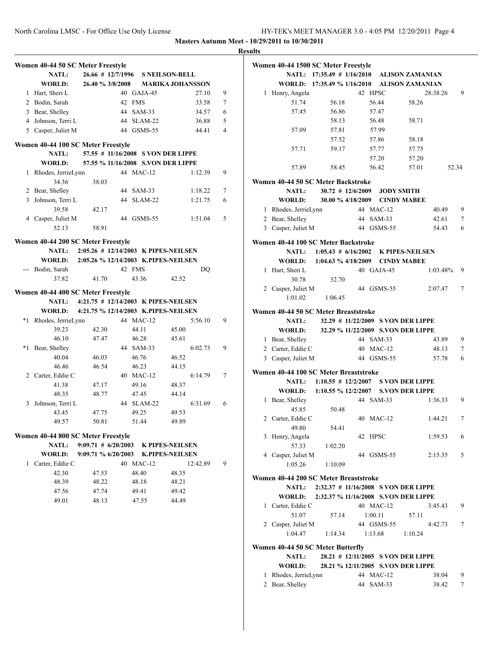|         |                                    |                                             |                    |                        |          |                | res |
|---------|------------------------------------|---------------------------------------------|--------------------|------------------------|----------|----------------|-----|
|         | Women 40-44 50 SC Meter Freestyle  |                                             |                    |                        |          |                |     |
|         | NATL:                              | 26.66 # 12/7/1996 S NEILSON-BELL            |                    |                        |          |                |     |
|         | <b>WORLD:</b>                      | 26.40 % 3/8/2008 MARIKA JOHANSSON           |                    |                        |          |                |     |
|         | 1 Hart, Sheri L                    |                                             | 40 GAJA-45         |                        | 27.10    | 9              |     |
|         | 2 Bodin, Sarah                     |                                             | 42 FMS             |                        | 33.58    | 7              |     |
|         | 3 Bear, Shelley                    |                                             | 44 SAM-33          |                        | 34.57    | 6              |     |
|         | 4 Johnson, Terri L                 |                                             | 44 SLAM-22         |                        | 36.88    | 5              |     |
|         | 5 Casper, Juliet M                 |                                             | 44 GSMS-55         |                        | 44.41    | $\overline{4}$ |     |
|         |                                    |                                             |                    |                        |          |                |     |
|         | Women 40-44 100 SC Meter Freestyle |                                             |                    |                        |          |                |     |
|         | NATL:                              | 57.55 # 11/16/2008 S VON DER LIPPE          |                    |                        |          |                |     |
|         | <b>WORLD:</b>                      | 57.55 % 11/16/2008 S.VON DER LIPPE          |                    |                        |          |                |     |
| 1       | Rhodes, JerrieLynn                 |                                             | 44 MAC-12          |                        | 1:12.39  | 9              |     |
|         | 34.36                              | 38.03                                       |                    |                        |          |                |     |
|         | 2 Bear, Shelley                    |                                             | 44 SAM-33          |                        | 1:18.22  | 7              |     |
|         | 3 Johnson, Terri L                 |                                             | 44 SLAM-22         |                        | 1:21.75  | 6              |     |
|         | 39.58                              | 42.17                                       |                    |                        |          |                |     |
|         | 4 Casper, Juliet M                 |                                             | 44 GSMS-55         |                        | 1:51.04  | 5              |     |
|         | 52.13                              | 58.91                                       |                    |                        |          |                |     |
|         | Women 40-44 200 SC Meter Freestyle |                                             |                    |                        |          |                |     |
|         | <b>NATL:</b>                       | 2:05.26 # 12/14/2003 K PIPES-NEILSEN        |                    |                        |          |                |     |
|         |                                    | WORLD: 2:05.26 % 12/14/2003 K.PIPES-NEILSEN |                    |                        |          |                |     |
|         | --- Bodin, Sarah                   |                                             | 42 FMS             |                        | DQ       |                |     |
|         | 37.82                              | 41.70                                       | 43.36              | 42.52                  |          |                |     |
|         |                                    |                                             |                    |                        |          |                |     |
|         | Women 40-44 400 SC Meter Freestyle |                                             |                    |                        |          |                |     |
|         |                                    | NATL: 4:21.75 # 12/14/2003 K PIPES-NEILSEN  |                    |                        |          |                |     |
|         | <b>WORLD:</b>                      | 4:21.75 % 12/14/2003 K.PIPES-NEILSEN        |                    |                        |          |                |     |
|         | *1 Rhodes, JerrieLynn              |                                             | 44 MAC-12          |                        | 5:56.10  | 9              |     |
|         | 39.23                              | 42.30                                       | 44.11              | 45.00                  |          |                |     |
|         | 46.10                              | 47.47                                       | 46.28              | 45.61                  |          |                |     |
| $*_{1}$ | Bear, Shelley                      |                                             | 44 SAM-33          |                        | 6:02.73  | 9              |     |
|         | 40.04                              | 46.03                                       | 46.76              | 46.52                  |          |                |     |
|         | 46.46                              | 46.54                                       | 46.23<br>40 MAC-12 | 44.15                  | 6:14.79  |                |     |
|         | 2 Carter, Eddie C                  |                                             |                    |                        |          | 7              |     |
|         | 41.38<br>48.35                     | 47.17<br>48.77                              | 49.16<br>47.45     | 48.37<br>44.14         |          |                |     |
| 3       | Johnson, Terri L                   |                                             | 44 SLAM-22         |                        | 6:31.69  | 6              |     |
|         |                                    | 47.75                                       | 49.25              | 49.53                  |          |                |     |
|         | 43.45<br>49.57                     | 50.81                                       | 51.44              | 49.89                  |          |                |     |
|         |                                    |                                             |                    |                        |          |                |     |
|         | Women 40-44 800 SC Meter Freestyle |                                             |                    |                        |          |                |     |
|         | <b>NATL:</b>                       | 9:09.71 # 6/20/2003 K PIPES-NEILSEN         |                    |                        |          |                |     |
|         | <b>WORLD:</b>                      | $9:09.71\%$ 6/20/2003                       |                    | <b>K.PIPES-NEILSEN</b> |          |                |     |
| 1       | Carter, Eddie C                    |                                             | 40 MAC-12          |                        | 12:42.89 | 9              |     |
|         | 42.30                              | 47.53                                       | 48.40              | 48.35                  |          |                |     |
|         | 48.39                              | 48.22                                       | 48.18              | 48.21                  |          |                |     |
|         | 47.56                              | 47.74                                       | 49.41              | 49.42                  |          |                |     |
|         | 49.01                              | 48.13                                       | 47.55              | 44.49                  |          |                |     |
|         |                                    |                                             |                    |                        |          |                |     |
|         |                                    |                                             |                    |                        |          |                |     |
|         |                                    |                                             |                    |                        |          |                |     |
|         |                                    |                                             |                    |                        |          |                |     |
|         |                                    |                                             |                    |                        |          |                |     |
|         |                                    |                                             |                    |                        |          |                |     |
|         |                                    |                                             |                    |                        |          |                |     |
|         |                                    |                                             |                    |                        |          |                |     |
|         |                                    |                                             |                    |                        |          |                |     |
|         |                                    |                                             |                    |                        |          |                |     |

|   | Women 40-44 1500 SC Meter Freestyle                                                                                                                                                                                                                                                                                                                                                                                                                                                                                                                                                                                                                                                                                                                                                                     |                                      |         |                   |                                    |          |       |
|---|---------------------------------------------------------------------------------------------------------------------------------------------------------------------------------------------------------------------------------------------------------------------------------------------------------------------------------------------------------------------------------------------------------------------------------------------------------------------------------------------------------------------------------------------------------------------------------------------------------------------------------------------------------------------------------------------------------------------------------------------------------------------------------------------------------|--------------------------------------|---------|-------------------|------------------------------------|----------|-------|
|   | NATL:                                                                                                                                                                                                                                                                                                                                                                                                                                                                                                                                                                                                                                                                                                                                                                                                   | 17:35.49 # 1/16/2010 ALISON ZAMANIAN |         |                   |                                    |          |       |
|   | WORLD:                                                                                                                                                                                                                                                                                                                                                                                                                                                                                                                                                                                                                                                                                                                                                                                                  | 17:35.49 % 1/16/2010                 |         |                   | <b>ALISON ZAMANIAN</b>             |          |       |
| 1 | Henry, Angela                                                                                                                                                                                                                                                                                                                                                                                                                                                                                                                                                                                                                                                                                                                                                                                           |                                      | 42 HPSC |                   |                                    | 28:38.26 | 9     |
|   | 51.74                                                                                                                                                                                                                                                                                                                                                                                                                                                                                                                                                                                                                                                                                                                                                                                                   | 56.18                                | 56.44   |                   | 58.26                              |          |       |
|   | 57.45                                                                                                                                                                                                                                                                                                                                                                                                                                                                                                                                                                                                                                                                                                                                                                                                   | 56.86                                | 57.47   |                   |                                    |          |       |
|   |                                                                                                                                                                                                                                                                                                                                                                                                                                                                                                                                                                                                                                                                                                                                                                                                         | 58.13                                | 56.48   |                   | 58.71                              |          |       |
|   | 57.09                                                                                                                                                                                                                                                                                                                                                                                                                                                                                                                                                                                                                                                                                                                                                                                                   | 57.81                                | 57.99   |                   |                                    |          |       |
|   |                                                                                                                                                                                                                                                                                                                                                                                                                                                                                                                                                                                                                                                                                                                                                                                                         | 57.52                                | 57.86   |                   | 58.18                              |          |       |
|   | 57.71                                                                                                                                                                                                                                                                                                                                                                                                                                                                                                                                                                                                                                                                                                                                                                                                   | 59.17                                | 57.77   |                   | 57.75                              |          |       |
|   |                                                                                                                                                                                                                                                                                                                                                                                                                                                                                                                                                                                                                                                                                                                                                                                                         |                                      | 57.20   |                   | 57.20                              |          |       |
|   | 57.89                                                                                                                                                                                                                                                                                                                                                                                                                                                                                                                                                                                                                                                                                                                                                                                                   | 58.45                                | 56.42   |                   | 57.01                              |          | 52.34 |
|   | Women 40-44 50 SC Meter Backstroke                                                                                                                                                                                                                                                                                                                                                                                                                                                                                                                                                                                                                                                                                                                                                                      |                                      |         |                   |                                    |          |       |
|   | <b>NATL:</b>                                                                                                                                                                                                                                                                                                                                                                                                                                                                                                                                                                                                                                                                                                                                                                                            | $30.72$ # 12/6/2009                  |         | <b>JODY SMITH</b> |                                    |          |       |
|   | <b>WORLD:</b>                                                                                                                                                                                                                                                                                                                                                                                                                                                                                                                                                                                                                                                                                                                                                                                           |                                      |         |                   | 30.00 % 4/18/2009 CINDY MABEE      |          |       |
|   | 1 Rhodes, JerrieLynn                                                                                                                                                                                                                                                                                                                                                                                                                                                                                                                                                                                                                                                                                                                                                                                    |                                      |         | 44 MAC-12         |                                    | 40.49    | 9     |
|   | 2 Bear, Shelley                                                                                                                                                                                                                                                                                                                                                                                                                                                                                                                                                                                                                                                                                                                                                                                         |                                      |         | 44 SAM-33         |                                    | 42.61    | 7     |
|   | 3 Casper, Juliet M                                                                                                                                                                                                                                                                                                                                                                                                                                                                                                                                                                                                                                                                                                                                                                                      |                                      |         | 44 GSMS-55        |                                    | 54.43    | 6     |
|   |                                                                                                                                                                                                                                                                                                                                                                                                                                                                                                                                                                                                                                                                                                                                                                                                         |                                      |         |                   |                                    |          |       |
|   | Women 40-44 100 SC Meter Backstroke                                                                                                                                                                                                                                                                                                                                                                                                                                                                                                                                                                                                                                                                                                                                                                     |                                      |         |                   |                                    |          |       |
|   | <b>NATL:</b>                                                                                                                                                                                                                                                                                                                                                                                                                                                                                                                                                                                                                                                                                                                                                                                            | $1:05.43 \# 6/16/2002$               |         |                   | <b>K PIPES-NEILSEN</b>             |          |       |
|   | <b>WORLD:</b>                                                                                                                                                                                                                                                                                                                                                                                                                                                                                                                                                                                                                                                                                                                                                                                           | $1:04.63 \% 4/18/2009$               |         |                   | <b>CINDY MABEE</b>                 |          |       |
| 1 | Hart, Sheri L                                                                                                                                                                                                                                                                                                                                                                                                                                                                                                                                                                                                                                                                                                                                                                                           |                                      |         | 40 GAJA-45        |                                    | 1:03.48% | 9     |
|   | 30.78                                                                                                                                                                                                                                                                                                                                                                                                                                                                                                                                                                                                                                                                                                                                                                                                   | 32.70                                |         |                   |                                    |          |       |
|   | 2 Casper, Juliet M                                                                                                                                                                                                                                                                                                                                                                                                                                                                                                                                                                                                                                                                                                                                                                                      |                                      |         | 44 GSMS-55        |                                    | 2:07.47  | 7     |
|   | 1:01.02                                                                                                                                                                                                                                                                                                                                                                                                                                                                                                                                                                                                                                                                                                                                                                                                 | 1:06.45                              |         |                   |                                    |          |       |
|   | Women 40-44 50 SC Meter Breaststroke                                                                                                                                                                                                                                                                                                                                                                                                                                                                                                                                                                                                                                                                                                                                                                    |                                      |         |                   |                                    |          |       |
|   | <b>NATL:</b>                                                                                                                                                                                                                                                                                                                                                                                                                                                                                                                                                                                                                                                                                                                                                                                            |                                      |         |                   | 32.29 # 11/22/2009 S VON DER LIPPE |          |       |
|   | WORLD:                                                                                                                                                                                                                                                                                                                                                                                                                                                                                                                                                                                                                                                                                                                                                                                                  |                                      |         |                   | 32.29 % 11/22/2009 S.VON DER LIPPE |          |       |
|   | 1 Bear, Shelley                                                                                                                                                                                                                                                                                                                                                                                                                                                                                                                                                                                                                                                                                                                                                                                         |                                      |         | 44 SAM-33         |                                    | 43.89    | 9     |
|   | 2 Carter, Eddie C                                                                                                                                                                                                                                                                                                                                                                                                                                                                                                                                                                                                                                                                                                                                                                                       |                                      |         | 40 MAC-12         |                                    | 48.13    | 7     |
|   | 3 Casper, Juliet M                                                                                                                                                                                                                                                                                                                                                                                                                                                                                                                                                                                                                                                                                                                                                                                      |                                      |         | 44 GSMS-55        |                                    | 57.78    | 6     |
|   |                                                                                                                                                                                                                                                                                                                                                                                                                                                                                                                                                                                                                                                                                                                                                                                                         |                                      |         |                   |                                    |          |       |
|   |                                                                                                                                                                                                                                                                                                                                                                                                                                                                                                                                                                                                                                                                                                                                                                                                         |                                      |         |                   |                                    |          |       |
|   |                                                                                                                                                                                                                                                                                                                                                                                                                                                                                                                                                                                                                                                                                                                                                                                                         |                                      |         |                   |                                    |          |       |
|   | WORLD:                                                                                                                                                                                                                                                                                                                                                                                                                                                                                                                                                                                                                                                                                                                                                                                                  |                                      |         |                   |                                    |          |       |
| 1 |                                                                                                                                                                                                                                                                                                                                                                                                                                                                                                                                                                                                                                                                                                                                                                                                         |                                      |         |                   |                                    | 1:36.33  | 9     |
|   | 45.85                                                                                                                                                                                                                                                                                                                                                                                                                                                                                                                                                                                                                                                                                                                                                                                                   |                                      |         |                   |                                    |          |       |
|   |                                                                                                                                                                                                                                                                                                                                                                                                                                                                                                                                                                                                                                                                                                                                                                                                         |                                      |         |                   |                                    | 1:44.21  | 7     |
|   | 49.80                                                                                                                                                                                                                                                                                                                                                                                                                                                                                                                                                                                                                                                                                                                                                                                                   |                                      |         |                   |                                    |          |       |
|   |                                                                                                                                                                                                                                                                                                                                                                                                                                                                                                                                                                                                                                                                                                                                                                                                         |                                      |         |                   |                                    | 1:59.53  | 6     |
|   | 57.33                                                                                                                                                                                                                                                                                                                                                                                                                                                                                                                                                                                                                                                                                                                                                                                                   |                                      |         |                   |                                    |          |       |
|   |                                                                                                                                                                                                                                                                                                                                                                                                                                                                                                                                                                                                                                                                                                                                                                                                         |                                      |         |                   |                                    | 2:15.35  | 5     |
|   | 1:05.26                                                                                                                                                                                                                                                                                                                                                                                                                                                                                                                                                                                                                                                                                                                                                                                                 |                                      |         |                   |                                    |          |       |
|   |                                                                                                                                                                                                                                                                                                                                                                                                                                                                                                                                                                                                                                                                                                                                                                                                         |                                      |         |                   |                                    |          |       |
|   |                                                                                                                                                                                                                                                                                                                                                                                                                                                                                                                                                                                                                                                                                                                                                                                                         |                                      |         |                   |                                    |          |       |
|   |                                                                                                                                                                                                                                                                                                                                                                                                                                                                                                                                                                                                                                                                                                                                                                                                         |                                      |         |                   |                                    |          |       |
|   | Women 40-44 100 SC Meter Breaststroke<br>NATL: 1:10.55 # 12/2/2007 S VON DER LIPPE<br>1:10.55 % 12/2/2007 S.VON DER LIPPE<br>44 SAM-33<br>Bear, Shelley<br>50.48<br>2 Carter, Eddie C<br>40 MAC-12<br>54.41<br>3 Henry, Angela<br>42 HPSC<br>1:02.20<br>4<br>Casper, Juliet M<br>44 GSMS-55<br>1:10.09<br>Women 40-44 200 SC Meter Breaststroke<br>2:32.37 # 11/16/2008 S VON DER LIPPE<br><b>NATL:</b><br><b>WORLD:</b><br>2:32.37 % 11/16/2008 S.VON DER LIPPE<br>40 MAC-12<br>Carter, Eddie C<br>3:45.43<br>9<br>$\mathbf{1}$<br>51.07<br>57.14<br>1:00.11<br>57.11<br>2 Casper, Juliet M<br>44 GSMS-55<br>4:42.73<br>7<br>1:04.47<br>1:14.34<br>1:13.68<br>1:10.24<br>Women 40-44 50 SC Meter Butterfly<br>28.21 # 12/11/2005 S VON DER LIPPE<br><b>NATL:</b><br>28.21 % 12/11/2005 S.VON DER LIPPE |                                      |         |                   |                                    |          |       |
|   |                                                                                                                                                                                                                                                                                                                                                                                                                                                                                                                                                                                                                                                                                                                                                                                                         |                                      |         |                   |                                    |          |       |
|   |                                                                                                                                                                                                                                                                                                                                                                                                                                                                                                                                                                                                                                                                                                                                                                                                         |                                      |         |                   |                                    |          |       |
|   |                                                                                                                                                                                                                                                                                                                                                                                                                                                                                                                                                                                                                                                                                                                                                                                                         |                                      |         |                   |                                    |          |       |
|   |                                                                                                                                                                                                                                                                                                                                                                                                                                                                                                                                                                                                                                                                                                                                                                                                         |                                      |         |                   |                                    |          |       |
|   |                                                                                                                                                                                                                                                                                                                                                                                                                                                                                                                                                                                                                                                                                                                                                                                                         |                                      |         |                   |                                    |          |       |
|   |                                                                                                                                                                                                                                                                                                                                                                                                                                                                                                                                                                                                                                                                                                                                                                                                         |                                      |         |                   |                                    |          |       |
|   | WORLD:                                                                                                                                                                                                                                                                                                                                                                                                                                                                                                                                                                                                                                                                                                                                                                                                  |                                      |         |                   |                                    |          |       |
| 1 | Rhodes, JerrieLynn                                                                                                                                                                                                                                                                                                                                                                                                                                                                                                                                                                                                                                                                                                                                                                                      |                                      |         | 44 MAC-12         |                                    | 38.04    | 9     |
| 2 | Bear, Shelley                                                                                                                                                                                                                                                                                                                                                                                                                                                                                                                                                                                                                                                                                                                                                                                           |                                      |         | 44 SAM-33         |                                    | 38.42    | 7     |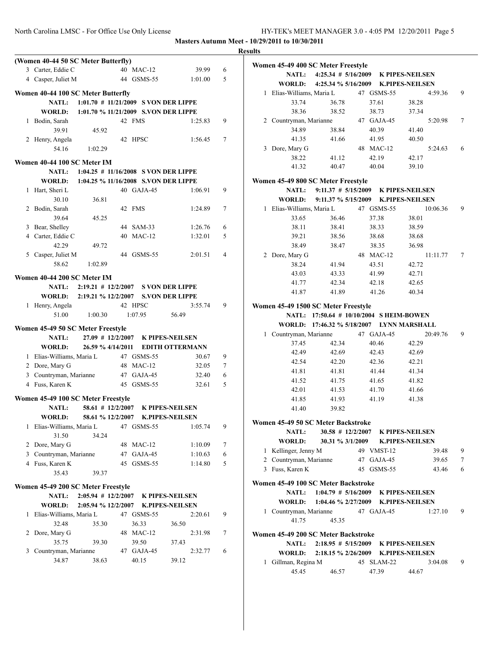**Masters Autumn Meet - 10/29/2011 to 10/30/2011**

| (Women 40-44 50 SC Meter Butterfly) |                                          |                        |                | Women 45-49 400 SC Meter Freestyle  |                                           |            |                        |   |
|-------------------------------------|------------------------------------------|------------------------|----------------|-------------------------------------|-------------------------------------------|------------|------------------------|---|
| 3 Carter, Eddie C                   | 40 MAC-12                                | 39.99                  | 6              | <b>NATL:</b>                        | $4:25.34 \# 5/16/2009$                    |            | <b>K PIPES-NEILSEN</b> |   |
| 4 Casper, Juliet M                  | 44 GSMS-55                               | 1:01.00                | 5              | WORLD:                              | 4:25.34 % 5/16/2009                       |            | <b>K.PIPES-NEILSEN</b> |   |
| Women 40-44 100 SC Meter Butterfly  |                                          |                        |                | 1 Elias-Williams, Maria L           |                                           | 47 GSMS-55 | 4:59.36                | 9 |
| NATL:                               | $1:01.70$ # $11/21/2009$ S VON DER LIPPE |                        |                | 33.74                               | 36.78                                     | 37.61      | 38.28                  |   |
| WORLD:                              | 1:01.70 % 11/21/2009 S.VON DER LIPPE     |                        |                | 38.36                               | 38.52                                     | 38.73      | 37.34                  |   |
| 1 Bodin, Sarah                      | 42 FMS                                   | 1:25.83                | 9              | 2 Countryman, Marianne              |                                           | 47 GAJA-45 | 5:20.98                | 7 |
| 39.91                               |                                          |                        |                | 34.89                               | 38.84                                     | 40.39      | 41.40                  |   |
| 2 Henry, Angela                     | 45.92<br>42 HPSC                         | 1:56.45                | $\tau$         | 41.35                               | 41.66                                     | 41.95      | 40.50                  |   |
| 1:02.29                             |                                          |                        |                | 3 Dore, Mary G                      |                                           | 48 MAC-12  | 5:24.63                | 6 |
| 54.16                               |                                          |                        |                | 38.22                               | 41.12                                     | 42.19      | 42.17                  |   |
| Women 40-44 100 SC Meter IM         |                                          |                        |                | 41.32                               | 40.47                                     | 40.04      | 39.10                  |   |
| <b>NATL:</b>                        | $1:04.25$ # $11/16/2008$ S VON DER LIPPE |                        |                |                                     |                                           |            |                        |   |
| WORLD:                              | 1:04.25 % 11/16/2008 S.VON DER LIPPE     |                        |                | Women 45-49 800 SC Meter Freestyle  |                                           |            |                        |   |
| 1 Hart, Sheri L                     | 40 GAJA-45                               | 1:06.91                | 9              | NATL:                               | $9:11.37 \# 5/15/2009$                    |            | <b>K PIPES-NEILSEN</b> |   |
| 30.10                               | 36.81                                    |                        |                | WORLD:                              | 9:11.37 % 5/15/2009                       |            | <b>K.PIPES-NEILSEN</b> |   |
| 2 Bodin, Sarah                      | 42 FMS                                   | 1:24.89                | $\tau$         | 1 Elias-Williams, Maria L           |                                           | 47 GSMS-55 | 10:06.36               | 9 |
| 39.64                               | 45.25                                    |                        |                | 33.65                               | 36.46                                     | 37.38      | 38.01                  |   |
| 3 Bear, Shelley                     | 44 SAM-33                                | 1:26.76                | 6              | 38.11                               | 38.41                                     | 38.33      | 38.59                  |   |
| 4 Carter, Eddie C                   | 40 MAC-12                                | 1:32.01                | 5              | 39.21                               | 38.56                                     | 38.68      | 38.68                  |   |
| 42.29                               | 49.72                                    |                        |                | 38.49                               | 38.47                                     | 38.35      | 36.98                  |   |
| 5 Casper, Juliet M                  | 44 GSMS-55                               | 2:01.51                | $\overline{4}$ | 2 Dore, Mary G                      |                                           | 48 MAC-12  | 11:11.77               | 7 |
| 58.62<br>1:02.89                    |                                          |                        |                | 38.24                               | 41.94                                     | 43.51      | 42.72                  |   |
|                                     |                                          |                        |                | 43.03                               | 43.33                                     | 41.99      | 42.71                  |   |
| Women 40-44 200 SC Meter IM         |                                          |                        |                | 41.77                               | 42.34                                     | 42.18      | 42.65                  |   |
| NATL:                               | 2:19.21 # 12/2/2007 S VON DER LIPPE      |                        |                | 41.87                               | 41.89                                     | 41.26      | 40.34                  |   |
| WORLD:                              | 2:19.21 % 12/2/2007 S.VON DER LIPPE      |                        |                |                                     |                                           |            |                        |   |
| 1 Henry, Angela                     | 42 HPSC                                  | 3:55.74                | 9              | Women 45-49 1500 SC Meter Freestyle |                                           |            |                        |   |
| 51.00<br>1:00.30                    | 1:07.95                                  | 56.49                  |                |                                     | NATL: 17:50.64 # 10/10/2004 SHEIM-BOWEN   |            |                        |   |
| Women 45-49 50 SC Meter Freestyle   |                                          |                        |                |                                     | WORLD: 17:46.32 % 5/18/2007 LYNN MARSHALL |            |                        |   |
| NATL:                               | $27.09$ # $12/2/2007$                    | K PIPES-NEILSEN        |                | 1 Countryman, Marianne              |                                           | 47 GAJA-45 | 20:49.76               | 9 |
| WORLD:                              | 26.59 % 4/14/2011                        | <b>EDITH OTTERMANN</b> |                | 37.45                               | 42.34                                     | 40.46      | 42.29                  |   |
| 1 Elias-Williams, Maria L           | 47 GSMS-55                               | 30.67                  | 9              | 42.49                               | 42.69                                     | 42.43      | 42.69                  |   |
| 2 Dore, Mary G                      | 48 MAC-12                                | 32.05                  | $\tau$         | 42.54                               | 42.20                                     | 42.36      | 42.21                  |   |
| 3 Countryman, Marianne              | 47 GAJA-45                               | 32.40                  | 6              | 41.81                               | 41.81                                     | 41.44      | 41.34                  |   |
| 4 Fuss, Karen K                     | 45 GSMS-55                               | 32.61                  | 5              | 41.52                               | 41.75                                     | 41.65      | 41.82                  |   |
|                                     |                                          |                        |                | 42.01                               | 41.53                                     | 41.70      | 41.66                  |   |
| Women 45-49 100 SC Meter Freestyle  |                                          |                        |                | 41.85                               | 41.93                                     | 41.19      | 41.38                  |   |
| <b>NATL:</b>                        | $58.61$ # 12/2/2007                      | <b>K PIPES-NEILSEN</b> |                | 41.40                               | 39.82                                     |            |                        |   |
| WORLD:                              | 58.61 % 12/2/2007                        | <b>K.PIPES-NEILSEN</b> |                |                                     |                                           |            |                        |   |
| 1 Elias-Williams, Maria L           | 47 GSMS-55                               | 1:05.74                | 9              | Women 45-49 50 SC Meter Backstroke  |                                           |            |                        |   |
| 31.50                               | 34.24                                    |                        |                | NATL:                               | $30.58$ # 12/2/2007                       |            | <b>K PIPES-NEILSEN</b> |   |
| 2 Dore, Mary G                      | 48 MAC-12                                | 1:10.09                | 7              | WORLD:                              | 30.31 % 3/1/2009                          |            | <b>K.PIPES-NEILSEN</b> |   |
| 3 Countryman, Marianne              | 47 GAJA-45                               | 1:10.63                | 6              | 1 Kellinger, Jenny M                |                                           | 49 VMST-12 | 39.48                  | 9 |
| 4 Fuss, Karen K                     | 45 GSMS-55                               | 1:14.80                | 5              | 2 Countryman, Marianne              |                                           | 47 GAJA-45 | 39.65                  | 7 |
| 35.43                               | 39.37                                    |                        |                | 3 Fuss, Karen K                     |                                           | 45 GSMS-55 | 43.46                  | 6 |
|                                     |                                          |                        |                | Women 45-49 100 SC Meter Backstroke |                                           |            |                        |   |
| Women 45-49 200 SC Meter Freestyle  |                                          |                        |                | <b>NATL:</b>                        | $1:04.79$ # 5/16/2009                     |            | <b>K PIPES-NEILSEN</b> |   |
| <b>NATL:</b>                        | $2:05.94$ # 12/2/2007                    | <b>K PIPES-NEILSEN</b> |                | WORLD:                              | 1:04.46 % 2/27/2009                       |            | <b>K.PIPES-NEILSEN</b> |   |
| WORLD:                              | 2:05.94 % 12/2/2007                      | <b>K.PIPES-NEILSEN</b> |                | 1 Countryman, Marianne              |                                           | 47 GAJA-45 | 1:27.10                | 9 |
| 1 Elias-Williams, Maria L           | 47 GSMS-55                               | 2:20.61                | 9              | 41.75                               |                                           |            |                        |   |
| 32.48                               | 36.33<br>35.30                           | 36.50                  |                |                                     | 45.35                                     |            |                        |   |
| 2 Dore, Mary G                      | 48 MAC-12                                | 2:31.98                | $\tau$         | Women 45-49 200 SC Meter Backstroke |                                           |            |                        |   |
| 35.75                               | 39.30<br>39.50                           | 37.43                  |                | <b>NATL:</b>                        | $2:18.95 \# 5/15/2009$                    |            | <b>K PIPES-NEILSEN</b> |   |
| 3 Countryman, Marianne              | 47 GAJA-45                               | 2:32.77                | 6              | WORLD:                              | $2:18.15 \% 2/26/2009$                    |            | <b>K.PIPES-NEILSEN</b> |   |
| 34.87                               | 40.15<br>38.63                           | 39.12                  |                | 1 Gillman, Regina M                 |                                           | 45 SLAM-22 | 3:04.08                | 9 |
|                                     |                                          |                        |                | 45.45                               | 46.57                                     | 47.39      | 44.67                  |   |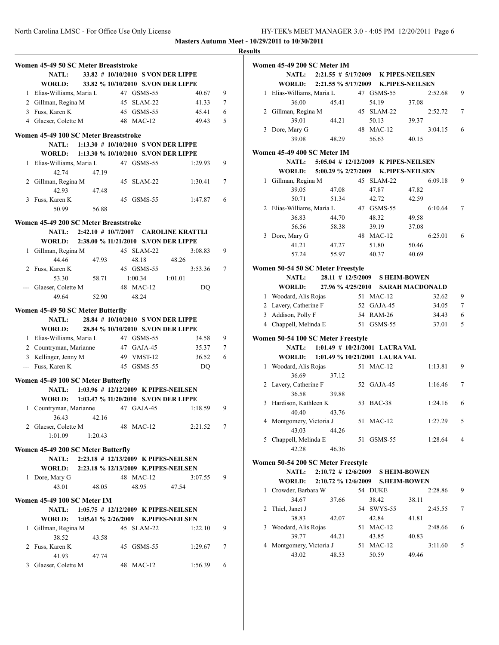|   |                                                           |                                    |         |                |        | <b>Results</b> |
|---|-----------------------------------------------------------|------------------------------------|---------|----------------|--------|----------------|
|   | Women 45-49 50 SC Meter Breaststroke                      |                                    |         |                |        | Wo             |
|   | <b>NATL:</b>                                              | 33.82 # 10/10/2010 S VON DER LIPPE |         |                |        |                |
|   | <b>WORLD:</b>                                             | 33.82 % 10/10/2010 S.VON DER LIPPE |         |                |        |                |
|   | 1 Elias-Williams, Maria L                                 | 47 GSMS-55                         |         | 40.67          | 9      |                |
|   | 2 Gillman, Regina M                                       | 45 SLAM-22                         |         | 41.33          | 7      |                |
|   | 3 Fuss, Karen K                                           | 45 GSMS-55                         |         | 45.41          | 6      |                |
|   | 4 Glaeser, Colette M                                      | 48 MAC-12                          |         | 49.43          | 5      |                |
|   | Women 45-49 100 SC Meter Breaststroke                     |                                    |         |                |        |                |
|   | NATL: 1:13.30 # 10/10/2010 S VON DER LIPPE                |                                    |         |                |        |                |
|   | WORLD: 1:13.30 % 10/10/2010 S.VON DER LIPPE               |                                    |         |                |        | Wo             |
|   | 1 Elias-Williams, Maria L                                 | 47 GSMS-55                         |         | 1:29.93        | 9      |                |
|   | 42.74<br>47.19                                            |                                    |         |                |        |                |
|   | 2 Gillman, Regina M                                       | 45 SLAM-22                         |         | 1:30.41        | 7      |                |
|   | 42.93<br>47.48                                            |                                    |         |                |        |                |
|   | 3 Fuss, Karen K                                           | 45 GSMS-55                         |         | 1:47.87        | 6      |                |
|   | 50.99<br>56.88                                            |                                    |         |                |        |                |
|   | Women 45-49 200 SC Meter Breaststroke                     |                                    |         |                |        |                |
|   | NATL: 2:42.10 # 10/7/2007 CAROLINE KRATTLI                |                                    |         |                |        |                |
|   | WORLD: 2:38.00 % 11/21/2010 S.VON DER LIPPE               |                                    |         |                |        |                |
|   | 1 Gillman, Regina M                                       | 45 SLAM-22                         |         | 3:08.83        | 9      |                |
|   | 44.46<br>47.93                                            | 48.18                              | 48.26   |                |        |                |
| 2 | Fuss, Karen K                                             | 45 GSMS-55                         |         | 3:53.36        | 7      | Wo             |
|   | 53.30<br>58.71                                            | 1:00.34                            | 1:01.01 |                |        |                |
|   | --- Glaeser, Colette M                                    | 48 MAC-12                          |         | DQ             |        |                |
|   | 49.64<br>52.90                                            | 48.24                              |         |                |        |                |
|   |                                                           |                                    |         |                |        |                |
|   | Women 45-49 50 SC Meter Butterfly                         |                                    |         |                |        |                |
|   | NATL: 28.84 # 10/10/2010 S VON DER LIPPE<br><b>WORLD:</b> | 28.84 % 10/10/2010 S.VON DER LIPPE |         |                |        |                |
|   |                                                           |                                    |         |                |        |                |
|   | 1 Elias-Williams, Maria L<br>2 Countryman, Marianne       | 47 GSMS-55<br>47 GAJA-45           |         | 34.58<br>35.37 | 9<br>7 | Wo             |
|   | 3 Kellinger, Jenny M                                      | 49 VMST-12                         |         | 36.52          | 6      |                |
|   | --- Fuss, Karen K                                         | 45 GSMS-55                         |         | DQ             |        |                |
|   |                                                           |                                    |         |                |        |                |
|   | Women 45-49 100 SC Meter Butterfly                        |                                    |         |                |        |                |
|   | NATL: 1:03.96 # 12/12/2009 K PIPES-NEILSEN                |                                    |         |                |        |                |
|   | WORLD: 1:03.47 % 11/20/2010 S.VON DER LIPPE               |                                    |         |                |        |                |
|   | 1 Countryman, Marianne 47 GAJA-45                         |                                    |         | 1:18.59        | 9      |                |
|   | 36.43<br>42.16                                            |                                    |         |                |        |                |
|   | 2 Glaeser, Colette M                                      | 48 MAC-12                          |         | 2:21.52        | 7      |                |
|   | 1:01.09<br>1:20.43                                        |                                    |         |                |        |                |
|   | Women 45-49 200 SC Meter Butterfly                        |                                    |         |                |        |                |
|   | 2:23.18 # 12/13/2009 K PIPES-NEILSEN<br><b>NATL:</b>      |                                    |         |                |        | Wo             |
|   | WORLD: 2:23.18 % 12/13/2009 K.PIPES-NEILSEN               |                                    |         |                |        |                |
|   | 1 Dore, Mary G                                            | 48 MAC-12                          |         | 3:07.55        | 9      |                |
|   | 43.01<br>48.05                                            | 48.95                              | 47.54   |                |        |                |
|   | Women 45-49 100 SC Meter IM                               |                                    |         |                |        |                |
|   | NATL: 1:05.75 # 12/12/2009 K PIPES-NEILSEN                |                                    |         |                |        |                |
|   | WORLD: 1:05.61 % 2/26/2009 K.PIPES-NEILSEN                |                                    |         |                |        |                |
|   | 1 Gillman, Regina M                                       | 45 SLAM-22                         |         | 1:22.10        | 9      |                |
|   | 38.52<br>43.58                                            |                                    |         |                |        |                |
| 2 | Fuss, Karen K                                             | 45 GSMS-55                         |         | 1:29.67        | 7      |                |
|   | 41.93<br>47.74                                            |                                    |         |                |        |                |
|   | 3 Glaeser, Colette M                                      | 48 MAC-12                          |         | 1:56.39        | 6      |                |

|                                                                                                                                                                                                                                                                                                                                                                                                                                                                                                                                                                                                                                                                                                                                                                     | Women 45-49 200 SC Meter IM                       |                                           |            |                     |         |   |
|---------------------------------------------------------------------------------------------------------------------------------------------------------------------------------------------------------------------------------------------------------------------------------------------------------------------------------------------------------------------------------------------------------------------------------------------------------------------------------------------------------------------------------------------------------------------------------------------------------------------------------------------------------------------------------------------------------------------------------------------------------------------|---------------------------------------------------|-------------------------------------------|------------|---------------------|---------|---|
|                                                                                                                                                                                                                                                                                                                                                                                                                                                                                                                                                                                                                                                                                                                                                                     |                                                   | NATL: 2:21.55 # 5/17/2009 K PIPES-NEILSEN |            |                     |         |   |
|                                                                                                                                                                                                                                                                                                                                                                                                                                                                                                                                                                                                                                                                                                                                                                     |                                                   |                                           |            |                     |         |   |
|                                                                                                                                                                                                                                                                                                                                                                                                                                                                                                                                                                                                                                                                                                                                                                     |                                                   |                                           |            |                     |         |   |
|                                                                                                                                                                                                                                                                                                                                                                                                                                                                                                                                                                                                                                                                                                                                                                     |                                                   |                                           |            |                     |         |   |
|                                                                                                                                                                                                                                                                                                                                                                                                                                                                                                                                                                                                                                                                                                                                                                     |                                                   |                                           |            |                     |         |   |
| 36.00<br>45.41<br>54.19<br>37.08<br>2 Gillman, Regina M<br>45 SLAM-22<br>2:52.72<br>7<br>39.01<br>44.21<br>50.13<br>39.37<br>3 Dore, Mary G<br>48 MAC-12<br>6<br>3:04.15<br>39.08<br>48.29<br>56.63<br>40.15<br>Women 45-49 400 SC Meter IM<br>NATL: 5:05.04 # 12/12/2009 K PIPES-NEILSEN<br>WORLD: 5:00.29 % 2/27/2009 K.PIPES-NEILSEN<br>1 Gillman, Regina M<br>45 SLAM-22<br>6:09.18<br>9<br>39.05<br>47.87<br>47.08<br>47.82<br>50.71<br>51.34<br>42.72<br>42.59<br>2 Elias-Williams, Maria L<br>47 GSMS-55<br>6:10.64<br>7<br>36.83<br>44.70<br>48.32<br>49.58<br>56.56<br>58.38<br>39.19<br>37.08<br>6:25.01<br>3 Dore, Mary G<br>48 MAC-12<br>6<br>41.21<br>47.27<br>51.80<br>50.46<br>57.24<br>55.97<br>40.37<br>40.69<br>Women 50-54 50 SC Meter Freestyle |                                                   |                                           |            |                     |         |   |
| WORLD: 2:21.55 % 5/17/2009 K.PIPES-NEILSEN<br>1 Elias-Williams, Maria L<br>47 GSMS-55<br>9<br>2:52.68<br>28.11 # 12/5/2009 S HEIM-BOWEN<br><b>NATL:</b><br>27.96 % 4/25/2010 SARAH MACDONALD<br><b>WORLD:</b><br>1 Woodard, Alis Rojas<br>51 MAC-12<br>32.62<br>9<br>2 Lavery, Catherine F<br>52 GAJA-45<br>7<br>34.05<br>3 Addison, Polly F<br>54 RAM-26<br>6<br>34.43                                                                                                                                                                                                                                                                                                                                                                                             |                                                   |                                           |            |                     |         |   |
|                                                                                                                                                                                                                                                                                                                                                                                                                                                                                                                                                                                                                                                                                                                                                                     |                                                   |                                           |            |                     |         |   |
|                                                                                                                                                                                                                                                                                                                                                                                                                                                                                                                                                                                                                                                                                                                                                                     |                                                   |                                           |            |                     |         |   |
|                                                                                                                                                                                                                                                                                                                                                                                                                                                                                                                                                                                                                                                                                                                                                                     |                                                   |                                           |            |                     |         |   |
|                                                                                                                                                                                                                                                                                                                                                                                                                                                                                                                                                                                                                                                                                                                                                                     |                                                   |                                           |            |                     |         |   |
|                                                                                                                                                                                                                                                                                                                                                                                                                                                                                                                                                                                                                                                                                                                                                                     |                                                   |                                           |            |                     |         |   |
|                                                                                                                                                                                                                                                                                                                                                                                                                                                                                                                                                                                                                                                                                                                                                                     |                                                   |                                           |            |                     |         |   |
|                                                                                                                                                                                                                                                                                                                                                                                                                                                                                                                                                                                                                                                                                                                                                                     |                                                   |                                           |            |                     |         |   |
|                                                                                                                                                                                                                                                                                                                                                                                                                                                                                                                                                                                                                                                                                                                                                                     |                                                   |                                           |            |                     |         |   |
|                                                                                                                                                                                                                                                                                                                                                                                                                                                                                                                                                                                                                                                                                                                                                                     |                                                   |                                           |            |                     |         |   |
|                                                                                                                                                                                                                                                                                                                                                                                                                                                                                                                                                                                                                                                                                                                                                                     |                                                   |                                           |            |                     |         |   |
|                                                                                                                                                                                                                                                                                                                                                                                                                                                                                                                                                                                                                                                                                                                                                                     |                                                   |                                           |            |                     |         |   |
|                                                                                                                                                                                                                                                                                                                                                                                                                                                                                                                                                                                                                                                                                                                                                                     |                                                   |                                           |            |                     |         |   |
|                                                                                                                                                                                                                                                                                                                                                                                                                                                                                                                                                                                                                                                                                                                                                                     | 4 Chappell, Melinda E<br>5<br>51 GSMS-55<br>37.01 |                                           |            |                     |         |   |
|                                                                                                                                                                                                                                                                                                                                                                                                                                                                                                                                                                                                                                                                                                                                                                     |                                                   |                                           |            |                     |         |   |
|                                                                                                                                                                                                                                                                                                                                                                                                                                                                                                                                                                                                                                                                                                                                                                     |                                                   |                                           |            |                     |         |   |
|                                                                                                                                                                                                                                                                                                                                                                                                                                                                                                                                                                                                                                                                                                                                                                     |                                                   |                                           |            |                     |         |   |
|                                                                                                                                                                                                                                                                                                                                                                                                                                                                                                                                                                                                                                                                                                                                                                     |                                                   |                                           |            |                     |         |   |
|                                                                                                                                                                                                                                                                                                                                                                                                                                                                                                                                                                                                                                                                                                                                                                     |                                                   |                                           |            |                     |         |   |
|                                                                                                                                                                                                                                                                                                                                                                                                                                                                                                                                                                                                                                                                                                                                                                     |                                                   |                                           |            |                     |         |   |
|                                                                                                                                                                                                                                                                                                                                                                                                                                                                                                                                                                                                                                                                                                                                                                     |                                                   |                                           |            |                     |         |   |
|                                                                                                                                                                                                                                                                                                                                                                                                                                                                                                                                                                                                                                                                                                                                                                     |                                                   |                                           |            |                     |         |   |
|                                                                                                                                                                                                                                                                                                                                                                                                                                                                                                                                                                                                                                                                                                                                                                     |                                                   |                                           |            |                     |         |   |
|                                                                                                                                                                                                                                                                                                                                                                                                                                                                                                                                                                                                                                                                                                                                                                     | Women 50-54 100 SC Meter Freestyle                |                                           |            |                     |         |   |
|                                                                                                                                                                                                                                                                                                                                                                                                                                                                                                                                                                                                                                                                                                                                                                     |                                                   | NATL: 1:01.49 # 10/21/2001 LAURA VAL      |            |                     |         |   |
|                                                                                                                                                                                                                                                                                                                                                                                                                                                                                                                                                                                                                                                                                                                                                                     | WORLD: 1:01.49 % 10/21/2001 LAURA VAL             |                                           |            |                     |         |   |
|                                                                                                                                                                                                                                                                                                                                                                                                                                                                                                                                                                                                                                                                                                                                                                     | 1 Woodard, Alis Rojas                             |                                           | 51 MAC-12  |                     | 1:13.81 | 9 |
|                                                                                                                                                                                                                                                                                                                                                                                                                                                                                                                                                                                                                                                                                                                                                                     | 36.69                                             | 37.12                                     |            |                     |         |   |
|                                                                                                                                                                                                                                                                                                                                                                                                                                                                                                                                                                                                                                                                                                                                                                     | 2 Lavery, Catherine F                             |                                           | 52 GAJA-45 |                     | 1:16.46 | 7 |
|                                                                                                                                                                                                                                                                                                                                                                                                                                                                                                                                                                                                                                                                                                                                                                     | 36.58                                             | 39.88                                     |            |                     |         |   |
|                                                                                                                                                                                                                                                                                                                                                                                                                                                                                                                                                                                                                                                                                                                                                                     | 3 Hardison, Kathleen K                            |                                           | 53 BAC-38  |                     | 1:24.16 | 6 |
|                                                                                                                                                                                                                                                                                                                                                                                                                                                                                                                                                                                                                                                                                                                                                                     | 40.40                                             | 43.76                                     |            |                     |         |   |
|                                                                                                                                                                                                                                                                                                                                                                                                                                                                                                                                                                                                                                                                                                                                                                     | 4 Montgomery, Victoria J                          |                                           | 51 MAC-12  |                     | 1:27.29 | 5 |
|                                                                                                                                                                                                                                                                                                                                                                                                                                                                                                                                                                                                                                                                                                                                                                     | 43.03                                             | 44.26                                     |            |                     |         |   |
| 5                                                                                                                                                                                                                                                                                                                                                                                                                                                                                                                                                                                                                                                                                                                                                                   | Chappell, Melinda E                               |                                           | 51 GSMS-55 |                     | 1:28.64 | 4 |
|                                                                                                                                                                                                                                                                                                                                                                                                                                                                                                                                                                                                                                                                                                                                                                     | 42.28                                             | 46.36                                     |            |                     |         |   |
|                                                                                                                                                                                                                                                                                                                                                                                                                                                                                                                                                                                                                                                                                                                                                                     |                                                   |                                           |            |                     |         |   |
|                                                                                                                                                                                                                                                                                                                                                                                                                                                                                                                                                                                                                                                                                                                                                                     | Women 50-54 200 SC Meter Freestyle                | 2:10.72 # 12/6/2009 S HEIM-BOWEN          |            |                     |         |   |
|                                                                                                                                                                                                                                                                                                                                                                                                                                                                                                                                                                                                                                                                                                                                                                     | <b>NATL:</b>                                      |                                           |            |                     |         |   |
|                                                                                                                                                                                                                                                                                                                                                                                                                                                                                                                                                                                                                                                                                                                                                                     | <b>WORLD:</b>                                     | 2:10.72 % 12/6/2009                       |            | <b>S.HEIM-BOWEN</b> |         |   |
| 1                                                                                                                                                                                                                                                                                                                                                                                                                                                                                                                                                                                                                                                                                                                                                                   | Crowder, Barbara W                                |                                           | 54 DUKE    |                     | 2:28.86 | 9 |
|                                                                                                                                                                                                                                                                                                                                                                                                                                                                                                                                                                                                                                                                                                                                                                     | 34.67                                             | 37.66                                     | 38.42      | 38.11               |         |   |
| 2                                                                                                                                                                                                                                                                                                                                                                                                                                                                                                                                                                                                                                                                                                                                                                   | Thiel, Janet J                                    |                                           | 54 SWYS-55 |                     | 2:45.55 | 7 |
|                                                                                                                                                                                                                                                                                                                                                                                                                                                                                                                                                                                                                                                                                                                                                                     | 38.83                                             | 42.07                                     | 42.84      | 41.81               |         |   |
| 3                                                                                                                                                                                                                                                                                                                                                                                                                                                                                                                                                                                                                                                                                                                                                                   | Woodard, Alis Rojas                               |                                           | 51 MAC-12  |                     | 2:48.66 | 6 |
|                                                                                                                                                                                                                                                                                                                                                                                                                                                                                                                                                                                                                                                                                                                                                                     | 39.77                                             | 44.21                                     | 43.85      | 40.83               |         |   |
| 4                                                                                                                                                                                                                                                                                                                                                                                                                                                                                                                                                                                                                                                                                                                                                                   | Montgomery, Victoria J                            |                                           | 51 MAC-12  |                     | 3:11.60 | 5 |
|                                                                                                                                                                                                                                                                                                                                                                                                                                                                                                                                                                                                                                                                                                                                                                     | 43.02                                             | 48.53                                     | 50.59      | 49.46               |         |   |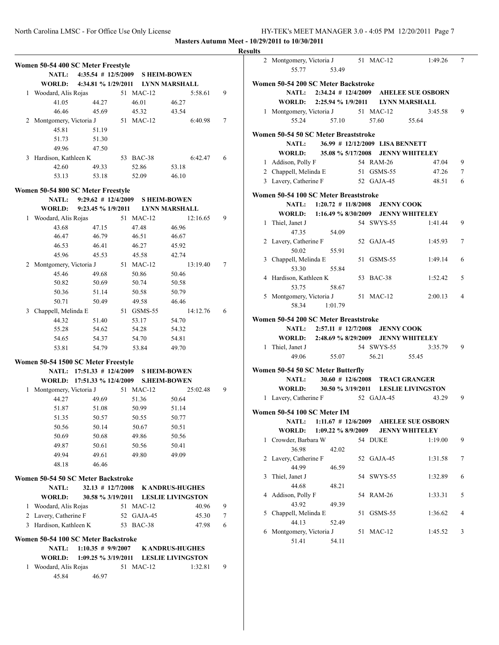|   | Women 50-54 400 SC Meter Freestyle  |                                        |    |            |                                   |   |
|---|-------------------------------------|----------------------------------------|----|------------|-----------------------------------|---|
|   | NATL:                               | $4:35.54$ # $12/5/2009$                |    |            | <b>SHEIM-BOWEN</b>                |   |
|   | <b>WORLD:</b>                       |                                        |    |            | 4:34.81 % 1/29/2011 LYNN MARSHALL |   |
|   | 1 Woodard, Alis Rojas               |                                        | 51 | $MAC-12$   | 5:58.61                           | 9 |
|   | 41.05                               | 44.27                                  |    | 46.01      | 46.27                             |   |
|   | 46.46                               | 45.69                                  |    | 45.32      | 43.54                             |   |
|   | 2 Montgomery, Victoria J            |                                        |    | 51 MAC-12  | 6:40.98                           | 7 |
|   | 45.81                               | 51.19                                  |    |            |                                   |   |
|   | 51.73                               | 51.30                                  |    |            |                                   |   |
|   | 49.96                               | 47.50                                  |    |            |                                   |   |
|   | 3 Hardison, Kathleen K              |                                        |    | 53 BAC-38  | 6:42.47                           | 6 |
|   | 42.60                               | 49.33                                  |    | 52.86      | 53.18                             |   |
|   | 53.13                               | 53.18                                  |    | 52.09      | 46.10                             |   |
|   | Women 50-54 800 SC Meter Freestyle  |                                        |    |            |                                   |   |
|   | <b>NATL:</b>                        | $9:29.62 \# 12/4/2009$                 |    |            | <b>SHEIM-BOWEN</b>                |   |
|   | <b>WORLD:</b>                       | 9:23.45 % 1/9/2011                     |    |            | <b>LYNN MARSHALL</b>              |   |
|   | 1 Woodard, Alis Rojas               |                                        |    | 51 MAC-12  | 12:16.65                          | 9 |
|   | 43.68                               | 47.15                                  |    | 47.48      | 46.96                             |   |
|   | 46.47                               | 46.79                                  |    | 46.51      | 46.67                             |   |
|   | 46.53                               | 46.41                                  |    | 46.27      | 45.92                             |   |
|   | 45.96                               | 45.53                                  |    | 45.58      | 42.74                             |   |
| 2 | Montgomery, Victoria J              |                                        |    | 51 MAC-12  | 13:19.40                          | 7 |
|   | 45.46                               | 49.68                                  |    | 50.86      | 50.46                             |   |
|   | 50.82                               | 50.69                                  |    | 50.74      | 50.58                             |   |
|   | 50.36                               | 51.14                                  |    | 50.58      | 50.79                             |   |
|   | 50.71                               | 50.49                                  |    | 49.58      | 46.46                             |   |
|   | 3 Chappell, Melinda E               |                                        |    | 51 GSMS-55 | 14:12.76                          | 6 |
|   |                                     |                                        |    |            |                                   |   |
|   | 44.32                               | 51.40                                  |    | 53.17      | 54.70                             |   |
|   | 55.28                               | 54.62                                  |    | 54.28      | 54.32                             |   |
|   | 54.65                               | 54.37                                  |    | 54.70      | 54.81                             |   |
|   | 53.81                               | 54.79                                  |    | 53.84      | 49.70                             |   |
|   | Women 50-54 1500 SC Meter Freestyle |                                        |    |            |                                   |   |
|   |                                     | NATL: 17:51.33 # 12/4/2009 SHEIM-BOWEN |    |            |                                   |   |
|   |                                     | WORLD: 17:51.33 % 12/4/2009            |    |            | <b>S.HEIM-BOWEN</b>               |   |
| 1 | Montgomery, Victoria J              |                                        |    | 51 MAC-12  | 25:02.48                          | 9 |
|   | 44.27                               | 49.69                                  |    | 51.36      | 50.64                             |   |
|   | 51.87                               | 51.08                                  |    | 50.99      | 51.14                             |   |
|   | 51.35                               | 50.57                                  |    | 50.55      | 50.77                             |   |
|   | 50.56                               | 50.14                                  |    | 50.67      | 50.51                             |   |
|   | 50.69                               | 50.68                                  |    | 49.86      | 50.56                             |   |
|   | 49.87                               | 50.61                                  |    | 50.56      | 50.41                             |   |
|   | 49.94                               | 49.61                                  |    | 49.80      | 49.09                             |   |
|   | 48.18                               | 46.46                                  |    |            |                                   |   |
|   |                                     |                                        |    |            |                                   |   |
|   | Women 50-54 50 SC Meter Backstroke  |                                        |    |            |                                   |   |
|   | <b>NATL:</b>                        | $32.13$ # $12/7/2008$                  |    |            | <b>KANDRUS-HUGHES</b>             |   |
|   | <b>WORLD:</b>                       | 30.58 % 3/19/2011                      |    |            | <b>LESLIE LIVINGSTON</b>          |   |
| 1 | Woodard, Alis Rojas                 |                                        |    | 51 MAC-12  | 40.96                             | 9 |
|   | 2 Lavery, Catherine F               |                                        |    | 52 GAJA-45 | 45.30                             | 7 |
| 3 | Hardison, Kathleen K                |                                        | 53 | BAC-38     | 47.98                             | 6 |
|   | Women 50-54 100 SC Meter Backstroke |                                        |    |            |                                   |   |
|   | <b>NATL:</b>                        | $1:10.35 \# 9/9/2007$                  |    |            | <b>KANDRUS-HUGHES</b>             |   |
|   | <b>WORLD:</b>                       | 1:09.25 % 3/19/2011                    |    |            | <b>LESLIE LIVINGSTON</b>          |   |
| 1 | Woodard, Alis Rojas                 |                                        |    | 51 MAC-12  | 1:32.81                           | 9 |
|   | 45.84                               | 46.97                                  |    |            |                                   |   |

| <b>Results</b> |                                             |                                           |    |                                 |                                             |                |
|----------------|---------------------------------------------|-------------------------------------------|----|---------------------------------|---------------------------------------------|----------------|
|                | 2 Montgomery, Victoria J 51 MAC-12<br>55.77 | 53.49                                     |    |                                 | 1:49.26                                     | 7              |
|                | Women 50-54 200 SC Meter Backstroke         |                                           |    |                                 |                                             |                |
|                |                                             |                                           |    |                                 | NATL: 2:34.24 # 12/4/2009 AHELEE SUE OSBORN |                |
|                |                                             | WORLD: 2:25.94 % 1/9/2011 LYNN MARSHALL   |    |                                 |                                             |                |
|                |                                             |                                           |    |                                 | 3:45.58 9                                   |                |
|                | 1 Montgomery, Victoria J 51 MAC-12<br>55.24 |                                           |    | 57.10 57.60 55.64               |                                             |                |
|                | Women 50-54 50 SC Meter Breaststroke        |                                           |    |                                 |                                             |                |
|                | NATL:                                       |                                           |    | 36.99 # 12/12/2009 LISA BENNETT |                                             |                |
|                |                                             | WORLD: 35.08 % 5/17/2008 JENNY WHITELEY   |    |                                 |                                             |                |
|                | 1 Addison, Polly F                          |                                           |    | 54 RAM-26                       | 47.04 9                                     |                |
|                | 2 Chappell, Melinda E 51 GSMS-55            |                                           |    |                                 | 47.26                                       | 7              |
|                | 3 Lavery, Catherine F 52 GAJA-45            |                                           |    |                                 | 48.51                                       | 6              |
|                | Women 50-54 100 SC Meter Breaststroke       |                                           |    |                                 |                                             |                |
|                |                                             | NATL: 1:20.72 # 11/8/2008 JENNY COOK      |    |                                 |                                             |                |
|                |                                             | WORLD: 1:16.49 % 8/30/2009 JENNY WHITELEY |    |                                 |                                             |                |
|                | 1 Thiel, Janet J<br>47.35                   | 54.09                                     |    | 54 SWYS-55                      | 1:41.44                                     | - 9            |
|                | 2 Lavery, Catherine F                       |                                           |    | 52 GAJA-45                      | 1:45.93                                     | 7              |
|                | 50.02                                       | 55.91                                     |    |                                 |                                             |                |
|                | 3 Chappell, Melinda E                       |                                           |    | 51 GSMS-55                      | 1:49.14                                     | 6              |
|                | 53.30                                       | 55.84                                     |    |                                 |                                             |                |
|                | 4 Hardison, Kathleen K<br>53.75             | 58.67                                     |    | 53 BAC-38                       | 1:52.42                                     | 5              |
|                | 5 Montgomery, Victoria J                    |                                           |    | 51 MAC-12                       | 2:00.13                                     | $\overline{4}$ |
|                | 58.34                                       | 1:01.79                                   |    |                                 |                                             |                |
|                | Women 50-54 200 SC Meter Breaststroke       |                                           |    |                                 |                                             |                |
|                |                                             | NATL: 2:57.11 # 12/7/2008 JENNY COOK      |    |                                 |                                             |                |
|                |                                             | WORLD: 2:48.69 % 8/29/2009 JENNY WHITELEY |    |                                 |                                             |                |
|                | 1 Thiel, Janet J                            |                                           |    | 54 SWYS-55                      | 3:35.79                                     | $\overline{9}$ |
|                |                                             | 49.06 55.07                               |    | 56.21 55.45                     |                                             |                |
|                | Women 50-54 50 SC Meter Butterfly           |                                           |    |                                 |                                             |                |
|                | NATL:                                       |                                           |    |                                 | 30.60 # 12/6/2008 TRACI GRANGER             |                |
|                |                                             |                                           |    |                                 | WORLD: 30.50 % 3/19/2011 LESLIE LIVINGSTON  |                |
|                | 1 Lavery, Catherine F 52 GAJA-45            |                                           |    |                                 | 43.29                                       | - 9            |
|                |                                             |                                           |    |                                 |                                             |                |
|                | Women 50-54 100 SC Meter IM                 |                                           |    |                                 |                                             |                |
|                | <b>NATL:</b>                                |                                           |    |                                 | 1:11.67 # 12/6/2009 AHELEE SUE OSBORN       |                |
|                | <b>WORLD:</b>                               | 1:09.22 % 8/9/2009                        |    |                                 | <b>JENNY WHITELEY</b>                       |                |
|                | 1 Crowder, Barbara W                        |                                           |    | 54 DUKE                         | 1:19.00                                     | 9              |
|                | 36.98                                       | 42.02                                     |    |                                 |                                             |                |
| 2              | Lavery, Catherine F                         |                                           |    | 52 GAJA-45                      | 1:31.58                                     | 7              |
|                | 44.99                                       | 46.59                                     |    |                                 |                                             |                |
| 3              | Thiel, Janet J                              |                                           |    | 54 SWYS-55                      | 1:32.89                                     | 6              |
| 4              | 44.68<br>Addison, Polly F                   | 48.21                                     |    | 54 RAM-26                       | 1:33.31                                     | 5              |
|                | 43.92                                       | 49.39                                     |    |                                 |                                             |                |
| 5              | Chappell, Melinda E                         |                                           | 51 | GSMS-55                         | 1:36.62                                     | 4              |
|                | 44.13                                       | 52.49                                     |    |                                 |                                             |                |
|                | 6 Montgomery, Victoria J                    |                                           |    | 51 MAC-12                       | 1:45.52                                     | 3              |
|                | 51.41                                       | 54.11                                     |    |                                 |                                             |                |
|                |                                             |                                           |    |                                 |                                             |                |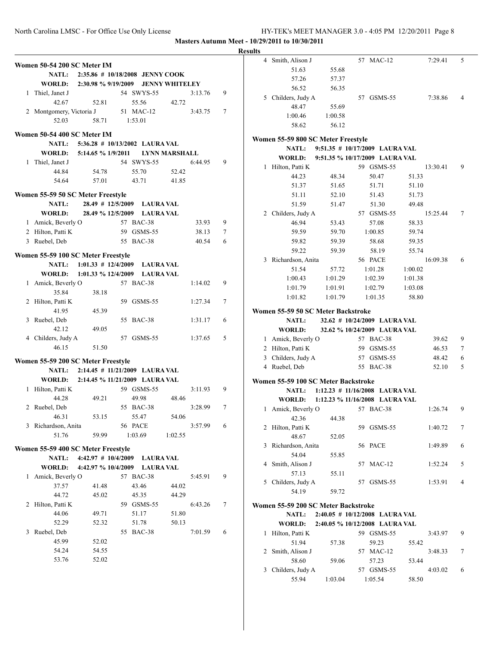|                                    |                          |                                    |                  |                      |         |        | <b>Results</b> |                                     |         |                                  |          |                |
|------------------------------------|--------------------------|------------------------------------|------------------|----------------------|---------|--------|----------------|-------------------------------------|---------|----------------------------------|----------|----------------|
|                                    |                          |                                    |                  |                      |         |        |                | 4 Smith, Alison J                   |         | 57 MAC-12                        | 7:29.41  | 5              |
| Women 50-54 200 SC Meter IM        |                          |                                    |                  |                      |         |        |                | 51.63                               | 55.68   |                                  |          |                |
|                                    | NATL:                    | $2:35.86 \# 10/18/2008$ JENNY COOK |                  |                      |         |        |                | 57.26                               | 57.37   |                                  |          |                |
|                                    | WORLD:                   | 2:30.98 % 9/19/2009 JENNY WHITELEY |                  |                      |         |        |                | 56.52                               | 56.35   |                                  |          |                |
| 1 Thiel, Janet J                   |                          |                                    | 54 SWYS-55       |                      | 3:13.76 | 9      |                | 5 Childers, Judy A                  |         | 57 GSMS-55                       | 7:38.86  | $\overline{4}$ |
|                                    | 42.67                    | 52.81                              | 55.56            | 42.72                |         |        |                | 48.47                               | 55.69   |                                  |          |                |
|                                    | 2 Montgomery, Victoria J |                                    | 51 MAC-12        |                      | 3:43.75 | $\tau$ |                | 1:00.46                             | 1:00.58 |                                  |          |                |
|                                    | 52.03                    | 58.71                              | 1:53.01          |                      |         |        |                | 58.62                               | 56.12   |                                  |          |                |
| Women 50-54 400 SC Meter IM        |                          |                                    |                  |                      |         |        |                |                                     |         |                                  |          |                |
|                                    | NATL:                    | $5:36.28$ # $10/13/2002$ LAURA VAL |                  |                      |         |        |                | Women 55-59 800 SC Meter Freestyle  |         |                                  |          |                |
|                                    | WORLD:                   | 5:14.65 % 1/9/2011                 |                  | <b>LYNN MARSHALL</b> |         |        |                | <b>NATL:</b>                        |         | 9:51.35 # 10/17/2009 LAURA VAL   |          |                |
|                                    |                          |                                    | 54 SWYS-55       |                      | 6:44.95 | 9      |                | WORLD:                              |         | 9:51.35 % 10/17/2009 LAURA VAL   |          |                |
| 1 Thiel, Janet J                   |                          | 54.78                              | 55.70            | 52.42                |         |        |                | 1 Hilton, Patti K                   |         | 59 GSMS-55                       | 13:30.41 | 9              |
|                                    | 44.84                    |                                    |                  |                      |         |        |                | 44.23                               | 48.34   | 50.47                            | 51.33    |                |
|                                    | 54.64                    | 57.01                              | 43.71            | 41.85                |         |        |                | 51.37                               | 51.65   | 51.71                            | 51.10    |                |
| Women 55-59 50 SC Meter Freestyle  |                          |                                    |                  |                      |         |        |                | 51.11                               | 52.10   | 51.43                            | 51.73    |                |
|                                    | NATL:                    | 28.49 # 12/5/2009 LAURA VAL        |                  |                      |         |        |                | 51.59                               | 51.47   | 51.30                            | 49.48    |                |
|                                    | <b>WORLD:</b>            | 28.49 % 12/5/2009 LAURA VAL        |                  |                      |         |        |                | 2 Childers, Judy A                  |         | 57 GSMS-55                       | 15:25.44 | $\tau$         |
|                                    | 1 Amick, Beverly O       |                                    | 57 BAC-38        |                      | 33.93   | 9      |                | 46.94                               | 53.43   | 57.08                            | 58.33    |                |
| 2 Hilton, Patti K                  |                          |                                    | 59 GSMS-55       |                      | 38.13   | $\tau$ |                | 59.59                               | 59.70   | 1:00.85                          | 59.74    |                |
| 3 Ruebel, Deb                      |                          |                                    | 55 BAC-38        |                      | 40.54   | 6      |                | 59.82                               | 59.39   | 58.68                            | 59.35    |                |
|                                    |                          |                                    |                  |                      |         |        |                | 59.22                               | 59.39   | 58.19                            | 55.74    |                |
| Women 55-59 100 SC Meter Freestyle |                          |                                    |                  |                      |         |        |                | 3 Richardson, Anita                 |         | 56 PACE                          | 16:09.38 | 6              |
|                                    | <b>NATL:</b>             | $1:01.33 \# 12/4/2009$             | <b>LAURA VAL</b> |                      |         |        |                | 51.54                               | 57.72   | 1:01.28                          | 1:00.02  |                |
|                                    | WORLD:                   | 1:01.33 % 12/4/2009 LAURA VAL      |                  |                      |         |        |                | 1:00.43                             | 1:01.29 | 1:02.39                          | 1:01.38  |                |
|                                    | 1 Amick, Beverly O       |                                    | 57 BAC-38        |                      | 1:14.02 | 9      |                | 1:01.79                             | 1:01.91 | 1:02.79                          | 1:03.08  |                |
|                                    | 35.84                    | 38.18                              |                  |                      |         |        |                |                                     |         |                                  |          |                |
| 2 Hilton, Patti K                  |                          |                                    | 59 GSMS-55       |                      | 1:27.34 | $\tau$ |                | 1:01.82                             | 1:01.79 | 1:01.35                          | 58.80    |                |
|                                    | 41.95                    | 45.39                              |                  |                      |         |        |                | Women 55-59 50 SC Meter Backstroke  |         |                                  |          |                |
| 3 Ruebel, Deb                      |                          |                                    | 55 BAC-38        |                      | 1:31.17 | 6      |                | NATL:                               |         | 32.62 # 10/24/2009 LAURA VAL     |          |                |
|                                    | 42.12                    | 49.05                              |                  |                      |         |        |                | WORLD:                              |         | 32.62 % 10/24/2009 LAURA VAL     |          |                |
| 4 Childers, Judy A                 |                          |                                    | 57 GSMS-55       |                      | 1:37.65 | 5      |                | 1 Amick, Beverly O                  |         | 57 BAC-38                        | 39.62    | 9              |
|                                    | 46.15                    | 51.50                              |                  |                      |         |        |                | 2 Hilton, Patti K                   |         | 59 GSMS-55                       | 46.53    | $\tau$         |
|                                    |                          |                                    |                  |                      |         |        |                | 3 Childers, Judy A                  |         | 57 GSMS-55                       | 48.42    | 6              |
| Women 55-59 200 SC Meter Freestyle |                          |                                    |                  |                      |         |        |                | 4 Ruebel, Deb                       |         | 55 BAC-38                        | 52.10    | 5              |
|                                    | <b>NATL:</b>             | 2:14.45 # 11/21/2009 LAURA VAL     |                  |                      |         |        |                |                                     |         |                                  |          |                |
|                                    | WORLD:                   | 2:14.45 % 11/21/2009 LAURA VAL     |                  |                      |         |        |                | Women 55-59 100 SC Meter Backstroke |         |                                  |          |                |
| 1 Hilton, Patti K                  |                          |                                    | 59 GSMS-55       |                      | 3:11.93 | 9      |                | <b>NATL:</b>                        |         | $1:12.23$ # 11/16/2008 LAURA VAL |          |                |
|                                    | 44.28                    | 49.21                              | 49.98            | 48.46                |         |        |                | WORLD:                              |         | 1:12.23 % 11/16/2008 LAURA VAL   |          |                |
| 2 Ruebel, Deb                      |                          |                                    | 55 BAC-38        |                      | 3:28.99 | $\tau$ |                | 1 Amick, Beverly O                  |         | 57 BAC-38                        | 1:26.74  | 9              |
|                                    | 46.31                    | 53.15                              | 55.47            | 54.06                |         |        |                | 42.36                               | 44.38   |                                  |          |                |
|                                    | 3 Richardson, Anita      |                                    | 56 PACE          |                      | 3:57.99 | 6      |                | 2 Hilton, Patti K                   |         | 59 GSMS-55                       | 1:40.72  | 7              |
|                                    | 51.76                    | 59.99                              | 1:03.69          | 1:02.55              |         |        |                | 48.67                               | 52.05   |                                  |          |                |
| Women 55-59 400 SC Meter Freestyle |                          |                                    |                  |                      |         |        |                | 3 Richardson, Anita                 |         | 56 PACE                          | 1:49.89  | 6              |
|                                    | <b>NATL:</b>             | 4:42.97 # 10/4/2009 LAURA VAL      |                  |                      |         |        |                | 54.04                               | 55.85   |                                  |          |                |
|                                    | WORLD:                   |                                    |                  |                      |         |        |                | 4 Smith, Alison J                   |         | 57 MAC-12                        | 1:52.24  | 5              |
|                                    |                          | 4:42.97 % 10/4/2009 LAURA VAL      |                  |                      |         |        |                | 57.13                               | 55.11   |                                  |          |                |
|                                    | 1 Amick, Beverly O       |                                    | 57 BAC-38        |                      | 5:45.91 | 9      |                | 5 Childers, Judy A                  |         | 57 GSMS-55                       | 1:53.91  | $\overline{4}$ |
|                                    | 37.57                    | 41.48                              | 43.46            | 44.02                |         |        |                | 54.19                               | 59.72   |                                  |          |                |
|                                    | 44.72                    | 45.02                              | 45.35            | 44.29                |         |        |                |                                     |         |                                  |          |                |
| 2 Hilton, Patti K                  |                          |                                    | 59 GSMS-55       |                      | 6:43.26 | 7      |                | Women 55-59 200 SC Meter Backstroke |         |                                  |          |                |
|                                    | 44.06                    | 49.71                              | 51.17            | 51.80                |         |        |                | <b>NATL:</b>                        |         | $2:40.05$ # 10/12/2008 LAURA VAL |          |                |
|                                    | 52.29                    | 52.32                              | 51.78            | 50.13                |         |        |                | WORLD:                              |         | 2:40.05 % 10/12/2008 LAURA VAL   |          |                |
| 3 Ruebel, Deb                      |                          |                                    | 55 BAC-38        |                      | 7:01.59 | 6      |                | 1 Hilton, Patti K                   |         | 59 GSMS-55                       | 3:43.97  | 9              |
|                                    | 45.99                    | 52.02                              |                  |                      |         |        |                | 51.94                               | 57.38   | 59.23                            | 55.42    |                |
|                                    | 54.24                    | 54.55                              |                  |                      |         |        |                | 2 Smith, Alison J                   |         | 57 MAC-12                        | 3:48.33  | 7              |
|                                    | 53.76                    | 52.02                              |                  |                      |         |        |                | 58.60                               | 59.06   | 57.23                            | 53.44    |                |
|                                    |                          |                                    |                  |                      |         |        |                | 3 Childers, Judy A                  |         | 57 GSMS-55                       | 4:03.02  | 6              |
|                                    |                          |                                    |                  |                      |         |        |                | 55.94                               | 1:03.04 | 1:05.54                          | 58.50    |                |
|                                    |                          |                                    |                  |                      |         |        |                |                                     |         |                                  |          |                |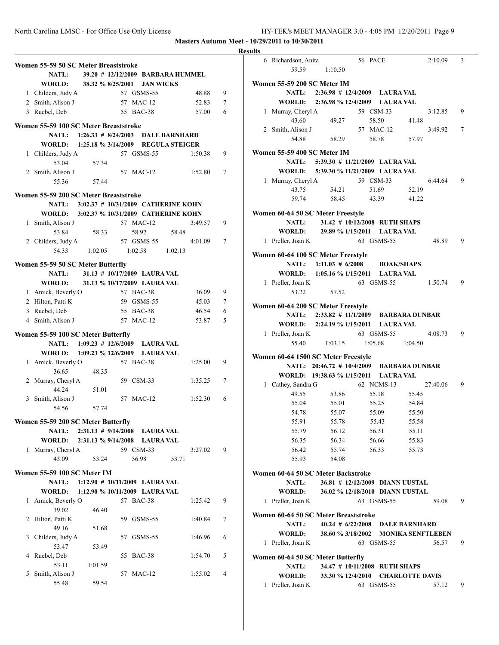|                                                                                 |                | <b>Results</b> |
|---------------------------------------------------------------------------------|----------------|----------------|
| Women 55-59 50 SC Meter Breaststroke                                            |                | 6 Ric          |
| <b>NATL:</b><br>39.20 # 12/12/2009 BARBARA HUMMEL                               |                |                |
| 38.32 % 8/25/2001 JAN WICKS<br><b>WORLD:</b>                                    |                | Women 5        |
| 1 Childers, Judy A<br>57 GSMS-55<br>48.88                                       | 9              |                |
| 2 Smith, Alison J<br>57 MAC-12<br>52.83                                         | 7              |                |
| 3 Ruebel, Deb<br>55 BAC-38<br>57.00                                             | 6              | 1 Mu           |
| Women 55-59 100 SC Meter Breaststroke                                           |                | $2 \,$ Sm      |
| 1:26.33 # 8/24/2003 DALE BARNHARD<br><b>NATL:</b>                               |                |                |
| WORLD: 1:25.18 % 3/14/2009 REGULA STEIGER                                       |                |                |
| 1 Childers, Judy A<br>57 GSMS-55<br>1:50.38<br>53.04<br>57.34                   | 9              | Women 5        |
| 2 Smith, Alison J<br>57 MAC-12<br>1:52.80                                       | $\tau$         |                |
| 55.36<br>57.44                                                                  |                | $1$ Mu         |
| Women 55-59 200 SC Meter Breaststroke                                           |                |                |
| 3:02.37 # 10/31/2009 CATHERINE KOHN<br><b>NATL:</b>                             |                |                |
| WORLD: 3:02.37 % 10/31/2009 CATHERINE KOHN                                      |                | Women 6        |
| 57 MAC-12<br>1 Smith, Alison J<br>3:49.57                                       | 9              |                |
| 53.84<br>58.33<br>58.92<br>58.48                                                |                |                |
| 2 Childers, Judy A<br>57 GSMS-55<br>4:01.09                                     | 7              | 1 Pre          |
| 54.33<br>1:02.58<br>1:02.05<br>1:02.13                                          |                | Women 6        |
| Women 55-59 50 SC Meter Butterfly                                               |                |                |
| 31.13 # 10/17/2009 LAURA VAL<br><b>NATL:</b>                                    |                |                |
| <b>WORLD:</b><br>31.13 % 10/17/2009 LAURA VAL                                   |                | 1 Pre          |
| 1 Amick, Beverly O<br>57 BAC-38<br>36.09                                        | 9              |                |
| 2 Hilton, Patti K<br>59 GSMS-55<br>45.03<br>3 Ruebel, Deb<br>55 BAC-38<br>46.54 | 7<br>6         | Women 6        |
| 4 Smith, Alison J<br>57 MAC-12<br>53.87                                         | 5              |                |
|                                                                                 |                |                |
| Women 55-59 100 SC Meter Butterfly                                              |                | 1 Pre          |
| NATL: 1:09.23 # 12/6/2009 LAURA VAL<br>WORLD: 1:09.23 % 12/6/2009 LAURA VAL     |                |                |
| 1 Amick, Beverly O<br>57 BAC-38<br>1:25.00                                      | 9              | Women 6        |
| 36.65<br>48.35                                                                  |                |                |
| 2 Murray, Cheryl A<br>59 CSM-33<br>1:35.25                                      | 7              |                |
| 44.24<br>51.01                                                                  |                | 1 Cat          |
| 57 MAC-12<br>3 Smith, Alison J<br>1:52.30                                       | 6              |                |
| 54.56<br>57.74                                                                  |                |                |
| Women 55-59 200 SC Meter Butterfly                                              |                |                |
| NATL: 2:31.13 # 9/14/2008 LAURA VAL                                             |                |                |
| WORLD: 2:31.13 % 9/14/2008 LAURA VAL                                            |                |                |
| 59 CSM-33<br>1 Murray, Cheryl A<br>3:27.02                                      | 9              |                |
| 43.09<br>53.24<br>56.98<br>53.71                                                |                |                |
| Women 55-59 100 SC Meter IM                                                     |                | Women 6        |
| 1:12.90 # 10/11/2009 LAURA VAL<br><b>NATL:</b>                                  |                |                |
| 1:12.90 % 10/11/2009 LAURA VAL<br><b>WORLD:</b>                                 |                |                |
| 1 Amick, Beverly O<br>57 BAC-38<br>1:25.42                                      | 9              | 1 Pre          |
| 39.02<br>46.40                                                                  |                | Women 6        |
| 2 Hilton, Patti K<br>59 GSMS-55<br>1:40.84                                      | 7              |                |
| 49.16<br>51.68                                                                  |                |                |
| 3 Childers, Judy A<br>57 GSMS-55<br>1:46.96                                     | 6              | 1 Pre          |
| 53.47<br>53.49<br>4 Ruebel, Deb<br>55 BAC-38<br>1:54.70                         | 5              |                |
| 53.11<br>1:01.59                                                                |                | Women 6        |
| 5 Smith, Alison J<br>57 MAC-12<br>1:55.02                                       | $\overline{4}$ |                |
| 55.48<br>59.54                                                                  |                | 1 Pre          |
|                                                                                 |                |                |

| ILS |                                      |                                                                               |            |                                 |       |          |   |
|-----|--------------------------------------|-------------------------------------------------------------------------------|------------|---------------------------------|-------|----------|---|
|     | 6 Richardson, Anita                  |                                                                               | 56 PACE    |                                 |       | 2:10.09  | 3 |
|     | 59.59                                | 1:10.50                                                                       |            |                                 |       |          |   |
|     | Women 55-59 200 SC Meter IM          |                                                                               |            |                                 |       |          |   |
|     |                                      | NATL: 2:36.98 # 12/4/2009 LAURA VAL                                           |            |                                 |       |          |   |
|     |                                      | WORLD: 2:36.98 % 12/4/2009 LAURA VAL                                          |            |                                 |       |          |   |
|     | 1 Murray, Cheryl A                   |                                                                               | 59 CSM-33  |                                 |       | 3:12.85  | 9 |
|     | 43.60                                | 49.27                                                                         |            | 58.50                           | 41.48 |          |   |
|     | 2 Smith, Alison J                    |                                                                               |            | 57 MAC-12                       |       | 3:49.92  | 7 |
|     | 54.88                                | 58.29                                                                         |            | 58.78                           | 57.97 |          |   |
|     |                                      |                                                                               |            |                                 |       |          |   |
|     | Women 55-59 400 SC Meter IM          |                                                                               |            |                                 |       |          |   |
|     |                                      | NATL: 5:39.30 # 11/21/2009 LAURA VAL<br>WORLD: 5:39.30 % 11/21/2009 LAURA VAL |            |                                 |       |          |   |
|     |                                      |                                                                               | 59 CSM-33  |                                 |       | 6:44.64  | 9 |
|     | 1 Murray, Cheryl A<br>43.75          | 54.21                                                                         |            | 51.69                           | 52.19 |          |   |
|     | 59.74                                | 58.45                                                                         |            | 43.39 41.22                     |       |          |   |
|     |                                      |                                                                               |            |                                 |       |          |   |
|     | Women 60-64 50 SC Meter Freestyle    |                                                                               |            |                                 |       |          |   |
|     | <b>NATL:</b>                         | 31.42 # 10/12/2008 RUTH SHAPS                                                 |            |                                 |       |          |   |
|     |                                      | WORLD: 29.89 % 1/15/2011 LAURA VAL                                            |            |                                 |       |          |   |
|     | 1 Preller, Joan K                    |                                                                               | 63 GSMS-55 |                                 |       | 48.89    | 9 |
|     | Women 60-64 100 SC Meter Freestyle   |                                                                               |            |                                 |       |          |   |
|     |                                      | NATL: $1:11.03 \# 6/2008$                                                     |            | <b>BOAK/SHAPS</b>               |       |          |   |
|     |                                      | WORLD: 1:05.16 % 1/15/2011 LAURA VAL                                          |            |                                 |       |          |   |
|     | 1 Preller, Joan K                    |                                                                               | 63 GSMS-55 |                                 |       | 1:50.74  | 9 |
|     | 53.22                                | 57.52                                                                         |            |                                 |       |          |   |
|     |                                      |                                                                               |            |                                 |       |          |   |
|     | Women 60-64 200 SC Meter Freestyle   |                                                                               |            |                                 |       |          |   |
|     |                                      | NATL: 2:33.82 # 11/1/2009 BARBARA DUNBAR                                      |            |                                 |       |          |   |
|     |                                      | WORLD: 2:24.19 % 1/15/2011 LAURA VAL                                          |            |                                 |       |          |   |
|     | 1 Preller, Joan K                    |                                                                               |            | 63 GSMS-55                      |       | 4:08.73  | 9 |
|     | 55.40                                | 1:03.15 1:05.68 1:04.50                                                       |            |                                 |       |          |   |
|     | Women 60-64 1500 SC Meter Freestyle  |                                                                               |            |                                 |       |          |   |
|     |                                      | NATL: 20:46.72 # 10/4/2009 BARBARA DUNBAR                                     |            |                                 |       |          |   |
|     |                                      | WORLD: 19:38.63 % 1/15/2011 LAURA VAL                                         |            |                                 |       |          |   |
|     | 1 Cathey, Sandra G                   |                                                                               |            | 62 NCMS-13                      |       | 27:40.06 | 9 |
|     | 49.55                                | 53.86                                                                         |            | 55.18                           | 55.45 |          |   |
|     | 55.04                                | 55.01                                                                         |            | 55.25                           | 54.84 |          |   |
|     | 54.78                                | 55.07                                                                         |            | 55.09                           | 55.50 |          |   |
|     | 55.91                                | 55.78                                                                         |            | 55.43                           | 55.58 |          |   |
|     | 55.79                                | 56.12                                                                         |            | 56.31                           | 55.11 |          |   |
|     | 56.35                                | 56.34                                                                         |            | 56.66                           | 55.83 |          |   |
|     | 56.42                                | 55.74                                                                         |            | 56.33                           | 55.73 |          |   |
|     | 55.93                                | 54.08                                                                         |            |                                 |       |          |   |
|     | Women 60-64 50 SC Meter Backstroke   |                                                                               |            |                                 |       |          |   |
|     | <b>NATL:</b>                         | 36.81 # 12/12/2009 DIANN UUSTAL                                               |            |                                 |       |          |   |
|     | <b>WORLD:</b>                        | 36.02 % 12/18/2010 DIANN UUSTAL                                               |            |                                 |       |          |   |
| 1   | Preller, Joan K                      |                                                                               |            | 63 GSMS-55                      |       | 59.08    | 9 |
|     |                                      |                                                                               |            |                                 |       |          |   |
|     | Women 60-64 50 SC Meter Breaststroke |                                                                               |            |                                 |       |          |   |
|     |                                      |                                                                               |            | 40.24 # 6/22/2008 DALE BARNHARD |       |          |   |
|     | <b>NATL:</b>                         |                                                                               |            |                                 |       |          |   |
|     | <b>WORLD:</b>                        | 38.60 % 3/18/2002 MONIKA SENFTLEBEN                                           |            |                                 |       |          |   |
| 1   | Preller, Joan K                      |                                                                               |            | 63 GSMS-55                      |       | 56.57    | 9 |
|     | Women 60-64 50 SC Meter Butterfly    |                                                                               |            |                                 |       |          |   |
|     | <b>NATL:</b>                         | 34.47 # 10/11/2008 RUTH SHAPS                                                 |            |                                 |       |          |   |
|     |                                      | WORLD: 33.30 % 12/4/2010 CHARLOTTE DAVIS                                      |            |                                 |       |          |   |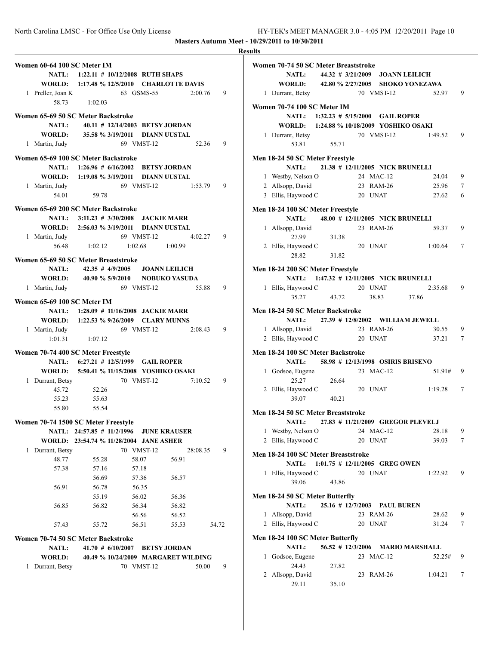|                                                    |                     |                                                       |       |               | <b>Results</b> |
|----------------------------------------------------|---------------------|-------------------------------------------------------|-------|---------------|----------------|
| Women 60-64 100 SC Meter IM                        |                     |                                                       |       |               | Wα             |
|                                                    |                     | NATL: 1:22.11 # 10/12/2008 RUTH SHAPS                 |       |               |                |
|                                                    |                     | WORLD: 1:17.48 % 12/5/2010 CHARLOTTE DAVIS            |       |               |                |
| 1 Preller, Joan K                                  |                     | 63 GSMS-55                                            |       | 2:00.76<br>9  |                |
| 58.73                                              | 1:02.03             |                                                       |       |               | Wα             |
| Women 65-69 50 SC Meter Backstroke                 |                     |                                                       |       |               |                |
| <b>NATL:</b>                                       |                     | 40.11 # 12/14/2003 BETSY JORDAN                       |       |               |                |
| WORLD:                                             |                     | 35.58 % 3/19/2011 DIANN UUSTAL                        |       |               |                |
| 1 Martin, Judy                                     |                     | 69 VMST-12                                            |       | 52.36<br>9    |                |
| Women 65-69 100 SC Meter Backstroke                |                     |                                                       |       |               | Me             |
|                                                    |                     | NATL: 1:26.96 # 6/16/2002 BETSY JORDAN                |       |               |                |
|                                                    |                     | WORLD: 1:19.08 % 3/19/2011 DIANN UUSTAL               |       |               |                |
| 1 Martin, Judy                                     |                     | 69 VMST-12                                            |       | 1:53.79<br>9  |                |
|                                                    | 54.01 59.78         |                                                       |       |               |                |
|                                                    |                     |                                                       |       |               |                |
| Women 65-69 200 SC Meter Backstroke                |                     |                                                       |       |               | Me             |
|                                                    |                     | NATL: 3:11.23 # 3/30/2008 JACKIE MARR                 |       |               |                |
|                                                    |                     | WORLD: 2:56.03 % 3/19/2011 DIANN UUSTAL<br>69 VMST-12 |       | 9             |                |
| 1 Martin, Judy<br>56.48                            |                     | $1:02.12$ $1:02.68$ $1:00.99$                         |       | 4:02.27       |                |
|                                                    |                     |                                                       |       |               |                |
| Women 65-69 50 SC Meter Breaststroke               |                     |                                                       |       |               |                |
| <b>NATL:</b>                                       |                     | 42.35 # 4/9/2005 JOANN LEILICH                        |       |               | Me             |
|                                                    |                     | WORLD: 40.90 % 5/9/2010 NOBUKO YASUDA                 |       |               |                |
| 1 Martin, Judy                                     |                     | 69 VMST-12                                            |       | 55.88<br>9    |                |
| Women 65-69 100 SC Meter IM                        |                     |                                                       |       |               |                |
|                                                    |                     | NATL: 1:28.09 # 11/16/2008 JACKIE MARR                |       |               | Me             |
|                                                    |                     | WORLD: 1:22.53 % 9/26/2009 CLARY MUNNS                |       |               |                |
| 1 Martin, Judy                                     |                     | 69 VMST-12                                            |       | 2:08.43<br>9  |                |
|                                                    | $1:01.31$ $1:07.12$ |                                                       |       |               |                |
| Women 70-74 400 SC Meter Freestyle                 |                     |                                                       |       |               | Me             |
|                                                    |                     | NATL: 6:27.21 # 12/5/1999 GAIL ROPER                  |       |               |                |
|                                                    |                     | WORLD: 5:50.41 % 11/15/2008 YOSHIKO OSAKI             |       |               |                |
| 1 Durrant, Betsy                                   |                     | 70 VMST-12                                            |       | 7:10.52<br>9  |                |
| 45.72                                              | 52.26               |                                                       |       |               |                |
| 55.23                                              | 55.63               |                                                       |       |               |                |
| 55.80                                              | 55.54               |                                                       |       |               |                |
|                                                    |                     |                                                       |       |               | Me             |
| Women 70-74 1500 SC Meter Freestyle                |                     | NATL: 24:57.85 # 11/2/1996 JUNE KRAUSER               |       |               |                |
|                                                    |                     | WORLD: 23:54.74 % 11/28/2004 JANE ASHER               |       |               |                |
| 1 Durrant, Betsy                                   |                     | 70 VMST-12                                            |       | 28:08.35<br>9 |                |
| 48.77                                              | 55.28               | 58.07                                                 | 56.91 |               | Me             |
| 57.38                                              | 57.16               | 57.18                                                 |       |               |                |
|                                                    | 56.69               | 57.36                                                 | 56.57 |               |                |
| 56.91                                              | 56.78               | 56.35                                                 |       |               |                |
|                                                    | 55.19               | 56.02                                                 | 56.36 |               | Me             |
| 56.85                                              | 56.82               | 56.34                                                 | 56.82 |               |                |
|                                                    |                     | 56.56                                                 | 56.52 |               |                |
| 57.43                                              | 55.72               | 56.51                                                 | 55.53 | 54.72         |                |
|                                                    |                     |                                                       |       |               |                |
| Women 70-74 50 SC Meter Backstroke<br><b>NATL:</b> |                     | 41.70 # 6/10/2007 BETSY JORDAN                        |       |               | Me             |
| <b>WORLD:</b>                                      |                     | 40.49 % 10/24/2009 MARGARET WILDING                   |       |               |                |
| 1 Durrant, Betsy                                   |                     | 70 VMST-12                                            |       | 50.00<br>9    |                |
|                                                    |                     |                                                       |       |               |                |
|                                                    |                     |                                                       |       |               |                |

|   | Women 70-74 50 SC Meter Breaststroke      |                                          |         |            |                                         |                 |
|---|-------------------------------------------|------------------------------------------|---------|------------|-----------------------------------------|-----------------|
|   | <b>NATL:</b>                              | 44.32 # 3/21/2009 JOANN LEILICH          |         |            |                                         |                 |
|   | <b>WORLD:</b>                             |                                          |         |            | 42.80 % 2/27/2005 SHOKO YONEZAWA        |                 |
|   | 1 Durrant, Betsy                          |                                          |         | 70 VMST-12 | 52.97                                   | 9               |
|   | Women 70-74 100 SC Meter IM               |                                          |         |            |                                         |                 |
|   |                                           | NATL: 1:32.23 # 5/15/2000 GAIL ROPER     |         |            |                                         |                 |
|   | WORLD: 1:24.88 % 10/18/2009 YOSHIKO OSAKI |                                          |         |            |                                         |                 |
|   | 1 Durrant, Betsy                          |                                          |         | 70 VMST-12 | 1:49.52                                 | 9               |
|   | 53.81                                     | 55.71                                    |         |            |                                         |                 |
|   | Men 18-24 50 SC Meter Freestyle           |                                          |         |            |                                         |                 |
|   | <b>NATL:</b>                              | 21.38 # 12/11/2005 NICK BRUNELLI         |         |            |                                         |                 |
|   | 1 Westby, Nelson O                        |                                          |         | 24 MAC-12  | 24.04                                   | 9               |
|   | 2 Allsopp, David                          |                                          |         | 23 RAM-26  | 25.96                                   | 7               |
|   | 3 Ellis, Haywood C                        |                                          |         | 20 UNAT    | 27.62                                   | 6               |
|   | Men 18-24 100 SC Meter Freestyle          |                                          |         |            |                                         |                 |
|   | <b>NATL:</b>                              | 48.00 # 12/11/2005 NICK BRUNELLI         |         |            |                                         |                 |
|   | 1 Allsopp, David                          |                                          |         | 23 RAM-26  | 59.37                                   | 9               |
|   | 27.99                                     | 31.38                                    |         |            |                                         |                 |
|   | 2 Ellis, Haywood C                        |                                          |         | 20 UNAT    | 1:00.64                                 | 7               |
|   | 28.82                                     | 31.82                                    |         |            |                                         |                 |
|   | Men 18-24 200 SC Meter Freestyle          |                                          |         |            |                                         |                 |
|   |                                           | NATL: 1:47.32 # 12/11/2005 NICK BRUNELLI |         |            |                                         |                 |
|   | 1 Ellis, Haywood C                        |                                          |         | 20 UNAT    | 2:35.68                                 | 9               |
|   | 35.27                                     | 43.72                                    |         | 38.83      | 37.86                                   |                 |
|   |                                           |                                          |         |            |                                         |                 |
|   | Men 18-24 50 SC Meter Backstroke          |                                          |         |            |                                         |                 |
|   | <b>NATL:</b>                              |                                          |         |            | 27.39 # 12/8/2002 WILLIAM JEWELL        |                 |
|   | 1 Allsopp, David                          |                                          |         | 23 RAM-26  | 30.55                                   | 9               |
|   | 2 Ellis, Haywood C                        |                                          |         | 20 UNAT    | 37.21                                   | $7\phantom{.0}$ |
|   | Men 18-24 100 SC Meter Backstroke         |                                          |         |            |                                         |                 |
|   | <b>NATL:</b>                              | 58.98 # 12/13/1998 OSIRIS BRISENO        |         |            |                                         |                 |
|   | 1 Godsoe, Eugene                          |                                          |         | 23 MAC-12  | 51.91#                                  | 9               |
|   | 25.27                                     | 26.64                                    |         |            |                                         |                 |
|   | 2 Ellis, Haywood C                        |                                          |         | 20 UNAT    | 1:19.28                                 | 7               |
|   | 39.07                                     | 40.21                                    |         |            |                                         |                 |
|   |                                           |                                          |         |            |                                         |                 |
|   | Men 18-24 50 SC Meter Breaststroke        |                                          |         |            |                                         |                 |
|   |                                           |                                          |         |            | NATL: 27.83 # 11/21/2009 GREGOR PLEVELJ |                 |
|   | 1 Westby, Nelson O                        |                                          |         | 24 MAC-12  | 28.18                                   | 9               |
|   | 2 Ellis, Haywood C                        |                                          |         | 20 UNAT    | 39.03                                   | 7               |
|   | Men 18-24 100 SC Meter Breaststroke       |                                          |         |            |                                         |                 |
|   | <b>NATL:</b>                              | 1:01.75 # 12/11/2005 GREG OWEN           |         |            |                                         |                 |
|   | 1 Ellis, Haywood C                        |                                          |         | 20 UNAT    | 1:22.92                                 | 9               |
|   | 39.06                                     | 43.86                                    |         |            |                                         |                 |
|   |                                           |                                          |         |            |                                         |                 |
|   | Men 18-24 50 SC Meter Butterfly           |                                          |         |            |                                         |                 |
|   | <b>NATL:</b>                              | 25.16 # 12/7/2003 PAUL BUREN             |         |            |                                         |                 |
| 1 | Allsopp, David                            |                                          |         | 23 RAM-26  | 28.62                                   | 9               |
|   | 2 Ellis, Haywood C                        |                                          | 20 UNAT |            | 31.24                                   | 7               |
|   | Men 18-24 100 SC Meter Butterfly          |                                          |         |            |                                         |                 |
|   | <b>NATL:</b>                              | $56.52$ # 12/3/2006                      |         |            | <b>MARIO MARSHALL</b>                   |                 |
|   | 1 Godsoe, Eugene                          |                                          |         | 23 MAC-12  | 52.25#                                  | 9               |
|   | 24.43                                     | 27.82                                    |         |            |                                         |                 |
|   | 2 Allsopp, David                          |                                          |         | 23 RAM-26  | 1:04.21                                 | 7               |
|   | 29.11                                     | 35.10                                    |         |            |                                         |                 |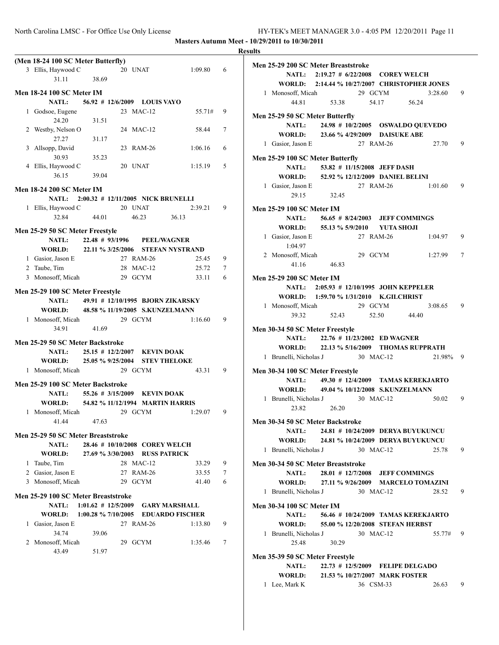|   | (Men 18-24 100 SC Meter Butterfly)       |       |                                          |         |   |
|---|------------------------------------------|-------|------------------------------------------|---------|---|
|   | 3 Ellis, Haywood C                       |       | 20 UNAT                                  | 1:09.80 | 6 |
|   | 31.11                                    | 38.69 |                                          |         |   |
|   | <b>Men 18-24 100 SC Meter IM</b>         |       |                                          |         |   |
|   |                                          |       | NATL: 56.92 # 12/6/2009 LOUIS VAYO       |         |   |
|   |                                          |       | 23 MAC-12                                |         | 9 |
| 1 | Godsoe, Eugene<br>24.20                  |       |                                          | 55.71#  |   |
|   |                                          | 31.51 |                                          | 58.44   | 7 |
|   | 2 Westby, Nelson O<br>27.27              |       | 24 MAC-12                                |         |   |
| 3 | Allsopp, David                           | 31.17 | 23 RAM-26                                | 1:06.16 | 6 |
|   | 30.93                                    | 35.23 |                                          |         |   |
|   | 4 Ellis, Haywood C                       |       | 20 UNAT                                  | 1:15.19 | 5 |
|   | 36.15                                    | 39.04 |                                          |         |   |
|   |                                          |       |                                          |         |   |
|   | Men 18-24 200 SC Meter IM                |       |                                          |         |   |
|   |                                          |       | NATL: 2:00.32 # 12/11/2005 NICK BRUNELLI |         |   |
|   | 1 Ellis, Haywood C                       |       | 20 UNAT                                  | 2:39.21 | 9 |
|   | 32.84                                    | 44.01 | 46.23                                    | 36.13   |   |
|   | Men 25-29 50 SC Meter Freestyle          |       |                                          |         |   |
|   |                                          |       | NATL: 22.48 # 93/1996 PEEL/WAGNER        |         |   |
|   | WORLD: 22.11 % 3/25/2006 STEFAN NYSTRAND |       |                                          |         |   |
|   | 1 Gasior, Jason E                        |       | 27 RAM-26                                | 25.45   | 9 |
|   | 2 Taube, Tim                             |       | 28 MAC-12                                | 25.72   | 7 |
|   | 3 Monosoff, Micah                        |       | 29 GCYM                                  | 33.11   | 6 |
|   |                                          |       |                                          |         |   |
|   | Men 25-29 100 SC Meter Freestyle         |       |                                          |         |   |
|   | <b>NATL:</b>                             |       | 49.91 # 12/10/1995 BJORN ZIKARSKY        |         |   |
|   | WORLD: 48.58 % 11/19/2005 S.KUNZELMANN   |       |                                          |         |   |
|   | 1 Monosoff, Micah                        |       | 29 GCYM                                  | 1:16.60 | 9 |
|   | 34.91                                    | 41.69 |                                          |         |   |
|   | Men 25-29 50 SC Meter Backstroke         |       |                                          |         |   |
|   |                                          |       | NATL: 25.15 # 12/2/2007 KEVIN DOAK       |         |   |
|   | WORLD: 25.05 % 9/25/2004 STEV THELOKE    |       |                                          |         |   |
|   | 1 Monosoff, Micah                        |       | 29 GCYM                                  | 43.31   | 9 |
|   |                                          |       |                                          |         |   |
|   | Men 25-29 100 SC Meter Backstroke        |       |                                          |         |   |
|   | <b>NATL:</b>                             |       | 55.26 # 3/15/2009 KEVIN DOAK             |         |   |
|   | <b>WORLD:</b>                            |       | 54.82 % 11/12/1994   MARTIN HARRIS       |         |   |
|   | 1 Monosoff, Micah                        |       | 29 GCYM                                  | 1:29.07 | 9 |
|   | 41.44                                    | 47.63 |                                          |         |   |
|   | Men 25-29 50 SC Meter Breaststroke       |       |                                          |         |   |
|   | <b>NATL:</b>                             |       | 28.46 # 10/10/2008 COREY WELCH           |         |   |
|   | <b>WORLD:</b>                            |       | 27.69 % 3/30/2003 RUSS PATRICK           |         |   |
|   | 1 Taube, Tim                             |       | 28 MAC-12                                | 33.29   | 9 |
|   | 2 Gasior, Jason E                        |       | 27 RAM-26                                | 33.55   | 7 |
|   | 3 Monosoff, Micah                        |       | 29 GCYM                                  | 41.40   | 6 |
|   |                                          |       |                                          |         |   |
|   | Men 25-29 100 SC Meter Breaststroke      |       |                                          |         |   |
|   | <b>NATL:</b>                             |       | 1:01.62 # 12/5/2009 GARY MARSHALL        |         |   |
|   | <b>WORLD:</b>                            |       | 1:00.28 % 7/10/2005 EDUARDO FISCHER      |         |   |
| 1 | Gasior, Jason E                          |       | 27 RAM-26                                | 1:13.80 | 9 |
|   | 34.74                                    | 39.06 |                                          |         |   |
| 2 | Monosoff, Micah                          |       | 29 GCYM                                  | 1:35.46 | 7 |
|   | 43.49                                    | 51.97 |                                          |         |   |
|   |                                          |       |                                          |         |   |

| Men 25-29 200 SC Meter Breaststroke           |                                          |           |          |                |
|-----------------------------------------------|------------------------------------------|-----------|----------|----------------|
|                                               | NATL: 2:19.27 # 6/22/2008 COREY WELCH    |           |          |                |
| WORLD: 2:14.44 % 10/27/2007 CHRISTOPHER JONES |                                          |           |          |                |
| 1 Monosoff, Micah                             |                                          | 29 GCYM   | 3:28.60  | 9              |
| 44.81                                         | 53.38 54.17 56.24                        |           |          |                |
|                                               |                                          |           |          |                |
| Men 25-29 50 SC Meter Butterfly               |                                          |           |          |                |
|                                               | NATL: 24.98 # 10/2/2005 OSWALDO QUEVEDO  |           |          |                |
| WORLD: 23.66 % 4/29/2009 DAISUKE ABE          |                                          |           |          |                |
| 1 Gasior, Jason E                             |                                          | 27 RAM-26 | 27.70    | 9              |
| Men 25-29 100 SC Meter Butterfly              |                                          |           |          |                |
| <b>NATL:</b>                                  | 53.82 # 11/15/2008 JEFF DASH             |           |          |                |
| WORLD: 52.92 % 12/12/2009 DANIEL BELINI       |                                          |           |          |                |
| 1 Gasior, Jason E                             |                                          | 27 RAM-26 | 1:01.60  | -9             |
| 29.15                                         | 32.45                                    |           |          |                |
|                                               |                                          |           |          |                |
| Men 25-29 100 SC Meter IM                     |                                          |           |          |                |
|                                               | NATL: 56.65 # 8/24/2003 JEFF COMMINGS    |           |          |                |
| WORLD: 55.13 % 5/9/2010 YUTA SHOJI            |                                          |           |          |                |
| 1 Gasior, Jason E                             |                                          | 27 RAM-26 | 1:04.97  | 9              |
| 1:04.97                                       |                                          |           |          |                |
| 2 Monosoff, Micah                             |                                          | 29 GCYM   | 1:27.99  | 7              |
| 41.16                                         | 46.83                                    |           |          |                |
|                                               |                                          |           |          |                |
| <b>Men 25-29 200 SC Meter IM</b>              |                                          |           |          |                |
|                                               | NATL: 2:05.93 # 12/10/1995 JOHN KEPPELER |           |          |                |
| WORLD: 1:59.70 % 1/31/2010 K.GILCHRIST        |                                          |           |          |                |
| 1 Monosoff, Micah                             |                                          | 29 GCYM   | 3:08.65  | $\overline{9}$ |
| 39.32                                         | 52.43 52.50 44.40                        |           |          |                |
| Men 30-34 50 SC Meter Freestyle               |                                          |           |          |                |
|                                               | NATL: 22.76 # 11/23/2002 ED WAGNER       |           |          |                |
| WORLD: 22.13 % 5/16/2009 THOMAS RUPPRATH      |                                          |           |          |                |
| 1 Brunelli, Nicholas J 30 MAC-12              |                                          |           | 21.98% 9 |                |
|                                               |                                          |           |          |                |
| Men 30-34 100 SC Meter Freestyle              |                                          |           |          |                |
|                                               | NATL: 49.30 # 12/4/2009 TAMAS KEREKJARTO |           |          |                |
| WORLD: 49.04 % 10/12/2008 S.KUNZELMANN        |                                          |           |          |                |
| 1 Brunelli, Nicholas J 30 MAC-12              |                                          |           | 50.02    | 9              |
| 23.82                                         | 26.20                                    |           |          |                |
| Men 30-34 50 SC Meter Backstroke              |                                          |           |          |                |
| <b>NATL:</b>                                  | 24.81 # 10/24/2009 DERYA BUYUKUNCU       |           |          |                |
| WORLD: 24.81 % 10/24/2009 DERYA BUYUKUNCU     |                                          |           |          |                |
|                                               |                                          |           |          |                |
| 1 Brunelli, Nicholas J                        |                                          | 30 MAC-12 | 25.78    | 9              |
| Men 30-34 50 SC Meter Breaststroke            |                                          |           |          |                |
|                                               | NATL: 28.01 # 12/7/2008 JEFF COMMINGS    |           |          |                |
| WORLD: 27.11 % 9/26/2009 MARCELO TOMAZINI     |                                          |           |          |                |
| 1 Brunelli, Nicholas J                        |                                          | 30 MAC-12 | 28.52    | 9              |
|                                               |                                          |           |          |                |
| Men 30-34 100 SC Meter IM                     |                                          |           |          |                |
| <b>NATL:</b>                                  | 56.46 # 10/24/2009 TAMAS KEREKJARTO      |           |          |                |
| WORLD:                                        | 55.00 % 12/20/2008 STEFAN HERBST         |           |          |                |
| 1 Brunelli, Nicholas J                        |                                          | 30 MAC-12 | 55.77#   | 9              |
| 25.48                                         | 30.29                                    |           |          |                |
| Men 35-39 50 SC Meter Freestyle               |                                          |           |          |                |
| <b>NATL:</b>                                  | 22.73 # 12/5/2009 FELIPE DELGADO         |           |          |                |
| WORLD: 21.53 % 10/27/2007 MARK FOSTER         |                                          |           |          |                |
|                                               |                                          |           |          |                |
| 1 Lee, Mark K                                 |                                          | 36 CSM-33 | 26.63 9  |                |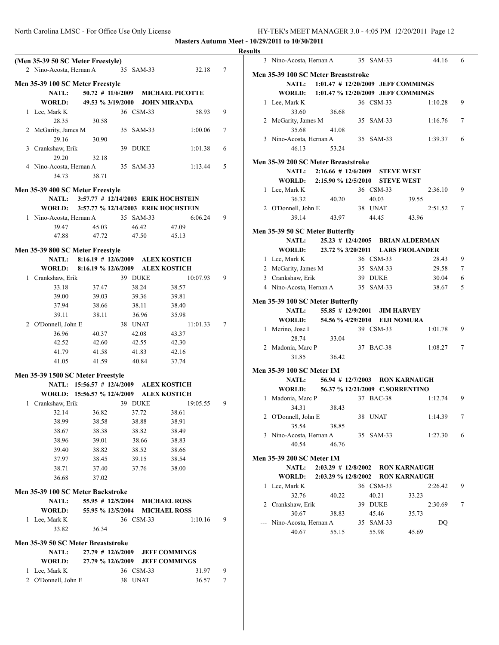|                                    |                                          |                                |                                              |   | <b>Results</b>                                                                   |
|------------------------------------|------------------------------------------|--------------------------------|----------------------------------------------|---|----------------------------------------------------------------------------------|
| (Men 35-39 50 SC Meter Freestyle)  |                                          |                                |                                              |   | 35 SAM-33<br>44.16<br>3 Nino-Acosta, Hernan A                                    |
| 2 Nino-Acosta, Hernan A            |                                          | 35 SAM-33                      | 32.18                                        | 7 | Men 35-39 100 SC Meter Breaststroke                                              |
| Men 35-39 100 SC Meter Freestyle   |                                          |                                |                                              |   | NATL:<br>1:01.47 # 12/20/2009 JEFF COMMINGS                                      |
| NATL:                              | $50.72$ # 11/6/2009                      |                                | <b>MICHAEL PICOTTE</b>                       |   | <b>WORLD:</b><br>1:01.47 % 12/20/2009 JEFF COMMINGS                              |
| <b>WORLD:</b>                      | 49.53 % 3/19/2000                        |                                | <b>JOHN MIRANDA</b>                          |   | 36 CSM-33<br>1 Lee, Mark K<br>1:10.28                                            |
| 1 Lee, Mark K                      |                                          | 36 CSM-33                      | 58.93                                        | 9 | 33.60<br>36.68                                                                   |
| 28.35                              | 30.58                                    |                                |                                              |   | 2 McGarity, James M<br>35 SAM-33<br>1:16.76                                      |
| 2 McGarity, James M                |                                          | 35 SAM-33                      | 1:00.06                                      | 7 | 35.68<br>41.08                                                                   |
| 29.16                              | 30.90                                    |                                |                                              |   | 3 Nino-Acosta, Hernan A<br>35 SAM-33<br>1:39.37                                  |
| 3 Crankshaw, Erik                  |                                          | 39 DUKE                        | 1:01.38                                      | 6 | 46.13<br>53.24                                                                   |
| 29.20                              | 32.18                                    |                                |                                              |   | Men 35-39 200 SC Meter Breaststroke                                              |
| 4 Nino-Acosta, Hernan A            |                                          | 35 SAM-33                      | 1:13.44                                      | 5 | NATL:<br>$2:16.66 \# 12/6/2009$<br><b>STEVE WEST</b>                             |
| 34.73                              | 38.71                                    |                                |                                              |   | <b>WORLD:</b><br>2:15.90 % 12/5/2010<br><b>STEVE WEST</b>                        |
| Men 35-39 400 SC Meter Freestyle   |                                          |                                |                                              |   | 36 CSM-33<br>1 Lee, Mark K<br>2:36.10                                            |
| <b>NATL:</b>                       |                                          |                                | 3:57.77 # 12/14/2003 ERIK HOCHSTEIN          |   | 36.32<br>40.03<br>39.55<br>40.20                                                 |
| <b>WORLD:</b>                      |                                          |                                | 3:57.77 % 12/14/2003 ERIK HOCHSTEIN          |   | 2 O'Donnell, John E<br>38 UNAT<br>2:51.52                                        |
| 1 Nino-Acosta, Hernan A            |                                          | 35 SAM-33                      | 6:06.24                                      | 9 | 39.14<br>43.97<br>44.45<br>43.96                                                 |
| 39.47                              | 45.03                                    | 46.42                          | 47.09                                        |   | Men 35-39 50 SC Meter Butterfly                                                  |
| 47.88                              | 47.72                                    | 47.50                          | 45.13                                        |   | NATL:<br>$25.23 \# 12/4/2005$<br>BRIAN ALDERMAN                                  |
| Men 35-39 800 SC Meter Freestyle   |                                          |                                |                                              |   | WORLD:<br>23.72 % 3/20/2011<br><b>LARS FROLANDER</b>                             |
| NATL:                              | $8:16.19$ # 12/6/2009                    |                                | <b>ALEX KOSTICH</b>                          |   | 1 Lee, Mark K<br>36 CSM-33<br>28.43                                              |
| WORLD:                             | 8:16.19 % 12/6/2009                      |                                | <b>ALEX KOSTICH</b>                          |   | 2 McGarity, James M<br>35 SAM-33<br>29.58                                        |
| 1 Crankshaw, Erik                  |                                          | 39 DUKE                        | 10:07.93                                     | 9 | 3 Crankshaw, Erik<br>39 DUKE<br>30.04                                            |
| 33.18                              | 37.47                                    | 38.24                          | 38.57                                        |   | 4 Nino-Acosta, Hernan A<br>35 SAM-33<br>38.67                                    |
| 39.00                              | 39.03                                    | 39.36                          | 39.81                                        |   |                                                                                  |
| 37.94                              | 38.66                                    | 38.11                          | 38.40                                        |   | Men 35-39 100 SC Meter Butterfly                                                 |
| 39.11                              | 38.11                                    | 36.96                          | 35.98                                        |   | NATL:<br>55.85 # 12/9/2001<br><b>JIM HARVEY</b>                                  |
| 2 O'Donnell, John E                |                                          | 38 UNAT                        | 11:01.33                                     | 7 | WORLD:<br>54.56 % 4/29/2010 EIJI NOMURA                                          |
| 36.96                              | 40.37                                    | 42.08                          | 43.37                                        |   | 39 CSM-33<br>1:01.78<br>1 Merino, Jose I                                         |
| 42.52                              | 42.60                                    | 42.55                          | 42.30                                        |   | 28.74<br>33.04<br>2 Madonia, Marc P<br>37 BAC-38<br>1:08.27                      |
| 41.79                              | 41.58                                    | 41.83                          | 42.16                                        |   | 31.85<br>36.42                                                                   |
| 41.05                              | 41.59                                    | 40.84                          | 37.74                                        |   |                                                                                  |
| Men 35-39 1500 SC Meter Freestyle  |                                          |                                |                                              |   | Men 35-39 100 SC Meter IM                                                        |
|                                    | NATL: 15:56.57 # 12/4/2009               |                                | <b>ALEX KOSTICH</b>                          |   | RON KARNAUGH<br>NATL:<br>$56.94$ # 12/7/2003                                     |
|                                    | WORLD: 15:56.57 % 12/4/2009              |                                | <b>ALEX KOSTICH</b>                          |   | <b>WORLD:</b><br>56.37 % 12/21/2009 C.SORRENTINO                                 |
| 1 Crankshaw, Erik                  |                                          | 39 DUKE                        | 19:05.55                                     | 9 | 1 Madonia, Marc P<br>37 BAC-38<br>1:12.74                                        |
| 32.14                              | 36.82                                    | 37.72                          | 38.61                                        |   | 38.43<br>34.31                                                                   |
| 38.99                              | 38.58                                    | 38.88                          | 38.91                                        |   | 2 O'Donnell, John E<br>38 UNAT<br>1:14.39                                        |
| 38.67                              | 38.38                                    | 38.82                          | 38.49                                        |   | 35.54<br>38.85<br>3 Nino-Acosta, Hernan A<br>35 SAM-33<br>1:27.30                |
| 38.96                              | 39.01                                    | 38.66                          | 38.83                                        |   | 40.54<br>46.76                                                                   |
| 39.40                              | 38.82                                    | 38.52                          | 38.66                                        |   |                                                                                  |
| 37.97                              | 38.45                                    | 39.15                          | 38.54                                        |   | Men 35-39 200 SC Meter IM                                                        |
| 38.71                              | 37.40                                    | 37.76                          | 38.00                                        |   | <b>NATL:</b><br>$2:03.29$ # $12/8/2002$<br>RON KARNAUGH                          |
| 36.68                              | 37.02                                    |                                |                                              |   | <b>WORLD:</b><br>2:03.29 % 12/8/2002 RON KARNAUGH                                |
| Men 35-39 100 SC Meter Backstroke  |                                          |                                |                                              |   | 1 Lee, Mark K<br>36 CSM-33<br>2:26.42                                            |
| <b>NATL:</b>                       | 55.95 # 12/5/2004                        |                                | <b>MICHAEL ROSS</b>                          |   | 32.76<br>40.22<br>40.21<br>33.23                                                 |
| WORLD:                             |                                          | 55.95 % 12/5/2004 MICHAEL ROSS |                                              |   | 2 Crankshaw, Erik<br>39 DUKE<br>2:30.69                                          |
| 1 Lee, Mark K                      |                                          | 36 CSM-33                      | 1:10.16                                      | 9 | 30.67<br>38.83<br>45.46<br>35.73<br>--- Nino-Acosta, Hernan A<br>35 SAM-33<br>DQ |
| 33.82                              | 36.34                                    |                                |                                              |   | 40.67<br>45.69<br>55.15<br>55.98                                                 |
|                                    |                                          |                                |                                              |   |                                                                                  |
| Men 35-39 50 SC Meter Breaststroke |                                          |                                |                                              |   |                                                                                  |
| <b>NATL:</b><br>WORLD:             | $27.79$ # 12/6/2009<br>27.79 % 12/6/2009 |                                | <b>JEFF COMMINGS</b><br><b>JEFF COMMINGS</b> |   |                                                                                  |
| 1 Lee, Mark K                      |                                          | 36 CSM-33                      | 31.97                                        | 9 |                                                                                  |
|                                    |                                          |                                |                                              |   |                                                                                  |
| 2 O'Donnell, John E                |                                          | 38 UNAT                        | 36.57                                        | 7 |                                                                                  |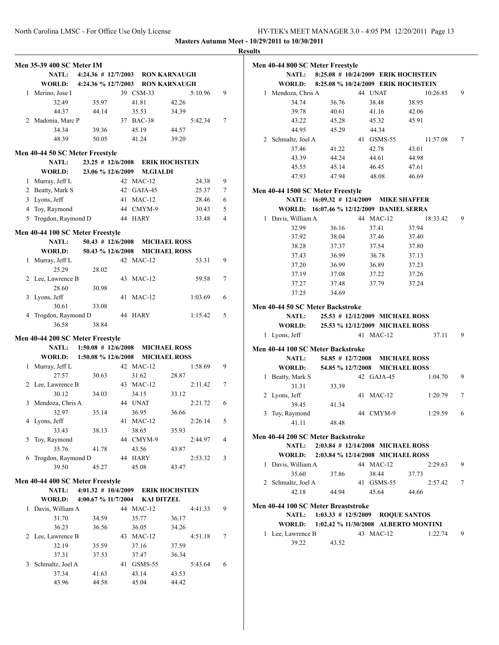|              | Men 35-39 400 SC Meter IM        |                                        |    |       |                       |       |         |   |
|--------------|----------------------------------|----------------------------------------|----|-------|-----------------------|-------|---------|---|
|              |                                  | NATL: 4:24.36 # 12/7/2003 RON KARNAUGH |    |       |                       |       |         |   |
|              |                                  | WORLD: 4:24.36 % 12/7/2003             |    |       | <b>RON KARNAUGH</b>   |       |         |   |
|              | 1 Merino, Jose I                 |                                        |    |       | 39 CSM-33             |       | 5:10.96 | 9 |
|              | 32.49                            | 35.97                                  |    | 41.81 |                       | 42.26 |         |   |
|              | 44.37                            | 44.14                                  |    | 35.53 |                       | 34.39 |         |   |
|              | 2 Madonia, Marc P                |                                        |    |       | 37 BAC-38             |       | 5:42.34 | 7 |
|              | 34.34                            | 39.36                                  |    | 45.19 |                       | 44.57 |         |   |
|              | 48.39                            | 50.05                                  |    |       | 41.24                 | 39.20 |         |   |
|              |                                  |                                        |    |       |                       |       |         |   |
|              | Men 40-44 50 SC Meter Freestyle  |                                        |    |       |                       |       |         |   |
|              | <b>NATL:</b>                     | $23.25$ # 12/6/2008                    |    |       | <b>ERIK HOCHSTEIN</b> |       |         |   |
|              | WORLD:                           | 23.06 % 12/6/2009                      |    |       | <b>M.GIALDI</b>       |       |         |   |
|              | 1 Murray, Jeff L                 |                                        |    |       | 42 MAC-12             |       | 24.38   | 9 |
|              | 2 Beatty, Mark S                 |                                        |    |       | 42 GAJA-45            |       | 25.37   | 7 |
|              | 3 Lyons, Jeff                    |                                        |    |       | 41 MAC-12             |       | 28.46   | 6 |
|              | 4 Toy, Raymond                   |                                        |    |       | 44 CMYM-9             |       | 30.43   | 5 |
|              | 5 Trogdon, Raymond D             |                                        |    |       | 44 HARY               |       | 33.48   | 4 |
|              |                                  |                                        |    |       |                       |       |         |   |
|              | Men 40-44 100 SC Meter Freestyle | 50.43 # 12/6/2008 MICHAEL ROSS         |    |       |                       |       |         |   |
|              | <b>NATL:</b>                     |                                        |    |       |                       |       |         |   |
|              | <b>WORLD:</b>                    | 50.43 % 12/6/2008                      |    |       | <b>MICHAEL ROSS</b>   |       |         |   |
| $\mathbf{1}$ | Murray, Jeff L                   |                                        |    |       | 42 MAC-12             |       | 53.31   | 9 |
|              | 25.29                            | 28.02                                  |    |       |                       |       |         |   |
| 2            | Lee, Lawrence B                  |                                        |    |       | 43 MAC-12             |       | 59.58   | 7 |
|              | 28.60                            | 30.98                                  |    |       |                       |       |         |   |
| 3            | Lyons, Jeff                      |                                        | 41 |       | $MAC-12$              |       | 1:03.69 | 6 |
|              | 30.61                            | 33.08                                  |    |       |                       |       |         |   |
| 4            | Trogdon, Raymond D               |                                        |    |       | 44 HARY               |       | 1:15.42 | 5 |
|              | 36.58                            | 38.84                                  |    |       |                       |       |         |   |
|              | Men 40-44 200 SC Meter Freestyle |                                        |    |       |                       |       |         |   |
|              | <b>NATL:</b>                     | $1:50.08$ # 12/6/2008                  |    |       | <b>MICHAEL ROSS</b>   |       |         |   |
|              |                                  | WORLD: 1:50.08 % 12/6/2008             |    |       | <b>MICHAEL ROSS</b>   |       |         |   |
|              | 1 Murray, Jeff L                 |                                        |    |       | 42 MAC-12             |       | 1:58.69 | 9 |
|              | 27.57                            | 30.63                                  |    | 31.62 |                       | 28.87 |         |   |
|              | 2 Lee, Lawrence B                |                                        |    |       | 43 MAC-12             |       | 2:11.42 | 7 |
|              | 30.12                            | 34.03                                  |    | 34.15 |                       | 33.12 |         |   |
|              | 3 Mendoza, Chris A               |                                        |    |       | 44 UNAT               |       | 2:21.72 | 6 |
|              | 32.97                            | 35.14                                  |    | 36.95 |                       | 36.66 |         |   |
|              | 4 Lyons, Jeff                    |                                        |    |       | 41 MAC-12             |       | 2:26.14 | 5 |
|              | 33.43                            | 38.13                                  |    | 38.65 |                       | 35.93 |         |   |
| 5            | Toy, Raymond                     |                                        |    |       | 44 CMYM-9             |       | 2:44.97 | 4 |
|              | 35.76                            | 41.78                                  |    | 43.56 |                       | 43.87 |         |   |
| 6            | Trogdon, Raymond D               |                                        |    |       | 44 HARY               |       | 2:53.32 | 3 |
|              | 39.50                            | 45.27                                  |    | 45.08 |                       | 43.47 |         |   |
|              |                                  |                                        |    |       |                       |       |         |   |
|              | Men 40-44 400 SC Meter Freestyle |                                        |    |       |                       |       |         |   |
|              | <b>NATL:</b>                     | 4:01.32 # 10/4/2009 ERIK HOCHSTEIN     |    |       |                       |       |         |   |
|              |                                  | WORLD: 4:00.67 % 11/7/2004             |    |       | <b>KAI DITZEL</b>     |       |         |   |
| $\mathbf{1}$ | Davis, William A                 |                                        |    |       | 44 MAC-12             |       | 4:41.33 | 9 |
|              | 31.70                            | 34.59                                  |    | 35.77 |                       | 36.17 |         |   |
|              | 36.23                            | 36.56                                  |    | 36.05 |                       | 34.26 |         |   |
|              | 2 Lee, Lawrence B                |                                        |    |       | 43 MAC-12             |       | 4:51.18 | 7 |
|              | 32.19                            | 35.59                                  |    | 37.16 |                       | 37.59 |         |   |
|              | 37.31                            | 37.53                                  |    |       | 37.47                 | 36.34 |         |   |
| 3            | Schmaltz, Joel A                 |                                        |    |       | 41 GSMS-55            |       | 5:43.64 | 6 |
|              | 37.34                            | 41.63                                  |    | 43.14 |                       | 43.53 |         |   |
|              | 43.96                            | 44.58                                  |    |       | 45.04                 | 44.42 |         |   |
|              |                                  |                                        |    |       |                       |       |         |   |

|   |                                     | Men 40-44 800 SC Meter Freestyle          |         |            |                                                        |                  |
|---|-------------------------------------|-------------------------------------------|---------|------------|--------------------------------------------------------|------------------|
|   | <b>NATL:</b>                        | 8:25.08 # 10/24/2009 ERIK HOCHSTEIN       |         |            |                                                        |                  |
|   | <b>WORLD:</b>                       | 8:25.08 % 10/24/2009 ERIK HOCHSTEIN       |         |            |                                                        |                  |
|   | 1 Mendoza, Chris A                  |                                           | 44 UNAT |            | 10:26.85                                               | 9                |
|   | 34.74                               | 36.76                                     |         | 38.48      | 38.95                                                  |                  |
|   | 39.78                               | 40.61                                     |         | 41.16      | 42.06                                                  |                  |
|   | 43.22                               | 45.28                                     |         | 45.32      | 45.91                                                  |                  |
|   | 44.95                               | 45.29                                     |         | 44.34      |                                                        |                  |
|   | 2 Schmaltz, Joel A                  |                                           |         | 41 GSMS-55 | 11:57.08                                               | 7                |
|   | 37.46                               | 41.22                                     |         | 42.78      | 43.01                                                  |                  |
|   | 43.39                               | 44.24                                     |         | 44.61      | 44.98                                                  |                  |
|   | 45.55                               | 45.14                                     |         | 46.45      | 47.61                                                  |                  |
|   | 47.93                               | 47.94                                     |         | 48.08      | 46.69                                                  |                  |
|   | Men 40-44 1500 SC Meter Freestyle   |                                           |         |            |                                                        |                  |
|   |                                     | NATL: 16:09.32 # 12/4/2009 MIKE SHAFFER   |         |            |                                                        |                  |
|   |                                     | WORLD: 16:07.46 % 12/12/2009 DANIEL SERRA |         |            |                                                        |                  |
|   | 1 Davis, William A                  |                                           |         | 44 MAC-12  | 18:33.42                                               | 9                |
|   | 32.99                               | 36.16                                     |         | 37.41      | 37.94                                                  |                  |
|   | 37.92                               | 38.04                                     |         | 37.46      | 37.40                                                  |                  |
|   | 38.28                               | 37.37                                     |         | 37.54      | 37.80                                                  |                  |
|   | 37.43                               | 36.99                                     |         | 36.78      | 37.13                                                  |                  |
|   | 37.20                               | 36.99                                     |         | 36.89      | 37.23                                                  |                  |
|   | 37.19                               | 37.08                                     |         | 37.22      | 37.26                                                  |                  |
|   | 37.27                               | 37.48                                     |         | 37.79      | 37.24                                                  |                  |
|   | 37.25                               | 34.69                                     |         |            |                                                        |                  |
|   | Men 40-44 50 SC Meter Backstroke    |                                           |         |            |                                                        |                  |
|   | <b>NATL:</b>                        | 25.53 # 12/12/2009 MICHAEL ROSS           |         |            |                                                        |                  |
|   | <b>WORLD:</b>                       | 25.53 % 12/12/2009 MICHAEL ROSS           |         |            |                                                        |                  |
|   | 1 Lyons, Jeff                       |                                           |         | 41 MAC-12  | 37.11                                                  | 9                |
|   |                                     |                                           |         |            |                                                        |                  |
|   |                                     |                                           |         |            |                                                        |                  |
|   | Men 40-44 100 SC Meter Backstroke   |                                           |         |            |                                                        |                  |
|   | <b>NATL:</b>                        | 54.85 # 12/7/2008 MICHAEL ROSS            |         |            |                                                        |                  |
|   | <b>WORLD:</b>                       | 54.85 % 12/7/2008 MICHAEL ROSS            |         |            |                                                        |                  |
| 1 | Beatty, Mark S                      |                                           |         | 42 GAJA-45 | 1:04.70                                                |                  |
|   | 31.31                               | 33.39                                     |         |            |                                                        |                  |
| 2 | Lyons, Jeff                         |                                           |         | 41 MAC-12  | 1:20.79                                                |                  |
|   | 39.45                               | 41.34                                     |         |            |                                                        |                  |
| 3 | Toy, Raymond                        |                                           |         | 44 CMYM-9  | 1:29.59                                                |                  |
|   | 41.11                               | 48.48                                     |         |            |                                                        |                  |
|   | Men 40-44 200 SC Meter Backstroke   |                                           |         |            |                                                        |                  |
|   |                                     | NATL: 2:03.84 # 12/14/2008 MICHAEL ROSS   |         |            |                                                        |                  |
|   |                                     | WORLD: 2:03.84 % 12/14/2008 MICHAEL ROSS  |         |            |                                                        |                  |
|   | 1 Davis, William A                  |                                           |         | 44 MAC-12  | 2:29.63                                                |                  |
|   | 35.60                               | 37.86                                     |         | 38.44      | 37.73                                                  | 9<br>7<br>6<br>9 |
|   | 2 Schmaltz, Joel A                  |                                           |         | 41 GSMS-55 | 2:57.42                                                |                  |
|   | 42.18                               | 44.94                                     |         | 45.64      | 44.66                                                  |                  |
|   | Men 40-44 100 SC Meter Breaststroke |                                           |         |            |                                                        |                  |
|   | <b>NATL:</b>                        | 1:03.33 # 12/5/2009 ROQUE SANTOS          |         |            |                                                        |                  |
|   |                                     |                                           |         |            |                                                        |                  |
|   | 1 Lee, Lawrence B                   |                                           |         | 43 MAC-12  | WORLD: 1:02.42 % 11/30/2008 ALBERTO MONTINI<br>1:22.74 | 7<br>9           |
|   | 39.22                               | 43.52                                     |         |            |                                                        |                  |
|   |                                     |                                           |         |            |                                                        |                  |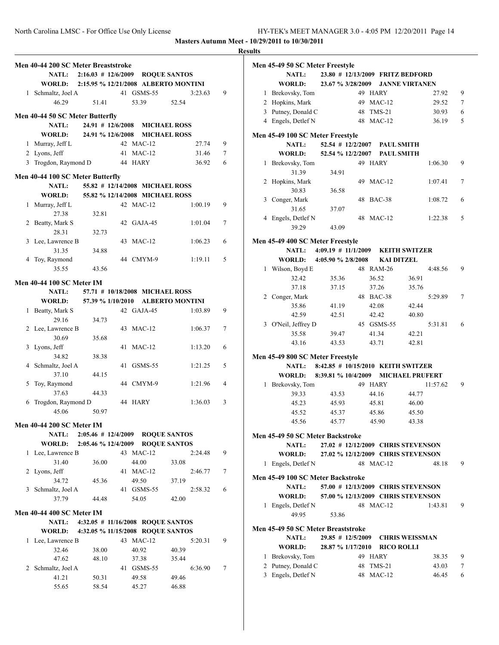|   | Men 40-44 200 SC Meter Breaststroke      |                                   |    |                                 |                                      |   |
|---|------------------------------------------|-----------------------------------|----|---------------------------------|--------------------------------------|---|
|   | <b>NATL:</b>                             | $2:16.03 \# 12/6/2009$            |    |                                 | <b>ROQUE SANTOS</b>                  |   |
|   | <b>WORLD:</b>                            |                                   |    |                                 | 2:15.95 % 12/21/2008 ALBERTO MONTINI |   |
|   | 1 Schmaltz, Joel A                       |                                   |    | 41 GSMS-55                      | 3:23.63                              | 9 |
|   |                                          |                                   |    |                                 |                                      |   |
|   | 46.29                                    | 51.41                             |    | 53.39                           | 52.54                                |   |
|   | Men 40-44 50 SC Meter Butterfly          |                                   |    |                                 |                                      |   |
|   | <b>NATL:</b>                             | $24.91$ # 12/6/2008               |    |                                 | <b>MICHAEL ROSS</b>                  |   |
|   | <b>WORLD:</b>                            | 24.91 % 12/6/2008                 |    |                                 | <b>MICHAEL ROSS</b>                  |   |
|   | 1 Murray, Jeff L                         |                                   |    | 42 MAC-12                       | 27.74                                | 9 |
|   | 2 Lyons, Jeff                            |                                   | 41 | $MAC-12$                        | 31.46                                | 7 |
|   | 3 Trogdon, Raymond D                     |                                   |    | 44 HARY                         | 36.92                                | 6 |
|   |                                          |                                   |    |                                 |                                      |   |
|   | Men 40-44 100 SC Meter Butterfly         |                                   |    |                                 |                                      |   |
|   | <b>NATL:</b>                             |                                   |    | 55.82 # 12/14/2008 MICHAEL ROSS |                                      |   |
|   | <b>WORLD:</b>                            |                                   |    | 55.82 % 12/14/2008 MICHAEL ROSS |                                      |   |
|   | 1 Murray, Jeff L                         |                                   |    | 42 MAC-12                       | 1:00.19                              | 9 |
|   | 27.38                                    | 32.81                             |    |                                 |                                      |   |
|   | 2 Beatty, Mark S                         |                                   |    | 42 GAJA-45                      | 1:01.04                              | 7 |
|   | 28.31                                    | 32.73                             |    |                                 |                                      |   |
|   | 3 Lee, Lawrence B                        |                                   |    | 43 MAC-12                       | 1:06.23                              | 6 |
|   | 31.35                                    | 34.88                             |    |                                 |                                      |   |
|   | 4 Toy, Raymond                           |                                   |    | 44 CMYM-9                       | 1:19.11                              | 5 |
|   | 35.55                                    | 43.56                             |    |                                 |                                      |   |
|   |                                          |                                   |    |                                 |                                      |   |
|   | <b>Men 40-44 100 SC Meter IM</b>         |                                   |    |                                 |                                      |   |
|   | <b>NATL:</b>                             |                                   |    | 57.71 # 10/18/2008 MICHAEL ROSS |                                      |   |
|   | WORLD:                                   | 57.39 % 1/10/2010                 |    |                                 | <b>ALBERTO MONTINI</b>               |   |
|   | 1 Beatty, Mark S                         |                                   |    | 42 GAJA-45                      | 1:03.89                              | 9 |
|   | 29.16                                    | 34.73                             |    |                                 |                                      |   |
|   | 2 Lee, Lawrence B                        |                                   |    | 43 MAC-12                       | 1:06.37                              | 7 |
|   | 30.69                                    | 35.68                             |    |                                 |                                      |   |
|   | 3 Lyons, Jeff                            |                                   |    | 41 MAC-12                       | 1:13.20                              | 6 |
|   | 34.82                                    | 38.38                             |    |                                 |                                      |   |
|   | 4 Schmaltz, Joel A                       |                                   |    | 41 GSMS-55                      | 1:21.25                              | 5 |
|   | 37.10                                    | 44.15                             |    |                                 |                                      |   |
|   | 5 Toy, Raymond                           |                                   |    | 44 CMYM-9                       | 1:21.96                              | 4 |
|   | 37.63                                    | 44.33                             |    |                                 |                                      |   |
| 6 | Trogdon, Raymond D                       |                                   | 44 | <b>HARY</b>                     | 1:36.03                              | 3 |
|   | 45.06                                    | 50.97                             |    |                                 |                                      |   |
|   | Men 40-44 200 SC Meter IM                |                                   |    |                                 |                                      |   |
|   |                                          | NATL: $2:05.46 \# 12/4/2009$      |    |                                 | <b>ROQUE SANTOS</b>                  |   |
|   | <b>WORLD:</b>                            | 2:05.46 % 12/4/2009               |    |                                 | <b>ROQUE SANTOS</b>                  |   |
|   | 1 Lee, Lawrence B                        |                                   |    | 43 MAC-12                       | 2:24.48                              | 9 |
|   | 31.40                                    | 36.00                             |    | 44.00                           | 33.08                                |   |
| 2 | Lyons, Jeff                              |                                   |    | 41 MAC-12                       | 2:46.77                              | 7 |
|   | 34.72                                    | 45.36                             |    | 49.50                           | 37.19                                |   |
| 3 | Schmaltz, Joel A                         |                                   |    | 41 GSMS-55                      | 2:58.32                              | 6 |
|   | 37.79                                    | 44.48                             |    | 54.05                           | 42.00                                |   |
|   |                                          |                                   |    |                                 |                                      |   |
|   | <b>Men 40-44 400 SC Meter IM</b>         |                                   |    |                                 |                                      |   |
|   | <b>NATL:</b>                             | 4:32.05 # 11/16/2008 ROQUE SANTOS |    |                                 |                                      |   |
|   | WORLD: 4:32.05 % 11/15/2008 ROQUE SANTOS |                                   |    |                                 |                                      |   |
|   | 1 Lee, Lawrence B                        |                                   |    | 43 MAC-12                       | 5:20.31                              | 9 |
|   | 32.46                                    | 38.00                             |    | 40.92                           | 40.39                                |   |
|   | 47.62                                    | 48.10                             |    | 37.38                           | 35.44                                |   |
| 2 | Schmaltz, Joel A                         |                                   |    | 41 GSMS-55                      | 6:36.90                              | 7 |
|   | 41.21                                    | 50.31                             |    | 49.58                           | 49.46                                |   |
|   | 55.65                                    | 58.54                             |    | 45.27                           | 46.88                                |   |

| <b>Results</b>                     |                                         |                |                        |   |
|------------------------------------|-----------------------------------------|----------------|------------------------|---|
| Men 45-49 50 SC Meter Freestyle    |                                         |                |                        |   |
| <b>NATL:</b>                       | 23.80 # 12/13/2009 FRITZ BEDFORD        |                |                        |   |
| WORLD:                             | 23.67 % 3/28/2009                       |                | <b>JANNE VIRTANEN</b>  |   |
| 1 Brekovsky, Tom                   | 49 HARY                                 |                | 27.92                  | 9 |
| 2 Hopkins, Mark                    |                                         | 49 MAC-12      | 29.52                  | 7 |
| 3 Putney, Donald C                 |                                         | 48 TMS-21      | 30.93                  | 6 |
| 4 Engels, Detlef N                 |                                         | 48 MAC-12      | 36.19                  | 5 |
|                                    |                                         |                |                        |   |
| Men 45-49 100 SC Meter Freestyle   |                                         |                |                        |   |
| <b>NATL:</b>                       | 52.54 # 12/2/2007 PAUL SMITH            |                |                        |   |
| <b>WORLD:</b>                      | 52.54 % 12/2/2007 PAUL SMITH            |                |                        |   |
| 1 Brekovsky, Tom                   | 49 HARY                                 |                | 1:06.30                | 9 |
| 31.39                              | 34.91                                   | 49 MAC-12      | 1:07.41                | 7 |
| 2 Hopkins, Mark<br>30.83           |                                         |                |                        |   |
| 3 Conger, Mark                     | 36.58                                   | 48 BAC-38      | 1:08.72                | 6 |
| 31.65                              | 37.07                                   |                |                        |   |
| 4 Engels, Detlef N                 |                                         | 48 MAC-12      | 1:22.38                | 5 |
| 39.29                              | 43.09                                   |                |                        |   |
|                                    |                                         |                |                        |   |
| Men 45-49 400 SC Meter Freestyle   |                                         |                |                        |   |
|                                    | NATL: 4:09.19 # 11/1/2009 KEITH SWITZER |                |                        |   |
|                                    | WORLD: 4:05.90 % 2/8/2008 KAI DITZEL    |                |                        |   |
| 1 Wilson, Boyd E                   |                                         | 48 RAM-26      | 4:48.56                | 9 |
| 32.42                              | 35.36                                   | 36.52          | 36.91                  |   |
| 37.18                              | 37.15                                   | 37.26          | 35.76                  |   |
| 2 Conger, Mark                     |                                         | 48 BAC-38      | 5:29.89                | 7 |
| 35.86                              | 41.19                                   | 42.08          | 42.44                  |   |
| 42.59                              | 42.51                                   | 42.42          | 40.80                  |   |
| 3 O'Neil, Jeffrey D                |                                         | 45 GSMS-55     | 5:31.81<br>42.21       | 6 |
| 35.58<br>43.16                     | 39.47<br>43.53                          | 41.34<br>43.71 | 42.81                  |   |
|                                    |                                         |                |                        |   |
| Men 45-49 800 SC Meter Freestyle   |                                         |                |                        |   |
| <b>NATL:</b>                       | 8:42.85 # 10/15/2010 KEITH SWITZER      |                |                        |   |
|                                    | WORLD: 8:39.81 % 10/4/2009              |                | <b>MICHAEL PRUFERT</b> |   |
| 1 Brekovsky, Tom                   | 49 HARY                                 |                | 11:57.62               | 9 |
| 39.33                              | 43.53                                   | 44.16          | 44.77                  |   |
| 45.23                              | 45.93                                   | 45.81          | 46.00                  |   |
| 45.52                              | 45.37                                   | 45.86          | 45.50                  |   |
| 45.56                              | 45.77                                   | 45.90          | 43.38                  |   |
| Men 45-49 50 SC Meter Backstroke   |                                         |                |                        |   |
| <b>NATL:</b>                       | 27.02 # 12/12/2009 CHRIS STEVENSON      |                |                        |   |
| WORLD:                             | 27.02 % 12/12/2009 CHRIS STEVENSON      |                |                        |   |
| 1 Engels, Detlef N                 |                                         | 48 MAC-12      | 48.18                  | 9 |
| Men 45-49 100 SC Meter Backstroke  |                                         |                |                        |   |
| <b>NATL:</b>                       | 57.00 # 12/13/2009 CHRIS STEVENSON      |                |                        |   |
| WORLD:                             | 57.00 % 12/13/2009 CHRIS STEVENSON      |                |                        |   |
| 1 Engels, Detlef N                 |                                         | 48 MAC-12      | 1:43.81                | 9 |
| 49.95                              | 53.86                                   |                |                        |   |
|                                    |                                         |                |                        |   |
| Men 45-49 50 SC Meter Breaststroke |                                         |                |                        |   |
| <b>NATL:</b>                       | $29.85$ # 12/5/2009                     |                | <b>CHRIS WEISSMAN</b>  |   |
| WORLD:                             | 28.87 % 1/17/2010 RICO ROLLI            |                |                        |   |
| 1 Brekovsky, Tom                   | 49 HARY                                 |                | 38.35                  | 9 |
| 2 Putney, Donald C                 |                                         | 48 TMS-21      | 43.03                  | 7 |
| 3 Engels, Detlef N                 |                                         | 48 MAC-12      | 46.45                  | 6 |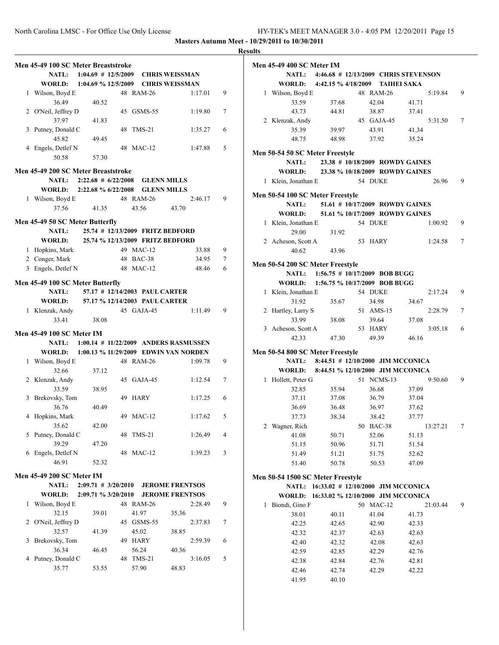### **Results**

|   | Men 45-49 100 SC Meter Breaststroke |                                           |    |             |                    |                                              |   |
|---|-------------------------------------|-------------------------------------------|----|-------------|--------------------|----------------------------------------------|---|
|   |                                     | NATL: 1:04.69 # 12/5/2009 CHRIS WEISSMAN  |    |             |                    |                                              |   |
|   |                                     | WORLD: 1:04.69 % 12/5/2009 CHRIS WEISSMAN |    |             |                    |                                              |   |
|   | 1 Wilson, Boyd E                    |                                           |    | 48 RAM-26   |                    | 1:17.01                                      | 9 |
|   | 36.49                               | 40.52                                     |    |             |                    |                                              |   |
|   | 2 O'Neil, Jeffrey D                 |                                           |    |             | 45 GSMS-55         | 1:19.80                                      | 7 |
|   | 37.97                               | 41.83                                     |    |             |                    |                                              |   |
| 3 | Putney, Donald C                    |                                           | 48 | $TMS-21$    |                    | 1:35.27                                      | 6 |
|   | 45.82                               | 49.45                                     |    |             |                    |                                              |   |
|   | 4 Engels, Detlef N                  |                                           |    | 48 MAC-12   |                    | 1:47.88                                      | 5 |
|   | 50.58                               | 57.30                                     |    |             |                    |                                              |   |
|   |                                     |                                           |    |             |                    |                                              |   |
|   | Men 45-49 200 SC Meter Breaststroke |                                           |    |             |                    |                                              |   |
|   |                                     | NATL: $2:22.68 \# 6/22/2008$              |    |             | <b>GLENN MILLS</b> |                                              |   |
|   |                                     | WORLD: 2:22.68 % 6/22/2008 GLENN MILLS    |    |             |                    |                                              |   |
|   | 1 Wilson, Boyd E                    |                                           |    | 48 RAM-26   |                    | 2:46.17                                      | 9 |
|   | 37.56                               | 41.35                                     |    | 43.56       |                    | 43.70                                        |   |
|   |                                     |                                           |    |             |                    |                                              |   |
|   | Men 45-49 50 SC Meter Butterfly     |                                           |    |             |                    |                                              |   |
|   | NATL:                               | 25.74 # 12/13/2009 FRITZ BEDFORD          |    |             |                    |                                              |   |
|   | WORLD:                              | 25.74 % 12/13/2009 FRITZ BEDFORD          |    |             |                    |                                              |   |
|   | 1 Hopkins, Mark                     |                                           |    | 49 MAC-12   |                    | 33.88                                        | 9 |
|   | 2 Conger, Mark                      |                                           |    | 48 BAC-38   |                    | 34.95                                        | 7 |
|   | 3 Engels, Detlef N                  |                                           |    | 48 MAC-12   |                    | 48.46                                        | 6 |
|   | Men 45-49 100 SC Meter Butterfly    |                                           |    |             |                    |                                              |   |
|   | <b>NATL:</b>                        | 57.17 # 12/14/2003 PAUL CARTER            |    |             |                    |                                              |   |
|   |                                     | WORLD: 57.17 % 12/14/2003 PAUL CARTER     |    |             |                    |                                              |   |
|   |                                     |                                           |    |             | 45 GAJA-45         | 1:11.49                                      | 9 |
|   | 1 Klenzak, Andy                     |                                           |    |             |                    |                                              |   |
|   | 33.41                               | 38.08                                     |    |             |                    |                                              |   |
|   | Men 45-49 100 SC Meter IM           |                                           |    |             |                    |                                              |   |
|   |                                     |                                           |    |             |                    | NATL: 1:00.14 # 11/22/2009 ANDERS RASMUSSEN  |   |
|   |                                     |                                           |    |             |                    | WORLD: 1:00.13 % 11/29/2009 EDWIN VAN NORDEN |   |
|   | 1 Wilson, Boyd E                    |                                           |    | 48 RAM-26   |                    | 1:09.78                                      | 9 |
|   | 32.66                               | 37.12                                     |    |             |                    |                                              |   |
|   | 2 Klenzak, Andy                     |                                           |    |             | 45 GAJA-45         | 1:12.54                                      | 7 |
|   | 33.59                               | 38.95                                     |    |             |                    |                                              |   |
| 3 | Brekovsky, Tom                      |                                           | 49 | <b>HARY</b> |                    | 1:17.25                                      | 6 |
|   | 36.76                               | 40.49                                     |    |             |                    |                                              |   |
| 4 | Hopkins, Mark                       |                                           |    | 49 MAC-12   |                    | 1:17.62                                      | 5 |
|   | 35.62                               | 42.00                                     |    |             |                    |                                              |   |
|   | 5 Putney, Donald C                  |                                           |    | 48 TMS-21   |                    | 1:26.49                                      | 4 |
|   | 39.29                               | 47.20                                     |    |             |                    |                                              |   |
|   | 6 Engels, Detlef N                  |                                           |    | 48 MAC-12   |                    | 1:39.23                                      | 3 |
|   | 46.91                               | 52.32                                     |    |             |                    |                                              |   |
|   |                                     |                                           |    |             |                    |                                              |   |
|   | <b>Men 45-49 200 SC Meter IM</b>    |                                           |    |             |                    |                                              |   |
|   | <b>NATL:</b>                        | $2:09.71$ # 3/20/2010                     |    |             |                    | <b>JEROME FRENTSOS</b>                       |   |
|   | WORLD:                              | $2:09.71 \% 3/20/2010$                    |    |             |                    | <b>JEROME FRENTSOS</b>                       |   |
| 1 | Wilson, Boyd E                      |                                           |    | 48 RAM-26   |                    | 2:28.49                                      | 9 |
|   | 32.15                               | 39.01                                     |    | 41.97       |                    | 35.36                                        |   |
|   | 2 O'Neil, Jeffrey D                 |                                           | 45 |             | GSMS-55            | 2:37.83                                      | 7 |
|   | 32.57                               | 41.39                                     |    | 45.02       |                    | 38.85                                        |   |
| 3 | Brekovsky, Tom                      |                                           | 49 | <b>HARY</b> |                    | 2:59.39                                      | 6 |
|   | 36.34                               | 46.45                                     |    | 56.24       |                    | 40.36                                        |   |
| 4 | Putney, Donald C                    |                                           |    | 48 TMS-21   |                    | 3:16.05                                      | 5 |
|   | 35.77                               | 53.55                                     |    | 57.90       |                    | 48.83                                        |   |
|   |                                     |                                           |    |             |                    |                                              |   |

|   | Men 45-49 400 SC Meter IM         |                                          |                  |                                            |   |
|---|-----------------------------------|------------------------------------------|------------------|--------------------------------------------|---|
|   |                                   |                                          |                  | NATL: 4:46.68 # 12/13/2009 CHRIS STEVENSON |   |
|   |                                   | WORLD: 4:42.15 % 4/18/2009 TAIHEI SAKA   |                  |                                            |   |
|   | 1 Wilson, Boyd E                  |                                          | 48 RAM-26        | 5:19.84                                    | 9 |
|   | 33.59                             | 37.68                                    | 42.04            | 41.71                                      |   |
|   | 43.73                             | 44.81                                    | 38.87            | 37.41                                      |   |
|   | 2 Klenzak, Andy                   |                                          | 45 GAJA-45       | 5:31.50                                    | 7 |
|   | 35.39                             | 39.97                                    | 43.91            | 41.34                                      |   |
|   | 48.75                             | 48.98                                    | 37.92            | 35.24                                      |   |
|   | Men 50-54 50 SC Meter Freestyle   |                                          |                  |                                            |   |
|   |                                   | NATL: 23.38 # 10/18/2009 ROWDY GAINES    |                  |                                            |   |
|   |                                   | WORLD: 23.38 % 10/18/2009 ROWDY GAINES   |                  |                                            |   |
|   | 1 Klein, Jonathan E               |                                          | 54 DUKE          | 26.96                                      | 9 |
|   |                                   |                                          |                  |                                            |   |
|   | Men 50-54 100 SC Meter Freestyle  |                                          |                  |                                            |   |
|   | <b>NATL:</b>                      | 51.61 # 10/17/2009 ROWDY GAINES          |                  |                                            |   |
|   |                                   | WORLD: 51.61 % 10/17/2009 ROWDY GAINES   |                  |                                            |   |
|   | 1 Klein, Jonathan E               |                                          | 54 DUKE          | 1:00.92                                    | 9 |
|   | 29.00                             | 31.92                                    |                  |                                            |   |
|   | 2 Acheson, Scott A                |                                          | 53 HARY          | 1:24.58                                    | 7 |
|   | 40.62                             | 43.96                                    |                  |                                            |   |
|   | Men 50-54 200 SC Meter Freestyle  |                                          |                  |                                            |   |
|   |                                   | NATL: 1:56.75 # 10/17/2009 BOB BUGG      |                  |                                            |   |
|   |                                   | WORLD: 1:56.75 % 10/17/2009 BOB BUGG     |                  |                                            |   |
|   | 1 Klein, Jonathan E               |                                          | 54 DUKE          | 2:17.24                                    | 9 |
|   | 31.92                             | 35.67                                    | 34.98            | 34.67                                      |   |
|   | 2 Hartley, Larry S                |                                          | 51 AMS-15        | 2:28.79                                    | 7 |
|   |                                   |                                          |                  |                                            |   |
|   | 33.99                             | 38.08                                    | 39.64<br>53 HARY | 37.08<br>3:05.18                           | 6 |
|   | 3 Acheson, Scott A<br>42.33       |                                          | 49.39            | 46.16                                      |   |
|   |                                   | 47.30                                    |                  |                                            |   |
|   | Men 50-54 800 SC Meter Freestyle  |                                          |                  |                                            |   |
|   |                                   | NATL: 8:44.51 # 12/10/2000 JIM MCCONICA  |                  |                                            |   |
|   |                                   | WORLD: 8:44.51 % 12/10/2000 JIM MCCONICA |                  |                                            |   |
|   | 1 Hollett, Peter G                |                                          | 51 NCMS-13       | 9:50.60                                    | 9 |
|   | 32.85                             | 35.94                                    | 36.68            | 37.09                                      |   |
|   | 37.11                             | 37.08                                    | 36.79            | 37.04                                      |   |
|   | 36.69                             | 36.48                                    | 36.97            | 37.62                                      |   |
|   | 37.73                             | 38.34                                    | 38.42            | 37.77                                      |   |
| 2 | Wagner, Rich                      |                                          | 50 BAC-38        | 13:27.21                                   | 7 |
|   | 41.08                             | 50.71                                    | 52.06            | 51.13                                      |   |
|   | 51.15                             | 50.96                                    | 51.71            | 51.54                                      |   |
|   | 51.49                             | 51.21                                    | 51.75            | 52.62                                      |   |
|   | 51.40                             | 50.78                                    | 50.53            | 47.09                                      |   |
|   |                                   |                                          |                  |                                            |   |
|   | Men 50-54 1500 SC Meter Freestyle |                                          |                  |                                            |   |
|   | <b>NATL:</b>                      | 16:33.02 # 12/10/2000 JIM MCCONICA       |                  |                                            |   |
|   | WORLD:                            | 16:33.02 % 12/10/2000 JIM MCCONICA       |                  |                                            |   |
| 1 | Biondi, Gino F                    |                                          | 50 MAC-12        | 21:03.44                                   | 9 |
|   | 38.01                             | 40.11                                    | 41.04            | 41.73                                      |   |
|   | 42.25                             | 42.65                                    | 42.90            | 42.33                                      |   |
|   | 42.32                             | 42.37                                    | 42.63            | 42.63                                      |   |
|   | 42.40                             | 42.32                                    | 42.08            | 42.63                                      |   |
|   | 42.59                             | 42.85                                    | 42.29            | 42.76                                      |   |
|   | 42.38                             | 42.84                                    | 42.76            | 42.81                                      |   |
|   | 42.46                             | 42.74                                    | 42.29            | 42.22                                      |   |

41.95 40.10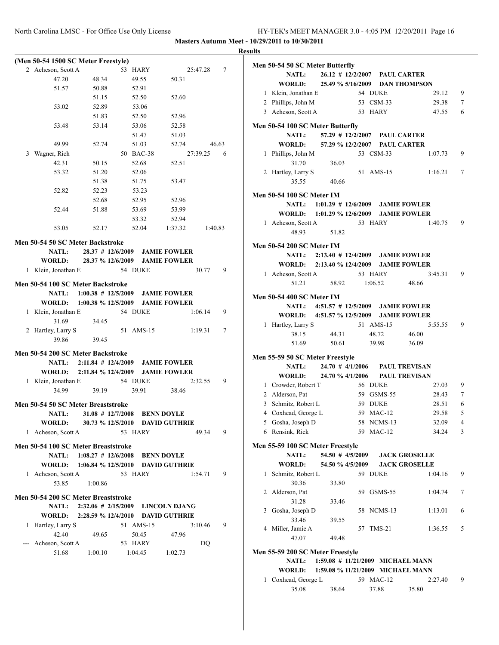|   | (Men 50-54 1500 SC Meter Freestyle) |                                          |           |        |                                   |          |       |
|---|-------------------------------------|------------------------------------------|-----------|--------|-----------------------------------|----------|-------|
|   | 2 Acheson, Scott A                  |                                          | 53 HARY   |        |                                   | 25:47.28 | 7     |
|   | 47.20                               | 48.34                                    |           | 49.55  | 50.31                             |          |       |
|   | 51.57                               | 50.88                                    |           | 52.91  |                                   |          |       |
|   |                                     | 51.15                                    |           | 52.50  | 52.60                             |          |       |
|   | 53.02                               | 52.89                                    |           | 53.06  |                                   |          |       |
|   |                                     |                                          |           |        |                                   |          |       |
|   |                                     | 51.83                                    |           | 52.50  | 52.96                             |          |       |
|   | 53.48                               | 53.14                                    |           | 53.06  | 52.58                             |          |       |
|   |                                     |                                          |           | 51.47  | 51.03                             |          |       |
|   | 49.99                               | 52.74                                    |           | 51.03  | 52.74                             |          | 46.63 |
|   | 3 Wagner, Rich                      |                                          | 50 BAC-38 |        |                                   | 27:39.25 | - 6   |
|   | 42.31                               | 50.15                                    |           | 52.68  | 52.51                             |          |       |
|   | 53.32                               | 51.20                                    |           | 52.06  |                                   |          |       |
|   |                                     | 51.38                                    |           | 51.75  | 53.47                             |          |       |
|   | 52.82                               | 52.23                                    |           | 53.23  |                                   |          |       |
|   |                                     | 52.68                                    |           | 52.95  | 52.96                             |          |       |
|   | 52.44                               | 51.88                                    |           | 53.69  | 53.99                             |          |       |
|   |                                     |                                          |           |        |                                   |          |       |
|   |                                     |                                          |           | 53.32  | 52.94                             |          |       |
|   | 53.05                               | 52.17                                    |           | 52.04  | 1:37.32                           | 1:40.83  |       |
|   | Men 50-54 50 SC Meter Backstroke    |                                          |           |        |                                   |          |       |
|   | <b>NATL:</b>                        | 28.37 # 12/6/2009 JAMIE FOWLER           |           |        |                                   |          |       |
|   | <b>WORLD:</b>                       | 28.37 % 12/6/2009 JAMIE FOWLER           |           |        |                                   |          |       |
|   |                                     |                                          |           |        |                                   |          |       |
|   | 1 Klein, Jonathan E                 |                                          | 54 DUKE   |        |                                   | 30.77    | 9     |
|   | Men 50-54 100 SC Meter Backstroke   |                                          |           |        |                                   |          |       |
|   | <b>NATL:</b>                        | $1:00.38$ # $12/5/2009$ JAMIE FOWLER     |           |        |                                   |          |       |
|   |                                     | WORLD: 1:00.38 % 12/5/2009 JAMIE FOWLER  |           |        |                                   |          |       |
|   | 1 Klein, Jonathan E                 |                                          | 54 DUKE   |        |                                   | 1:06.14  | 9     |
|   | 31.69                               | 34.45                                    |           |        |                                   |          |       |
|   |                                     |                                          |           |        |                                   |          |       |
|   | 2 Hartley, Larry S                  |                                          | 51        | AMS-15 |                                   | 1:19.31  | 7     |
|   | 39.86                               | 39.45                                    |           |        |                                   |          |       |
|   | Men 50-54 200 SC Meter Backstroke   |                                          |           |        |                                   |          |       |
|   |                                     | NATL: 2:11.84 # 12/4/2009 JAMIE FOWLER   |           |        |                                   |          |       |
|   |                                     |                                          |           |        |                                   |          |       |
|   |                                     | WORLD: 2:11.84 % 12/4/2009 JAMIE FOWLER  |           |        |                                   |          |       |
|   | 1 Klein, Jonathan E                 |                                          | 54 DUKE   |        |                                   | 2:32.55  | 9     |
|   | 34.99                               | 39.19                                    |           | 39.91  | 38.46                             |          |       |
|   | Men 50-54 50 SC Meter Breaststroke  |                                          |           |        |                                   |          |       |
|   | <b>NATL:</b>                        | $31.08$ # $12/7/2008$                    |           |        | <b>BENN DOYLE</b>                 |          |       |
|   |                                     | WORLD: 30.73 % 12/5/2010 DAVID GUTHRIE   |           |        |                                   |          |       |
|   |                                     |                                          |           |        |                                   |          |       |
|   | 1 Acheson, Scott A                  |                                          | 53 HARY   |        |                                   | 49.34    | 9     |
|   | Men 50-54 100 SC Meter Breaststroke |                                          |           |        |                                   |          |       |
|   | <b>NATL:</b>                        | 1:08.27 # 12/6/2008 BENN DOYLE           |           |        |                                   |          |       |
|   |                                     | WORLD: 1:06.84 % 12/5/2010 DAVID GUTHRIE |           |        |                                   |          |       |
|   | 1 Acheson, Scott A                  |                                          | 53 HARY   |        |                                   | 1:54.71  | 9     |
|   |                                     |                                          |           |        |                                   |          |       |
|   | 53.85                               | 1:00.86                                  |           |        |                                   |          |       |
|   | Men 50-54 200 SC Meter Breaststroke |                                          |           |        |                                   |          |       |
|   | <b>NATL:</b>                        | 2:32.06 # 2/15/2009 LINCOLN DJANG        |           |        |                                   |          |       |
|   |                                     |                                          |           |        | 2:28.59 % 12/4/2010 DAVID GUTHRIE |          |       |
|   |                                     |                                          |           |        |                                   |          |       |
|   | <b>WORLD:</b>                       |                                          |           |        |                                   |          |       |
| 1 | Hartley, Larry S                    |                                          | 51 AMS-15 |        |                                   | 3:10.46  | 9     |
|   | 42.40                               | 49.65                                    |           | 50.45  | 47.96                             |          |       |
|   | Acheson, Scott A                    |                                          | 53 HARY   |        |                                   | DQ       |       |
|   | 51.68                               | 1:00.10                                  | 1:04.45   |        | 1:02.73                           |          |       |

| .            |                                                 |                                        |    |            |                                   |   |
|--------------|-------------------------------------------------|----------------------------------------|----|------------|-----------------------------------|---|
|              | Men 50-54 50 SC Meter Butterfly<br><b>NATL:</b> | 26.12 # 12/2/2007 PAUL CARTER          |    |            |                                   |   |
|              | WORLD:                                          |                                        |    |            | 25.49 % 5/16/2009 DAN THOMPSON    |   |
|              |                                                 |                                        |    |            |                                   |   |
|              | 1 Klein, Jonathan E                             |                                        |    | 54 DUKE    | 29.12                             | 9 |
|              | 2 Phillips, John M                              |                                        |    | 53 CSM-33  | 29.38                             | 7 |
|              | 3 Acheson, Scott A                              |                                        |    | 53 HARY    | 47.55                             | 6 |
|              | Men 50-54 100 SC Meter Butterfly                |                                        |    |            |                                   |   |
|              | <b>NATL:</b>                                    | 57.29 # 12/2/2007 PAUL CARTER          |    |            |                                   |   |
|              | <b>WORLD:</b>                                   | 57.29 % 12/2/2007 PAUL CARTER          |    |            |                                   |   |
|              | 1 Phillips, John M<br>31.70                     | 36.03                                  |    | 53 CSM-33  | 1:07.73                           | 9 |
|              | 2 Hartley, Larry S<br>35.55                     | 40.66                                  | 51 | $AMS-15$   | 1:16.21                           | 7 |
|              | Men 50-54 100 SC Meter IM                       |                                        |    |            |                                   |   |
|              | <b>NATL:</b>                                    | 1:01.29 # 12/6/2009 JAMIE FOWLER       |    |            |                                   |   |
|              | WORLD:                                          | $1:01.29 \% 12/6/2009$                 |    |            | <b>JAMIE FOWLER</b>               |   |
|              | 1 Acheson, Scott A                              |                                        |    | 53 HARY    | 1:40.75                           | 9 |
|              | 48.93                                           | 51.82                                  |    |            |                                   |   |
|              | <b>Men 50-54 200 SC Meter IM</b>                |                                        |    |            |                                   |   |
|              |                                                 | NATL: 2:13.40 # 12/4/2009 JAMIE FOWLER |    |            |                                   |   |
|              | WORLD: 2:13.40 % 12/4/2009                      |                                        |    |            | <b>JAMIE FOWLER</b>               |   |
|              | 1 Acheson, Scott A                              |                                        |    | 53 HARY    | 3:45.31                           | 9 |
|              | 51.21                                           | 58.92 1:06.52                          |    |            | 48.66                             |   |
|              |                                                 |                                        |    |            |                                   |   |
|              | <b>Men 50-54 400 SC Meter IM</b>                |                                        |    |            |                                   |   |
|              | WORLD: 4:51.57 % 12/5/2009                      | NATL: 4:51.57 # 12/5/2009 JAMIE FOWLER |    |            |                                   |   |
|              |                                                 |                                        |    |            | <b>JAMIE FOWLER</b>               |   |
|              | 1 Hartley, Larry S                              |                                        |    | 51 AMS-15  | 5:55.55                           | 9 |
|              | 38.15                                           | 44.31                                  |    | 48.72      | 46.00                             |   |
|              | 51.69                                           | 50.61 39.98                            |    |            | 36.09                             |   |
|              | Men 55-59 50 SC Meter Freestyle                 |                                        |    |            |                                   |   |
|              | <b>NATL:</b>                                    |                                        |    |            | 24.70 # 4/1/2006 PAUL TREVISAN    |   |
|              | WORLD: 24.70 % 4/1/2006 PAUL TREVISAN           |                                        |    |            |                                   |   |
|              | 1 Crowder, Robert T                             |                                        |    | 56 DUKE    | 27.03                             | 9 |
|              | 2 Alderson, Pat                                 |                                        |    | 59 GSMS-55 | 28.43                             | 7 |
|              | 3 Schmitz, Robert L                             |                                        |    | 59 DUKE    | 28.51                             | 6 |
|              | 4 Coxhead, George L                             |                                        |    | 59 MAC-12  | 29.58                             | 5 |
|              | 5 Gosha, Joseph D                               |                                        |    | 58 NCMS-13 | 32.09                             | 4 |
|              | 6 Rensink, Rick                                 |                                        |    | 59 MAC-12  | 34.24                             | 3 |
|              | Men 55-59 100 SC Meter Freestyle                |                                        |    |            |                                   |   |
|              | NATL:                                           | 54.50 # 4/5/2009                       |    |            | <b>JACK GROSELLE</b>              |   |
|              | <b>WORLD:</b>                                   | 54.50 % 4/5/2009                       |    |            | <b>JACK GROSELLE</b>              |   |
| $\mathbf{1}$ | Schmitz, Robert L                               |                                        |    | 59 DUKE    | 1:04.16                           | 9 |
|              | 30.36                                           | 33.80                                  |    |            |                                   |   |
| 2            | Alderson, Pat                                   |                                        |    | 59 GSMS-55 | 1:04.74                           | 7 |
|              | 31.28                                           | 33.46                                  |    |            |                                   |   |
| 3            | Gosha, Joseph D                                 |                                        |    | 58 NCMS-13 | 1:13.01                           | 6 |
|              | 33.46                                           | 39.55                                  |    |            |                                   |   |
|              | 4 Miller, Jamie A                               |                                        | 57 | $TMS-21$   | 1:36.55                           | 5 |
|              | 47.07                                           | 49.48                                  |    |            |                                   |   |
|              | Men 55-59 200 SC Meter Freestyle                |                                        |    |            |                                   |   |
|              | <b>NATL:</b>                                    |                                        |    |            | 1:59.08 # 11/21/2009 MICHAEL MANN |   |
|              | WORLD:                                          |                                        |    |            | 1:59.08 % 11/21/2009 MICHAEL MANN |   |
|              | 1 Coxhead, George L                             |                                        |    | 59 MAC-12  | 2:27.40                           | 9 |

| Coxnead, George L |       | 59 MAC-12 | <i>2:21.</i> 40 |  |
|-------------------|-------|-----------|-----------------|--|
| 35.08             | 38.64 | 37.88     | 35.80           |  |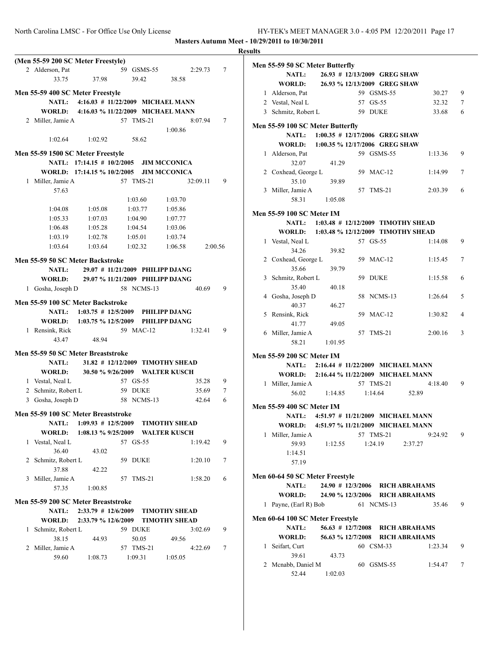**Masters Autumn Meet - 10/29/2011 to 10/30/2011 Results**

| (Men 55-59 200 SC Meter Freestyle)                            | Men 55-59 50 SC Meter Butterfly                                        |
|---------------------------------------------------------------|------------------------------------------------------------------------|
| 59 GSMS-55<br>$\tau$<br>2 Alderson, Pat<br>2:29.73            | NATL:<br>26.93 # 12/13/2009 GREG SHAW                                  |
| 33.75<br>37.98<br>39.42<br>38.58                              | WORLD:<br>26.93 % 12/13/2009 GREG SHAW                                 |
| Men 55-59 400 SC Meter Freestyle                              | 59 GSMS-55<br>9<br>1 Alderson, Pat<br>30.27                            |
| 4:16.03 # 11/22/2009 MICHAEL MANN<br><b>NATL:</b>             | 57 GS-55<br>$\boldsymbol{7}$<br>2 Vestal, Neal L<br>32.32              |
| WORLD:<br>4:16.03 % 11/22/2009 MICHAEL MANN                   | 6<br>59 DUKE<br>3 Schmitz, Robert L<br>33.68                           |
| 57 TMS-21<br>8:07.94<br>$\tau$<br>2 Miller, Jamie A           | Men 55-59 100 SC Meter Butterfly                                       |
| 1:00.86                                                       | NATL:<br>$1:00.35$ # 12/17/2006 GREG SHAW                              |
| 1:02.64<br>1:02.92<br>58.62                                   | <b>WORLD:</b><br>1:00.35 % 12/17/2006 GREG SHAW                        |
| Men 55-59 1500 SC Meter Freestyle                             | 1 Alderson, Pat<br>59 GSMS-55<br>9<br>1:13.36                          |
| NATL: 17:14.15 # 10/2/2005<br><b>JIM MCCONICA</b>             | 32.07<br>41.29                                                         |
| WORLD: 17:14.15 % 10/2/2005<br><b>JIM MCCONICA</b>            | 2 Coxhead, George L<br>59 MAC-12<br>1:14.99<br>$\tau$                  |
| 57 TMS-21<br>9<br>1 Miller, Jamie A<br>32:09.11               | 35.10<br>39.89                                                         |
| 57.63                                                         | 3 Miller, Jamie A<br>57 TMS-21<br>2:03.39<br>6                         |
| 1:03.60<br>1:03.70                                            | 58.31<br>1:05.08                                                       |
| 1:04.08<br>1:05.08<br>1:05.86<br>1:03.77                      |                                                                        |
| 1:05.33<br>1:07.03<br>1:04.90<br>1:07.77                      | <b>Men 55-59 100 SC Meter IM</b><br>1:03.48 # 12/12/2009 TIMOTHY SHEAD |
| 1:06.48<br>1:05.28<br>1:04.54<br>1:03.06                      | <b>NATL:</b><br>1:03.48 % 12/12/2009 TIMOTHY SHEAD<br><b>WORLD:</b>    |
| 1:03.19<br>1:02.78<br>1:05.01<br>1:03.74                      | 57 GS-55<br>9<br>1 Vestal, Neal L<br>1:14.08                           |
| 1:03.64<br>1:03.64<br>1:02.32<br>1:06.58<br>2:00.56           | 34.26<br>39.82                                                         |
| Men 55-59 50 SC Meter Backstroke                              | 2 Coxhead, George L<br>59 MAC-12<br>$\tau$<br>1:15.45                  |
| NATL:<br>29.07 # 11/21/2009 PHILIPP DJANG                     | 35.66<br>39.79                                                         |
| WORLD:<br>29.07 % 11/21/2009 PHILIPP DJANG                    | 59 DUKE<br>3 Schmitz, Robert L<br>1:15.58<br>6                         |
| 58 NCMS-13<br>9<br>1 Gosha, Joseph D<br>40.69                 | 35.40<br>40.18                                                         |
|                                                               | 4 Gosha, Joseph D<br>58 NCMS-13<br>5<br>1:26.64                        |
| Men 55-59 100 SC Meter Backstroke                             | 40.37<br>46.27                                                         |
| NATL:<br>$1:03.75 \# 12/5/2009$<br><b>PHILIPP DJANG</b>       | 5 Rensink, Rick<br>59 MAC-12<br>1:30.82<br>$\overline{4}$              |
| WORLD:<br>1:03.75 % 12/5/2009<br>PHILIPP DJANG                | 41.77<br>49.05                                                         |
| 59 MAC-12<br>9<br>1 Rensink, Rick<br>1:32.41                  | 3<br>6 Miller, Jamie A<br>57 TMS-21<br>2:00.16                         |
| 48.94<br>43.47                                                | 58.21<br>1:01.95                                                       |
| Men 55-59 50 SC Meter Breaststroke                            | Men 55-59 200 SC Meter IM                                              |
| NATL:<br>31.82 # 12/12/2009 TIMOTHY SHEAD                     | <b>NATL:</b><br>2:16.44 # 11/22/2009 MICHAEL MANN                      |
| WORLD:<br>30.50 % 9/26/2009 WALTER KUSCH                      | WORLD:<br>2:16.44 % 11/22/2009 MICHAEL MANN                            |
| 57 GS-55<br>9<br>1 Vestal, Neal L<br>35.28                    | 9<br>57 TMS-21<br>1 Miller, Jamie A<br>4:18.40                         |
| 2 Schmitz, Robert L<br>59 DUKE<br>35.69<br>$\tau$             | 56.02<br>1:14.85<br>1:14.64<br>52.89                                   |
| 42.64<br>6<br>3 Gosha, Joseph D<br>58 NCMS-13                 |                                                                        |
| Men 55-59 100 SC Meter Breaststroke                           | <b>Men 55-59 400 SC Meter IM</b>                                       |
| 1:09.93 # 12/5/2009 TIMOTHY SHEAD                             | NATL: 4:51.97 # 11/21/2009 MICHAEL MANN                                |
| <b>NATL:</b><br>WORLD:<br>1:08.13 % 9/25/2009 WALTER KUSCH    | WORLD:<br>4:51.97 % 11/21/2009 MICHAEL MANN                            |
| 1 Vestal, Neal L<br>57 GS-55<br>9                             | 1 Miller, Jamie A<br>57 TMS-21<br>9:24.92<br>9                         |
| 1:19.42<br>36.40<br>43.02                                     | 59.93<br>1:24.19<br>2:37.27<br>1:12.55                                 |
| 2 Schmitz, Robert L<br>59 DUKE<br>1:20.10<br>7                | 1:14.51                                                                |
| 37.88<br>42.22                                                | 57.19                                                                  |
| 57 TMS-21<br>6<br>3 Miller, Jamie A<br>1:58.20                | Men 60-64 50 SC Meter Freestyle                                        |
| 57.35<br>1:00.85                                              | NATL:<br>24.90 # 12/3/2006<br><b>RICH ABRAHAMS</b>                     |
|                                                               | WORLD:<br>24.90 % 12/3/2006 RICH ABRAHAMS                              |
| Men 55-59 200 SC Meter Breaststroke                           | 1 Payne, (Earl R) Bob<br>9<br>61 NCMS-13<br>35.46                      |
| $2:33.79$ # 12/6/2009<br><b>TIMOTHY SHEAD</b><br><b>NATL:</b> |                                                                        |
| WORLD:<br>2:33.79 % 12/6/2009<br><b>TIMOTHY SHEAD</b>         | Men 60-64 100 SC Meter Freestyle                                       |
| 9<br>1 Schmitz, Robert L<br>59 DUKE<br>3:02.69                | <b>NATL:</b><br>$56.63 \# 12/7/2008$<br><b>RICH ABRAHAMS</b>           |
| 38.15<br>44.93<br>50.05<br>49.56                              | WORLD:<br>56.63 % 12/7/2008 RICH ABRAHAMS<br>60 CSM-33<br>9            |
| $\tau$<br>2 Miller, Jamie A<br>57 TMS-21<br>4:22.69           | 1 Seifart, Curt<br>1:23.34<br>39.61<br>43.73                           |
| 1:08.73<br>59.60<br>1:09.31<br>1:05.05                        | 60 GSMS-55<br>2 Mcnabb, Daniel M<br>1:54.47<br>7                       |
|                                                               | 52.44<br>1:02.03                                                       |
|                                                               |                                                                        |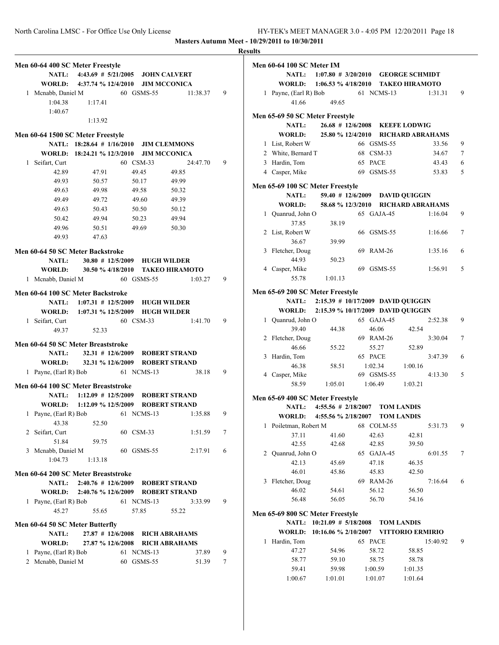|                                     |                |                                                                                     |          |   | <b>Results</b> |
|-------------------------------------|----------------|-------------------------------------------------------------------------------------|----------|---|----------------|
| Men 60-64 400 SC Meter Freestyle    |                |                                                                                     |          |   | Me             |
|                                     |                | NATL: 4:43.69 # 5/21/2005 JOHN CALVERT                                              |          |   |                |
|                                     |                | WORLD: 4:37.74 % 12/4/2010 JIM MCCONICA                                             |          |   |                |
| 1 Mcnabb, Daniel M                  |                | 60 GSMS-55                                                                          | 11:38.37 | 9 |                |
| 1:04.38                             | 1:17.41        |                                                                                     |          |   |                |
| 1:40.67                             |                |                                                                                     |          |   |                |
|                                     | 1:13.92        |                                                                                     |          |   | Me             |
|                                     |                |                                                                                     |          |   |                |
| Men 60-64 1500 SC Meter Freestyle   |                | NATL: 18:28.64 # 1/16/2010 JIM CLEMMONS                                             |          |   |                |
|                                     |                | WORLD: 18:24.21 % 12/3/2010 JIM MCCONICA                                            |          |   |                |
| 1 Seifart, Curt                     |                | 60 CSM-33                                                                           | 24:47.70 | 9 |                |
|                                     | 42.89<br>47.91 | 49.45                                                                               | 49.85    |   |                |
| 49.93                               | 50.57          | 50.17                                                                               | 49.99    |   |                |
| 49.63                               | 49.98          | 49.58                                                                               | 50.32    |   | Me             |
| 49.49                               | 49.72          | 49.60                                                                               | 49.39    |   |                |
| 49.63                               | 50.43          | 50.50                                                                               | 50.12    |   |                |
| 50.42                               | 49.94          | 50.23                                                                               | 49.94    |   |                |
| 49.96                               | 50.51          | 49.69                                                                               | 50.30    |   |                |
| 49.93                               | 47.63          |                                                                                     |          |   |                |
|                                     |                |                                                                                     |          |   |                |
| Men 60-64 50 SC Meter Backstroke    |                |                                                                                     |          |   |                |
|                                     |                | NATL: 30.80 # 12/5/2009 HUGH WILDER                                                 |          |   |                |
|                                     |                | WORLD: 30.50 % 4/18/2010 TAKEO HIRAMOTO                                             |          |   |                |
| 1 Mcnabb, Daniel M                  |                | 60 GSMS-55                                                                          | 1:03.27  | 9 |                |
| Men 60-64 100 SC Meter Backstroke   |                |                                                                                     |          |   | Me             |
|                                     |                | NATL: 1:07.31 # 12/5/2009 HUGH WILDER                                               |          |   |                |
|                                     |                | WORLD: 1:07.31 % 12/5/2009 HUGH WILDER                                              |          |   |                |
| 1 Seifart, Curt                     |                | 60 CSM-33                                                                           | 1:41.70  | 9 |                |
|                                     | 52.33<br>49.37 |                                                                                     |          |   |                |
| Men 60-64 50 SC Meter Breaststroke  |                |                                                                                     |          |   |                |
| <b>NATL:</b>                        |                | 32.31 # 12/6/2009 ROBERT STRAND                                                     |          |   |                |
|                                     |                | WORLD: 32.31 % 12/6/2009 ROBERT STRAND                                              |          |   |                |
| 1 Payne, (Earl R) Bob               |                | 61 NCMS-13                                                                          | 38.18    | 9 |                |
|                                     |                |                                                                                     |          |   |                |
| Men 60-64 100 SC Meter Breaststroke |                |                                                                                     |          |   |                |
|                                     |                | NATL: 1:12.09 # 12/5/2009 ROBERT STRAND<br>WORLD: 1:12.09 % 12/5/2009 ROBERT STRAND |          |   | Me             |
|                                     |                |                                                                                     |          |   |                |
| 1 Payne, (Earl R) Bob<br>43.38      | 52.50          | 61 NCMS-13                                                                          | 1:35.88  | 9 |                |
| 2 Seifart, Curt                     |                | 60 CSM-33                                                                           | 1:51.59  | 7 |                |
| 51.84                               | 59.75          |                                                                                     |          |   |                |
| 3 Mcnabb, Daniel M                  |                | 60 GSMS-55                                                                          | 2:17.91  | 6 |                |
| 1:04.73                             | 1:13.18        |                                                                                     |          |   |                |
|                                     |                |                                                                                     |          |   |                |
| Men 60-64 200 SC Meter Breaststroke |                |                                                                                     |          |   |                |
| <b>NATL:</b>                        |                | 2:40.76 # 12/6/2009 ROBERT STRAND                                                   |          |   |                |
| WORLD:                              |                | 2:40.76 % 12/6/2009 ROBERT STRAND                                                   |          |   |                |
| 1 Payne, (Earl R) Bob               |                | 61 NCMS-13                                                                          | 3:33.99  | 9 |                |
| 45.27                               | 55.65          | 57.85                                                                               | 55.22    |   | Me             |
| Men 60-64 50 SC Meter Butterfly     |                |                                                                                     |          |   |                |
| <b>NATL:</b>                        |                | 27.87 # 12/6/2008 RICH ABRAHAMS                                                     |          |   |                |
| <b>WORLD:</b>                       |                | 27.87 % 12/6/2008 RICH ABRAHAMS                                                     |          |   |                |
| 1 Payne, (Earl R) Bob               |                | 61 NCMS-13                                                                          | 37.89    | 9 |                |
| 2 Mcnabb, Daniel M                  |                | 60 GSMS-55                                                                          | 51.39    | 7 |                |
|                                     |                |                                                                                     |          |   |                |
|                                     |                |                                                                                     |          |   |                |

| ums |                                  |                                                                    |            |            |                   |          |   |
|-----|----------------------------------|--------------------------------------------------------------------|------------|------------|-------------------|----------|---|
|     | <b>Men 60-64 100 SC Meter IM</b> |                                                                    |            |            |                   |          |   |
|     |                                  | NATL: 1:07.80 # 3/20/2010 GEORGE SCHMIDT                           |            |            |                   |          |   |
|     |                                  | WORLD: 1:06.53 % 4/18/2010 TAKEO HIRAMOTO                          |            |            |                   |          |   |
|     | 1 Payne, (Earl R) Bob            |                                                                    | 61 NCMS-13 |            |                   | 1:31.31  | 9 |
|     | 41.66                            | 49.65                                                              |            |            |                   |          |   |
|     | Men 65-69 50 SC Meter Freestyle  |                                                                    |            |            |                   |          |   |
|     | <b>NATL:</b>                     | 26.68 # 12/6/2008 KEEFE LODWIG                                     |            |            |                   |          |   |
|     | <b>WORLD:</b>                    | 25.80 % 12/4/2010 RICHARD ABRAHAMS                                 |            |            |                   |          |   |
|     | 1 List, Robert W                 |                                                                    |            | 66 GSMS-55 |                   | 33.56    | 9 |
|     | 2 White, Bernard T               |                                                                    | 68 CSM-33  |            |                   | 34.67    | 7 |
|     | 3 Hardin, Tom                    |                                                                    | 65 PACE    |            |                   | 43.43    | 6 |
|     | 4 Casper, Mike                   |                                                                    |            | 69 GSMS-55 |                   | 53.83    | 5 |
|     | Men 65-69 100 SC Meter Freestyle |                                                                    |            |            |                   |          |   |
|     | <b>NATL:</b>                     | 59.40 # 12/6/2009 DAVID QUIGGIN                                    |            |            |                   |          |   |
|     | WORLD:                           | 58.68 % 12/3/2010 RICHARD ABRAHAMS                                 |            |            |                   |          |   |
|     | 1 Quanrud, John O                |                                                                    |            | 65 GAJA-45 |                   | 1:16.04  | 9 |
|     | 37.85                            | 38.19                                                              |            |            |                   |          |   |
|     | 2 List, Robert W                 |                                                                    |            | 66 GSMS-55 |                   | 1:16.66  | 7 |
|     | 36.67                            | 39.99                                                              |            |            |                   |          |   |
|     | 3 Fletcher, Doug                 |                                                                    |            | 69 RAM-26  |                   | 1:35.16  | 6 |
|     | 44.93                            | 50.23                                                              |            |            |                   |          |   |
|     | 4 Casper, Mike<br>55.78          |                                                                    |            | 69 GSMS-55 |                   | 1:56.91  | 5 |
|     |                                  | 1:01.13                                                            |            |            |                   |          |   |
|     | Men 65-69 200 SC Meter Freestyle |                                                                    |            |            |                   |          |   |
|     |                                  | NATL: 2:15.39 # 10/17/2009 DAVID QUIGGIN                           |            |            |                   |          |   |
|     |                                  | WORLD: 2:15.39 % 10/17/2009 DAVID QUIGGIN                          |            |            |                   |          |   |
|     | 1 Quanrud, John O                |                                                                    |            | 65 GAJA-45 |                   | 2:52.38  | 9 |
|     | 39.40                            | 44.38                                                              |            | 46.06      | 42.54             |          |   |
|     | 2 Fletcher, Doug                 |                                                                    |            | 69 RAM-26  |                   | 3:30.04  | 7 |
|     | 46.66                            | 55.22                                                              |            | 55.27      | 52.89             |          |   |
|     | 3 Hardin, Tom<br>46.38           | 58.51                                                              | 65 PACE    | 1:02.34    | 1:00.16           | 3:47.39  | 6 |
|     | 4 Casper, Mike                   |                                                                    |            | 69 GSMS-55 |                   | 4:13.30  | 5 |
|     | 58.59                            | 1:05.01                                                            | 1:06.49    |            | 1:03.21           |          |   |
|     |                                  |                                                                    |            |            |                   |          |   |
|     | Men 65-69 400 SC Meter Freestyle |                                                                    |            |            |                   |          |   |
|     |                                  | NATL: 4:55.56 # 2/18/2007 TOM LANDIS<br>WORLD: 4:55.56 % 2/18/2007 |            |            |                   |          |   |
| 1   | Poiletman, Robert M              |                                                                    |            | 68 COLM-55 | <b>TOM LANDIS</b> | 5:31.73  | 9 |
|     | 37.11                            | 41.60                                                              |            | 42.63      | 42.81             |          |   |
|     | 42.55                            | 42.68                                                              |            | 42.85      | 39.50             |          |   |
|     | 2 Quanrud, John O                |                                                                    |            | 65 GAJA-45 |                   | 6:01.55  | 7 |
|     | 42.13                            | 45.69                                                              |            | 47.18      | 46.35             |          |   |
|     | 46.01                            | 45.86                                                              |            | 45.83      | 42.50             |          |   |
|     | 3 Fletcher, Doug                 |                                                                    |            | 69 RAM-26  |                   | 7:16.64  | 6 |
|     | 46.02                            | 54.61                                                              |            | 56.12      | 56.50             |          |   |
|     | 56.48                            | 56.05                                                              |            | 56.70      | 54.16             |          |   |
|     | Men 65-69 800 SC Meter Freestyle |                                                                    |            |            |                   |          |   |
|     | <b>NATL:</b>                     | $10:21.09$ # $5/18/2008$                                           |            |            | <b>TOM LANDIS</b> |          |   |
|     | <b>WORLD:</b>                    | 10:16.06 % 2/10/2007 VITTORIO ERMIRIO                              |            |            |                   |          |   |
| 1   | Hardin, Tom                      |                                                                    | 65 PACE    |            |                   | 15:40.92 | 9 |
|     | 47.27                            | 54.96                                                              |            | 58.72      | 58.85             |          |   |
|     | 58.77                            | 59.10                                                              |            | 58.75      | 58.78             |          |   |
|     | 59.41                            | 59.98                                                              | 1:00.59    |            | 1:01.35           |          |   |
|     | 1:00.67                          | 1:01.01                                                            |            | 1:01.07    | 1:01.64           |          |   |
|     |                                  |                                                                    |            |            |                   |          |   |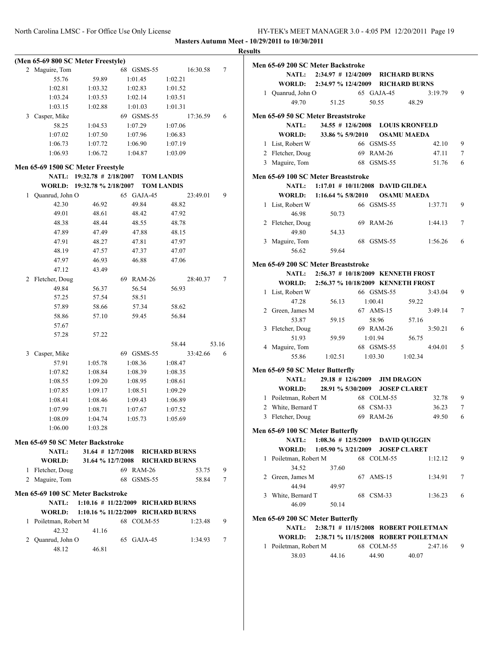|                |                          | (Men 65-69 800 SC Meter Freestyle) |                                    |                                        |       |
|----------------|--------------------------|------------------------------------|------------------------------------|----------------------------------------|-------|
| $\overline{2}$ | Maguire, Tom             |                                    | 68 GSMS-55                         | 16:30.58                               | 7     |
|                | 55.76                    | 59.89                              | 1:01.45                            | 1:02.21                                |       |
|                | 1:02.81                  | 1:03.32                            | 1:02.83                            | 1:01.52                                |       |
|                | 1:03.24                  | 1:03.53                            | 1:02.14                            | 1:03.51                                |       |
|                | 1:03.15                  | 1:02.88                            | 1:01.03                            | 1:01.31                                |       |
| 3              | Casper, Mike             |                                    | 69 GSMS-55                         | 17:36.59                               | 6     |
|                | 58.25                    | 1:04.53                            | 1:07.29                            | 1:07.06                                |       |
|                | 1:07.02                  | 1:07.50                            | 1:07.96                            | 1:06.83                                |       |
|                | 1:06.73                  | 1:07.72                            | 1:06.90                            | 1:07.19                                |       |
|                | 1:06.93                  | 1:06.72                            | 1:04.87                            | 1:03.09                                |       |
|                |                          | Men 65-69 1500 SC Meter Freestyle  |                                    |                                        |       |
|                |                          | NATL: 19:32.78 # 2/18/2007         |                                    |                                        |       |
|                |                          | WORLD: 19:32.78 % 2/18/2007        |                                    | <b>TOM LANDIS</b><br><b>TOM LANDIS</b> |       |
| 1              |                          |                                    | 65 GAJA-45                         | 23:49.01                               | 9     |
|                | Quanrud, John O<br>42.30 | 46.92                              | 49.84                              | 48.82                                  |       |
|                |                          |                                    |                                    |                                        |       |
|                | 49.01                    | 48.61                              | 48.42                              | 47.92                                  |       |
|                | 48.38                    | 48.44                              | 48.55                              | 48.78                                  |       |
|                | 47.89                    | 47.49                              | 47.88                              | 48.15                                  |       |
|                | 47.91                    | 48.27                              | 47.81                              | 47.97                                  |       |
|                | 48.19                    | 47.57                              | 47.37                              | 47.07                                  |       |
|                | 47.97                    | 46.93                              | 46.88                              | 47.06                                  |       |
|                | 47.12                    | 43.49                              |                                    |                                        |       |
| 2              | Fletcher, Doug           |                                    | 69<br><b>RAM-26</b>                | 28:40.37                               | 7     |
|                | 49.84                    | 56.37                              | 56.54                              | 56.93                                  |       |
|                | 57.25                    | 57.54                              | 58.51                              |                                        |       |
|                | 57.89                    | 58.66                              | 57.34                              | 58.62                                  |       |
|                | 58.86                    | 57.10                              | 59.45                              | 56.84                                  |       |
|                | 57.67                    |                                    |                                    |                                        |       |
|                | 57.28                    | 57.22                              |                                    |                                        |       |
|                |                          |                                    |                                    | 58.44                                  | 53.16 |
| 3              | Casper, Mike             |                                    | 69 GSMS-55                         | 33:42.66                               | 6     |
|                | 57.91                    | 1:05.78                            | 1:08.36                            | 1:08.47                                |       |
|                | 1:07.82                  | 1:08.84                            | 1:08.39                            | 1:08.35                                |       |
|                | 1:08.55                  | 1:09.20                            | 1:08.95                            | 1:08.61                                |       |
|                | 1:07.85                  | 1:09.17                            | 1:08.51                            | 1:09.29                                |       |
|                | 1:08.41                  | 1:08.46                            | 1:09.43                            | 1:06.89                                |       |
|                | 1:07.99                  | 1:08.71                            | 1:07.67                            | 1:07.52                                |       |
|                | 1:08.09                  | 1:04.74                            | 1:05.73                            | 1:05.69                                |       |
|                | 1:06.00                  | 1:03.28                            |                                    |                                        |       |
|                |                          | Men 65-69 50 SC Meter Backstroke   |                                    |                                        |       |
|                | <b>NATL:</b>             |                                    | 31.64 # 12/7/2008 RICHARD BURNS    |                                        |       |
|                | <b>WORLD:</b>            |                                    | 31.64 % 12/7/2008 RICHARD BURNS    |                                        |       |
| 1              | Fletcher, Doug           |                                    | 69 RAM-26                          | 53.75                                  | 9     |
|                | 2 Maguire, Tom           |                                    | 68 GSMS-55                         | 58.84                                  | 7     |
|                |                          | Men 65-69 100 SC Meter Backstroke  |                                    |                                        |       |
|                | <b>NATL:</b>             |                                    | 1:10.16 # 11/22/2009 RICHARD BURNS |                                        |       |
|                | <b>WORLD:</b>            |                                    | 1:10.16 % 11/22/2009 RICHARD BURNS |                                        |       |
| 1              | Poiletman, Robert M      |                                    | 68 COLM-55                         | 1:23.48                                | 9     |
|                | 42.32                    | 41.16                              |                                    |                                        |       |
|                | 2 Quanrud, John O        |                                    | 65 GAJA-45                         | 1:34.93                                | 7     |
|                | 48.12                    | 46.81                              |                                    |                                        |       |
|                |                          |                                    |                                    |                                        |       |

|   | Men 65-69 200 SC Meter Backstroke                |                                           |           |            |                                       |   |
|---|--------------------------------------------------|-------------------------------------------|-----------|------------|---------------------------------------|---|
|   |                                                  | NATL: 2:34.97 # 12/4/2009                 |           |            | <b>RICHARD BURNS</b>                  |   |
|   | WORLD:                                           | 2:34.97 % 12/4/2009                       |           |            | <b>RICHARD BURNS</b>                  |   |
|   | 1 Quanrud, John O                                |                                           |           | 65 GAJA-45 | 3:19.79                               | 9 |
|   | 49.70                                            | 51.25                                     |           | 50.55      | 48.29                                 |   |
|   | Men 65-69 50 SC Meter Breaststroke               |                                           |           |            |                                       |   |
|   | <b>NATL:</b>                                     | $34.55 \# 12/6/2008$                      |           |            | <b>LOUIS KRONFELD</b>                 |   |
|   | <b>WORLD:</b>                                    | 33.86 % 5/9/2010                          |           |            | <b>OSAMU MAEDA</b>                    |   |
|   | 1 List, Robert W                                 |                                           |           | 66 GSMS-55 | 42.10                                 | 9 |
|   | 2 Fletcher, Doug                                 |                                           |           | 69 RAM-26  | 47.11                                 | 7 |
|   | 3 Maguire, Tom                                   |                                           |           | 68 GSMS-55 | 51.76                                 | 6 |
|   |                                                  |                                           |           |            |                                       |   |
|   | Men 65-69 100 SC Meter Breaststroke              |                                           |           |            |                                       |   |
|   | <b>NATL:</b>                                     | 1:17.01 # 10/11/2008 DAVID GILDEA         |           |            |                                       |   |
|   | <b>WORLD:</b>                                    | 1:16.64 % 5/8/2010 OSAMU MAEDA            |           |            |                                       |   |
|   | 1 List, Robert W                                 |                                           |           | 66 GSMS-55 | 1:37.71                               | 9 |
|   | 46.98                                            | 50.73                                     |           |            |                                       |   |
|   | 2 Fletcher, Doug                                 |                                           |           | 69 RAM-26  | 1:44.13                               | 7 |
|   | 49.80                                            | 54.33                                     |           |            |                                       |   |
|   | 3 Maguire, Tom                                   |                                           | 68        | GSMS-55    | 1:56.26                               | 6 |
|   | 56.62                                            | 59.64                                     |           |            |                                       |   |
|   | Men 65-69 200 SC Meter Breaststroke              |                                           |           |            |                                       |   |
|   | <b>NATL:</b>                                     | 2:56.37 # 10/18/2009 KENNETH FROST        |           |            |                                       |   |
|   |                                                  | WORLD: 2:56.37 % 10/18/2009 KENNETH FROST |           |            |                                       |   |
|   | 1 List, Robert W                                 |                                           |           | 66 GSMS-55 | 3:43.04                               | 9 |
|   | 47.28                                            | 56.13                                     | 1:00.41   |            | 59.22                                 |   |
|   | 2 Green, James M                                 |                                           |           | 67 AMS-15  | 3:49.14                               | 7 |
|   | 53.87                                            | 59.15                                     |           | 58.96      | 57.16                                 |   |
| 3 | Fletcher, Doug                                   |                                           |           | 69 RAM-26  | 3:50.21                               | 6 |
|   | 51.93                                            | 59.59                                     | 1:01.94   |            | 56.75                                 |   |
|   | 4 Maguire, Tom                                   |                                           |           | 68 GSMS-55 | 4:04.01                               | 5 |
|   | 55.86                                            | 1:02.51                                   | 1:03.30   |            | 1:02.34                               |   |
|   | Men 65-69 50 SC Meter Butterfly                  |                                           |           |            |                                       |   |
|   | <b>NATL:</b>                                     | $29.18$ # $12/6/2009$                     |           |            | <b>JIM DRAGON</b>                     |   |
|   | WORLD:                                           | 28.91 % 5/30/2009                         |           |            | <b>JOSEP CLARET</b>                   |   |
|   | 1 Poiletman, Robert M                            |                                           |           | 68 COLM-55 | 32.78                                 | 9 |
|   | 2 White, Bernard T                               |                                           | 68 CSM-33 |            | 36.23                                 | 7 |
| 3 | Fletcher, Doug                                   |                                           |           | 69 RAM-26  | 49.50                                 | 6 |
|   | Men 65-69 100 SC Meter Butterfly                 |                                           |           |            |                                       |   |
|   | <b>NATL:</b>                                     | $1:08.36 \# 12/5/2009$                    |           |            | <b>DAVID QUIGGIN</b>                  |   |
|   | <b>WORLD:</b>                                    | $1:05.90 \% 3/21/2009$                    |           |            | <b>JOSEP CLARET</b>                   |   |
| 1 | Poiletman, Robert M                              |                                           |           | 68 COLM-55 | 1:12.12                               | 9 |
|   | 34.52                                            | 37.60                                     |           |            |                                       |   |
|   | 2 Green, James M                                 |                                           | 67 AMS-15 |            | 1:34.91                               | 7 |
|   | 44.94                                            | 49.97                                     |           |            |                                       |   |
| 3 | White, Bernard T                                 |                                           |           | 68 CSM-33  | 1:36.23                               | 6 |
|   | 46.09                                            | 50.14                                     |           |            |                                       |   |
|   |                                                  |                                           |           |            |                                       |   |
|   | Men 65-69 200 SC Meter Butterfly<br><b>NATL:</b> |                                           |           |            | 2:38.71 # 11/15/2008 ROBERT POILETMAN |   |
|   | WORLD:                                           |                                           |           |            | 2:38.71 % 11/15/2008 ROBERT POILETMAN |   |
| 1 | Poiletman, Robert M                              |                                           |           | 68 COLM-55 | 2:47.16                               | 9 |
|   | 38.03                                            | 44.16                                     |           | 44.90      | 40.07                                 |   |
|   |                                                  |                                           |           |            |                                       |   |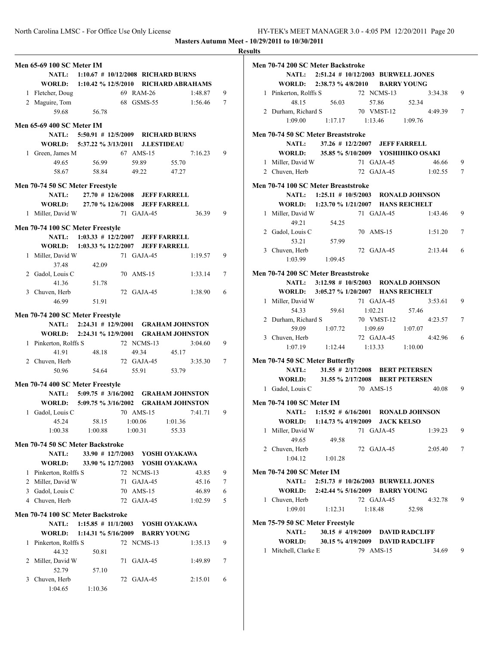|                                                             | <b>Results</b> |
|-------------------------------------------------------------|----------------|
| <b>Men 65-69 100 SC Meter IM</b>                            | Me             |
| NATL: 1:10.67 # 10/12/2008 RICHARD BURNS                    |                |
| WORLD: 1:10.42 % 12/5/2010 RICHARD ABRAHAMS                 |                |
| 69 RAM-26<br>1 Fletcher, Doug<br>1:48.87                    | 9              |
| 2 Maguire, Tom<br>68 GSMS-55<br>1:56.46                     | 7              |
| 56.78<br>59.68                                              |                |
| Men 65-69 400 SC Meter IM                                   |                |
| NATL: 5:50.91 # 12/5/2009 RICHARD BURNS                     | Me             |
| WORLD: 5:37.22 % 3/13/2011 J.LESTIDEAU                      |                |
| 67 AMS-15<br>7:16.23<br>1 Green, James M                    | 9              |
| 56.99<br>49.65<br>59.89<br>55.70                            |                |
| 58.67<br>49.22<br>58.84<br>47.27                            |                |
| Men 70-74 50 SC Meter Freestyle                             | Me             |
| 27.70 # 12/6/2008 JEFF FARRELL<br>NATL:                     |                |
| WORLD: 27.70 % 12/6/2008 JEFF FARRELL                       |                |
| 1 Miller, David W<br>71 GAJA-45<br>36.39                    | 9              |
|                                                             |                |
| Men 70-74 100 SC Meter Freestyle                            |                |
| NATL: 1:03.33 # 12/2/2007 JEFF FARRELL                      |                |
| WORLD: 1:03.33 % 12/2/2007 JEFF FARRELL                     | 9              |
| 71 GAJA-45<br>1 Miller, David W<br>1:19.57<br>37.48         |                |
| 42.09<br>2 Gadol, Louis C<br>70 AMS-15<br>1:33.14           | Me<br>7        |
| 41.36<br>51.78                                              |                |
| 3 Chuven, Herb<br>72 GAJA-45<br>1:38.90                     | 6              |
| 46.99<br>51.91                                              |                |
|                                                             |                |
| Men 70-74 200 SC Meter Freestyle                            |                |
| NATL: 2:24.31 # 12/9/2001 GRAHAM JOHNSTON                   |                |
| WORLD: 2:24.31 % 12/9/2001 GRAHAM JOHNSTON                  |                |
| 1 Pinkerton, Rolffs S<br>72 NCMS-13<br>3:04.60              | 9              |
| 41.91<br>48.18<br>49.34<br>45.17<br>72 GAJA-45<br>3:35.30   | Me             |
| 2 Chuven, Herb<br>54.64<br>53.79<br>50.96<br>55.91          | 7              |
|                                                             |                |
| Men 70-74 400 SC Meter Freestyle                            |                |
| NATL: 5:09.75 # 3/16/2002 GRAHAM JOHNSTON                   |                |
| WORLD: 5:09.75 % 3/16/2002 GRAHAM JOHNSTON                  | Me             |
| 70 AMS-15<br>Gadol, Louis C<br>7:41.71<br>1                 | -9             |
| 45.24<br>1:00.06<br>58.15<br>1:01.36                        |                |
| 1:00.31<br>1:00.38<br>1:00.88<br>55.33                      |                |
| Men 70-74 50 SC Meter Backstroke                            |                |
| $33.90 \# 12/7/2003$<br><b>NATL:</b><br>YOSHI OYAKAWA       |                |
| WORLD:<br>33.90 % 12/7/2003<br>YOSHI OYAKAWA                |                |
| 1 Pinkerton, Rolffs S<br>72 NCMS-13<br>43.85                | Me<br>9        |
| 2 Miller, David W<br>71 GAJA-45<br>45.16                    | 7              |
| 3 Gadol, Louis C<br>70 AMS-15<br>46.89                      | 6              |
| 4 Chuven, Herb<br>72 GAJA-45<br>1:02.59                     | 5              |
| Men 70-74 100 SC Meter Backstroke                           |                |
| $1:15.85 \# 11/1/2003$<br><b>NATL:</b><br>YOSHI OYAKAWA     | Me             |
| $1:14.31\%5/16/2009$<br><b>BARRY YOUNG</b><br><b>WORLD:</b> |                |
| 1 Pinkerton, Rolffs S<br>72 NCMS-13<br>1:35.13              | 9              |
| 44.32<br>50.81                                              |                |
| 2 Miller, David W<br>71 GAJA-45<br>1:49.89                  | 7              |
| 52.79<br>57.10                                              |                |
| 3 Chuven, Herb<br>72 GAJA-45<br>2:15.01                     | 6              |
| 1:04.65<br>1:10.36                                          |                |

|                                 |                                  | Men 70-74 200 SC Meter Backstroke                                    |         |                     |                                   |        |
|---------------------------------|----------------------------------|----------------------------------------------------------------------|---------|---------------------|-----------------------------------|--------|
|                                 |                                  | NATL: 2:51.24 # 10/12/2003 BURWELL JONES                             |         |                     |                                   |        |
|                                 |                                  | WORLD: 2:38.73 % 4/8/2010 BARRY YOUNG                                |         |                     |                                   |        |
|                                 | 1 Pinkerton, Rolffs S            |                                                                      |         | 72 NCMS-13          | 3:34.38                           | 9      |
|                                 | 48.15                            | 56.03                                                                |         | 57.86               | 52.34                             |        |
|                                 | 2 Durham, Richard S              |                                                                      |         | 70 VMST-12          | 4:49.39                           | $\tau$ |
|                                 | 1:09.00                          | $1:17.17$ $1:13.46$                                                  |         |                     | 1:09.76                           |        |
|                                 |                                  |                                                                      |         |                     |                                   |        |
|                                 | <b>NATL:</b>                     | Men 70-74 50 SC Meter Breaststroke<br>37.26 # 12/2/2007 JEFF FARRELL |         |                     |                                   |        |
|                                 |                                  |                                                                      |         |                     | 35.85 % 5/10/2009 YOSHIHIKO OSAKI |        |
|                                 | <b>WORLD:</b>                    |                                                                      |         |                     |                                   |        |
|                                 | 1 Miller, David W                |                                                                      |         | 71 GAJA-45          | 46.66<br>1:02.55                  | 9      |
|                                 | 2 Chuven, Herb                   |                                                                      |         | 72 GAJA-45          |                                   | 7      |
|                                 |                                  | Men 70-74 100 SC Meter Breaststroke                                  |         |                     |                                   |        |
|                                 |                                  | NATL: 1:25.11 # 10/5/2003 RONALD JOHNSON                             |         |                     |                                   |        |
|                                 |                                  | WORLD: 1:23.70 % 1/21/2007 HANS REICHELT                             |         |                     |                                   |        |
|                                 | 1 Miller, David W                |                                                                      |         | 71 GAJA-45          | 1:43.46                           | 9      |
|                                 | 49.21                            | 54.25                                                                |         |                     |                                   |        |
|                                 | 2 Gadol, Louis C                 |                                                                      |         | 70 AMS-15           | 1:51.20                           | 7      |
|                                 | 53.21                            | 57.99                                                                |         |                     |                                   |        |
|                                 | 3 Chuven, Herb                   |                                                                      |         | 72 GAJA-45          | 2:13.44                           | 6      |
|                                 | 1:03.99                          | 1:09.45                                                              |         |                     |                                   |        |
|                                 |                                  | Men 70-74 200 SC Meter Breaststroke                                  |         |                     |                                   |        |
|                                 |                                  | NATL: 3:12.98 # 10/5/2003 RONALD JOHNSON                             |         |                     |                                   |        |
|                                 |                                  | WORLD: 3:05.27 % 1/20/2007 HANS REICHELT                             |         |                     |                                   |        |
|                                 |                                  |                                                                      |         |                     | 3:53.61                           | 9      |
|                                 | 1 Miller, David W                |                                                                      |         | 71 GAJA-45          |                                   |        |
|                                 | 54.33                            | 59.61                                                                | 1:02.21 | 70 VMST-12          | 57.46<br>4:23.57                  | 7      |
|                                 | 2 Durham, Richard S<br>59.09     |                                                                      |         |                     | 1:07.07                           |        |
|                                 |                                  | 1:07.72                                                              | 1:09.69 | 72 GAJA-45          | 4:42.96                           | 6      |
|                                 | 3 Chuven, Herb<br>1:07.19        | 1:12.44                                                              |         | $1:13.33$ $1:10.00$ |                                   |        |
|                                 |                                  |                                                                      |         |                     |                                   |        |
|                                 |                                  | Men 70-74 50 SC Meter Butterfly                                      |         |                     |                                   |        |
|                                 | <b>NATL:</b>                     | 31.55 # 2/17/2008 BERT PETERSEN                                      |         |                     |                                   |        |
|                                 |                                  | WORLD: 31.55 % 2/17/2008 BERT PETERSEN                               |         |                     |                                   |        |
|                                 | 1 Gadol, Louis C                 |                                                                      |         | 70 AMS-15           | 40.08                             | 9      |
|                                 | <b>Men 70-74 100 SC Meter IM</b> |                                                                      |         |                     |                                   |        |
|                                 |                                  | NATL: 1:15.92 # 6/16/2001 RONALD JOHNSON                             |         |                     |                                   |        |
|                                 |                                  | WORLD: 1:14.73 % 4/19/2009 JACK KELSO                                |         |                     |                                   |        |
| 1                               | Miller, David W                  |                                                                      |         | 71 GAJA-45          | 1:39.23                           | 9      |
|                                 | 49.65                            | 49.58                                                                |         |                     |                                   |        |
|                                 | 2 Chuven, Herb                   |                                                                      |         | 72 GAJA-45          | 2:05.40                           | 7      |
|                                 | 1:04.12                          | 1:01.28                                                              |         |                     |                                   |        |
|                                 |                                  |                                                                      |         |                     |                                   |        |
|                                 | <b>Men 70-74 200 SC Meter IM</b> |                                                                      |         |                     |                                   |        |
|                                 | <b>NATL:</b>                     | 2:51.73 # 10/26/2003 BURWELL JONES                                   |         |                     |                                   |        |
|                                 |                                  | WORLD: 2:42.44 % 5/16/2009 BARRY YOUNG                               |         |                     |                                   |        |
|                                 | 1 Chuven, Herb                   |                                                                      |         | 72 GAJA-45          | 4:32.78                           | 9      |
|                                 | 1:09.01                          | 1:12.31                                                              | 1:18.48 |                     | 52.98                             |        |
| Men 75-79 50 SC Meter Freestyle |                                  |                                                                      |         |                     |                                   |        |
|                                 | <b>NATL:</b>                     |                                                                      |         |                     | 30.15 # 4/19/2009 DAVID RADCLIFF  |        |
|                                 |                                  | WORLD: 30.15 % 4/19/2009 DAVID RADCLIFF                              |         |                     |                                   |        |
|                                 |                                  |                                                                      |         | 79 AMS-15           | 34.69                             | 9      |
| 1                               | Mitchell, Clarke E               |                                                                      |         |                     |                                   |        |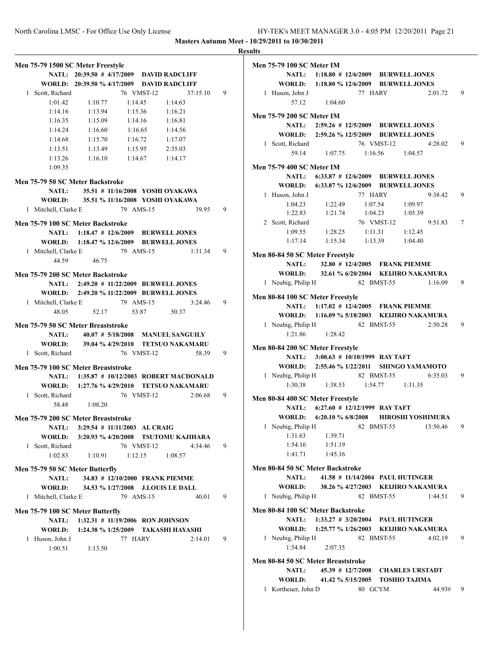|                                     |                                             |           |            |                     |          |   | <b>Results</b> |
|-------------------------------------|---------------------------------------------|-----------|------------|---------------------|----------|---|----------------|
| Men 75-79 1500 SC Meter Freestyle   |                                             |           |            |                     |          |   | Me             |
|                                     | NATL: 20:39.50 # 4/17/2009 DAVID RADCLIFF   |           |            |                     |          |   |                |
|                                     | WORLD: 20:39.50 % 4/17/2009 DAVID RADCLIFF  |           |            |                     |          |   |                |
| 1 Scott, Richard                    |                                             |           | 76 VMST-12 |                     | 37:15.10 | 9 |                |
| 1:01.42                             | 1:10.77                                     | 1:14.45   |            | 1:14.63             |          |   |                |
| 1:14.16                             | $1:13.94$ $1:15.36$ $1:16.21$               |           |            |                     |          |   | Me             |
| 1:16.35                             | $1:15.09$ $1:14.16$ $1:16.81$               |           |            |                     |          |   |                |
|                                     | $1:14.24$ $1:16.60$                         |           |            | $1:16.65$ $1:14.56$ |          |   |                |
|                                     | 1:14.68 1:15.70                             |           |            | $1:16.72$ $1:17.07$ |          |   |                |
|                                     | 1:13.51   1:13.49   1:15.95   2:35.03       |           |            |                     |          |   |                |
|                                     | 1:13.26 1:16.10 1:14.67 1:14.17             |           |            |                     |          |   | Me             |
| 1:09.35                             |                                             |           |            |                     |          |   |                |
| Men 75-79 50 SC Meter Backstroke    |                                             |           |            |                     |          |   |                |
|                                     | NATL: 35.51 # 11/16/2008 YOSHI OYAKAWA      |           |            |                     |          |   |                |
|                                     | WORLD: 35.51 % 11/16/2008 YOSHI OYAKAWA     |           |            |                     |          |   |                |
| 1 Mitchell, Clarke E                | 79 AMS-15                                   |           |            |                     | 39.95    | 9 |                |
| Men 75-79 100 SC Meter Backstroke   |                                             |           |            |                     |          |   |                |
|                                     | NATL: 1:18.47 # 12/6/2009 BURWELL JONES     |           |            |                     |          |   |                |
|                                     | WORLD: 1:18.47 % 12/6/2009 BURWELL JONES    |           |            |                     |          |   |                |
| 1 Mitchell, Clarke E 79 AMS-15      |                                             |           |            |                     | 1:31.34  | 9 |                |
| 44.59                               | 46.75                                       |           |            |                     |          |   | Me             |
|                                     |                                             |           |            |                     |          |   |                |
| Men 75-79 200 SC Meter Backstroke   |                                             |           |            |                     |          |   |                |
|                                     | NATL: 2:49.20 # 11/22/2009 BURWELL JONES    |           |            |                     |          |   |                |
|                                     | WORLD: 2:49.20 % 11/22/2009 BURWELL JONES   |           |            |                     |          |   | Me             |
| 1 Mitchell, Clarke E 79 AMS-15      |                                             |           |            |                     | 3:24.46  | 9 |                |
| 48.05                               | 52.17                                       |           | 53.87      | 50.37               |          |   |                |
| Men 75-79 50 SC Meter Breaststroke  |                                             |           |            |                     |          |   |                |
| <b>NATL:</b>                        | 40.07 # 5/18/2008 MANUEL SANGUILY           |           |            |                     |          |   |                |
| WORLD:                              | 39.04 % 4/29/2010 TETSUO NAKAMARU           |           |            |                     |          |   | Me             |
| 1 Scott, Richard                    |                                             |           | 76 VMST-12 |                     | 58.39    | 9 |                |
| Men 75-79 100 SC Meter Breaststroke |                                             |           |            |                     |          |   |                |
|                                     | NATL: 1:35.87 # 10/12/2003 ROBERT MACDONALD |           |            |                     |          |   |                |
|                                     | WORLD: 1:27.76 % 4/29/2010 TETSUO NAKAMARU  |           |            |                     |          |   |                |
| 1 Scott, Richard                    |                                             |           | 76 VMST-12 |                     | 2:06.68  | 9 |                |
| 58.48                               | 1:08.20                                     |           |            |                     |          |   | Me             |
|                                     |                                             |           |            |                     |          |   |                |
| Men 75-79 200 SC Meter Breaststroke |                                             |           |            |                     |          |   |                |
| <b>NATL:</b>                        | 3:29.54 # 11/11/2003 AL CRAIG               |           |            |                     |          |   |                |
|                                     | WORLD: 3:20.93 % 4/20/2008 TSUTOMU KAJIHARA |           |            |                     |          |   |                |
| 1 Scott, Richard                    |                                             |           | 76 VMST-12 |                     | 4:34.46  | 9 |                |
| 1:02.83                             | 1:10.91                                     |           |            | $1:12.15$ $1:08.57$ |          |   |                |
| Men 75-79 50 SC Meter Butterfly     |                                             |           |            |                     |          |   | Me             |
| <b>NATL:</b>                        | 34.83 # 12/10/2000 FRANK PIEMME             |           |            |                     |          |   |                |
| WORLD:                              | 34.53 % 1/27/2008 J.LOUIS LE DALL           |           |            |                     |          |   |                |
| 1 Mitchell, Clarke E                |                                             | 79 AMS-15 |            |                     | 40.01    | 9 |                |
|                                     |                                             |           |            |                     |          |   | Me             |
| Men 75-79 100 SC Meter Butterfly    | NATL: 1:32.31 # 11/19/2006 RON JOHNSON      |           |            |                     |          |   |                |
|                                     | WORLD: 1:24.38 % 1/25/2009 TAKASHI HAYASHI  |           |            |                     |          |   |                |
| 1 Huson, John J                     |                                             | 77 HARY   |            |                     | 2:14.01  | 9 |                |
|                                     | $1:00.51$ $1:13.50$                         |           |            |                     |          |   |                |
|                                     |                                             |           |            |                     |          |   |                |
|                                     |                                             |           |            |                     |          |   | Me             |
|                                     |                                             |           |            |                     |          |   |                |
|                                     |                                             |           |            |                     |          |   |                |

| . |                                         |                                                    |            |            |                                             |   |
|---|-----------------------------------------|----------------------------------------------------|------------|------------|---------------------------------------------|---|
|   | <b>Men 75-79 100 SC Meter IM</b>        |                                                    |            |            |                                             |   |
|   |                                         | NATL: 1:18.80 # 12/6/2009 BURWELL JONES            |            |            |                                             |   |
|   |                                         | WORLD: 1:18.80 % 12/6/2009 BURWELL JONES           |            |            |                                             |   |
|   | 1 Huson, John J                         |                                                    | 77 HARY    |            | 2:01.72                                     | 9 |
|   |                                         | 57.12 1:04.60                                      |            |            |                                             |   |
|   | <b>Men 75-79 200 SC Meter IM</b>        |                                                    |            |            |                                             |   |
|   |                                         | NATL: 2:59.26 # 12/5/2009 BURWELL JONES            |            |            |                                             |   |
|   |                                         | WORLD: 2:59.26 % 12/5/2009 BURWELL JONES           |            |            |                                             |   |
|   | 1 Scott, Richard                        |                                                    |            | 76 VMST-12 | 4:28.02                                     | 9 |
|   |                                         | 59.14 1:07.75 1:16.56 1:04.57                      |            |            |                                             |   |
|   | <b>Men 75-79 400 SC Meter IM</b>        |                                                    |            |            |                                             |   |
|   |                                         | NATL: 6:33.87 # 12/6/2009 BURWELL JONES            |            |            |                                             |   |
|   |                                         | WORLD: 6:33.87 % 12/6/2009 BURWELL JONES           |            |            |                                             |   |
|   | 1 Huson, John J                         |                                                    | 77 HARY    |            | 9:38.42                                     | 9 |
|   |                                         |                                                    |            |            |                                             |   |
|   | 1:22.83                                 | 1:04.23 1:22.49 1:07.54 1:09.97<br>1:21.74 1:04.23 |            |            |                                             |   |
|   | 2 Scott, Richard                        |                                                    |            |            | $1.04.23$ 1:05.39<br>76 VMST-12<br>9:51.83  | 7 |
|   | 1:09.55                                 | 1:28.25                                            |            |            | $1:11.31$ $1:12.45$                         |   |
|   |                                         | 1:17.14 1:15.34 1:13.39 1:04.40                    |            |            |                                             |   |
|   |                                         |                                                    |            |            |                                             |   |
|   | Men 80-84 50 SC Meter Freestyle         | NATL: 32.80 # 12/4/2005 FRANK PIEMME               |            |            |                                             |   |
|   |                                         |                                                    |            |            | WORLD: 32.61 % 6/20/2004 KEIJIRO NAKAMURA   |   |
|   | 1 Neubig, Philip H                      |                                                    |            | 82 BMST-55 | 1:16.09                                     | 9 |
|   |                                         |                                                    |            |            |                                             |   |
|   | Men 80-84 100 SC Meter Freestyle        | NATL: 1:17.02 # 12/4/2005 FRANK PIEMME             |            |            |                                             |   |
|   |                                         |                                                    |            |            | WORLD: 1:16.09 % 5/18/2003 KEIJIRO NAKAMURA |   |
|   |                                         |                                                    |            |            | 2:50.28                                     | 9 |
|   | 1 Neubig, Philip H 82 BMST-55           | $1:21.86$ $1:28.42$                                |            |            |                                             |   |
|   |                                         |                                                    |            |            |                                             |   |
|   | Men 80-84 200 SC Meter Freestyle        |                                                    |            |            |                                             |   |
|   |                                         | NATL: 3:00.63 # 10/10/1999 RAY TAFT                |            |            |                                             |   |
|   |                                         |                                                    |            |            | WORLD: 2:55.46 % 1/22/2011 SHINGO YAMAMOTO  |   |
|   |                                         | 1:30.38 1:38.53 1:54.77 1:31.35                    |            |            | 1 Neubig, Philip H 82 BMST-55 6:35.03       | 9 |
|   |                                         |                                                    |            |            |                                             |   |
|   | Men 80-84 400 SC Meter Freestyle        |                                                    |            |            |                                             |   |
|   |                                         | NATL: 6:27.60 # 12/12/1999 RAY TAFT                |            |            |                                             |   |
|   |                                         |                                                    |            |            | WORLD: 6:20.10 % 6/8/2008 HIROSHI YOSHIMURA |   |
|   | 1 Neubig, Philip H                      |                                                    |            | 82 BMST-55 | 13:50.46                                    | 9 |
|   | 1:31.63                                 | 1:39.71                                            |            |            |                                             |   |
|   | 1:54.16                                 | 1:51.19                                            |            |            |                                             |   |
|   |                                         | $1:41.71$ $1:45.16$                                |            |            |                                             |   |
|   | <b>Men 80-84 50 SC Meter Backstroke</b> |                                                    |            |            |                                             |   |
|   | <b>NATL:</b>                            |                                                    |            |            | 41.58 # 11/14/2004 PAUL HUTINGER            |   |
|   | WORLD:                                  |                                                    |            |            | 38.26 % 4/27/2003 KEIJIRO NAKAMURA          |   |
|   | 1 Neubig, Philip H                      |                                                    |            | 82 BMST-55 | 1:44.51                                     | 9 |
|   | Men 80-84 100 SC Meter Backstroke       |                                                    |            |            |                                             |   |
|   |                                         | NATL: 1:33.27 # 3/20/2004 PAUL HUTINGER            |            |            |                                             |   |
|   |                                         |                                                    |            |            | WORLD: 1:25.77 % 1/26/2003 KEIJIRO NAKAMURA |   |
|   | 1 Neubig, Philip H                      |                                                    | 82 BMST-55 |            | 4:02.19                                     | 9 |
|   | 1:54.84                                 | 2:07.35                                            |            |            |                                             |   |
|   | Men 80-84 50 SC Meter Breaststroke      |                                                    |            |            |                                             |   |
|   | <b>NATL:</b>                            |                                                    |            |            | 45.39 # 12/7/2008 CHARLES URSTADT           |   |
|   | <b>WORLD:</b>                           | 41.42 % 5/15/2005 TOSHIO TAJIMA                    |            |            |                                             |   |
|   | 1 Kortheuer, John D 80 GCYM             |                                                    |            |            | 44.93#                                      | 9 |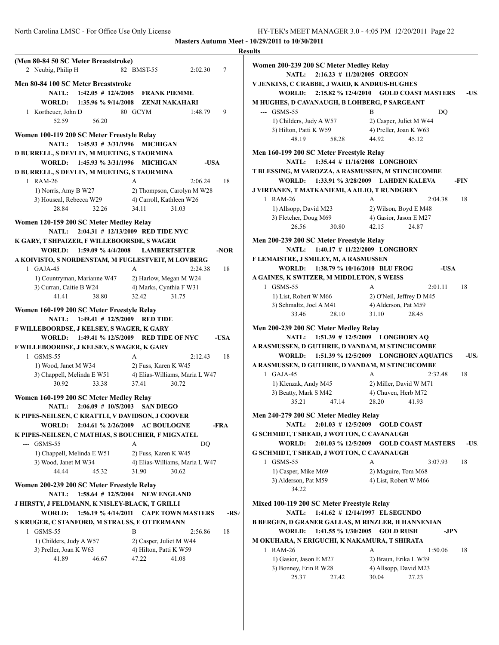|                                                                                       |                                                        |               | <b>Results</b>          |
|---------------------------------------------------------------------------------------|--------------------------------------------------------|---------------|-------------------------|
| (Men 80-84 50 SC Meter Breaststroke)                                                  |                                                        |               | Wor                     |
| 2 Neubig, Philip H                                                                    | 82 BMST-55                                             | 2:02.30<br>7  |                         |
| Men 80-84 100 SC Meter Breaststroke                                                   |                                                        |               | V JE                    |
| <b>NATL:</b>                                                                          | 1:42.05 # 12/4/2005 FRANK PIEMME                       |               |                         |
| <b>WORLD:</b>                                                                         | 1:35.96 % 9/14/2008  ZENJI NAKAHARI                    |               | МН                      |
| 1 Kortheuer, John D                                                                   | 80 GCYM                                                | 1:48.79<br>9  |                         |
| 52.59<br>56.20                                                                        |                                                        |               |                         |
| Women 100-119 200 SC Meter Freestyle Relay                                            |                                                        |               |                         |
| $1:45.93 \# 3/31/1996$<br><b>NATL:</b>                                                | <b>MICHIGAN</b>                                        |               |                         |
| D BURRELL, S DEVLIN, M MUETING, S TAORMINA                                            |                                                        |               | Mer                     |
| WORLD: 1:45.93 % 3/31/1996 MICHIGAN                                                   |                                                        | $-IISA$       |                         |
| D BURRELL, S DEVLIN, M MUETING, S TAORMINA                                            |                                                        |               | T BI                    |
| 1 RAM-26                                                                              | $\mathsf{A}$                                           | 2:06.24<br>18 |                         |
| 1) Norris, Amy B W27                                                                  | 2) Thompson, Carolyn M W28<br>4) Carroll, Kathleen W26 |               | J VI                    |
| 3) Houseal, Rebecca W29<br>28.84<br>32.26                                             | 34.11<br>31.03                                         |               |                         |
|                                                                                       |                                                        |               |                         |
| Women 120-159 200 SC Meter Medley Relay                                               |                                                        |               |                         |
| <b>NATL:</b>                                                                          | 2:04.31 # 12/13/2009 RED TIDE NYC                      |               |                         |
| K GARY, T SHPAIZER, F WILLEBOORSDE, S WAGER<br>WORLD: 1:59.09 % 4/4/2008 LAMBERTSETER |                                                        |               | Mer                     |
| A KOIVISTO, S NORDENSTAM, M FUGLESTVEIT, M LOVBERG                                    |                                                        | -NOR          | F LI                    |
| $1$ GAJA-45                                                                           | $\mathsf{A}$                                           | 2:24.38<br>18 |                         |
| 1) Countryman, Marianne W47                                                           | 2) Harlow, Megan M W24                                 |               | A G                     |
| 3) Curran, Caitie B W24                                                               | 4) Marks, Cynthia F W31                                |               |                         |
| 41.41<br>38.80                                                                        | 32.42<br>31.75                                         |               |                         |
| Women 160-199 200 SC Meter Freestyle Relay                                            |                                                        |               |                         |
| <b>NATL:</b>                                                                          | $1:49.41$ # $12/5/2009$ RED TIDE                       |               |                         |
| F WILLEBOORDSE, J KELSEY, S WAGER, K GARY                                             |                                                        |               | Mer                     |
| <b>WORLD:</b>                                                                         | 1:49.41 % 12/5/2009 RED TIDE OF NYC                    | -USA          |                         |
| F WILLEBOORDSE, J KELSEY, S WAGER, K GARY                                             |                                                        |               | $\bf{A}$ R              |
| 1 GSMS-55                                                                             | A                                                      | 2:12.43<br>18 |                         |
| 1) Wood, Janet M W34                                                                  | 2) Fuss, Karen K W45                                   |               | $\mathbf{A} \mathbf{R}$ |
| 3) Chappell, Melinda E W51                                                            | 4) Elias-Williams, Maria L W47                         |               |                         |
| 30.92<br>33.38                                                                        | 30.72<br>37.41                                         |               |                         |
| Women 160-199 200 SC Meter Medley Relay                                               |                                                        |               |                         |
| <b>NATL:</b>                                                                          | 2:06.09 # 10/5/2003 SAN DIEGO                          |               |                         |
| K PIPES-NEILSEN, C KRATTLI, V DAVIDSON, J COOVER                                      |                                                        |               | Mer                     |
| 2:04.61 % 2/26/2009<br><b>WORLD:</b>                                                  | <b>AC BOULOGNE</b>                                     | -FRA          |                         |
| K PIPES-NEILSEN, C MATHIAS, S BOUCHIER, F MIGNATEL                                    |                                                        |               | G S                     |
| --- GSMS-55<br>1) Chappell, Melinda E W51                                             | A<br>2) Fuss, Karen K W45                              | DQ            | G S                     |
| 3) Wood, Janet M W34                                                                  | 4) Elias-Williams, Maria L W47                         |               |                         |
| 44.44<br>45.32                                                                        | 30.62<br>31.90                                         |               |                         |
|                                                                                       |                                                        |               |                         |
| Women 200-239 200 SC Meter Freestyle Relay                                            |                                                        |               |                         |
| <b>NATL:</b><br>1:58.64 # 12/5/2004<br>J HIRSTY, J FELDMANN, K NISLEY-BLACK, T GRILLI | <b>NEW ENGLAND</b>                                     |               | Mix                     |
| <b>WORLD:</b><br>1:56.19 % 4/14/2011                                                  | <b>CAPE TOWN MASTERS</b>                               |               | $-RS/$                  |
| S KRUGER, C STANFORD, M STRAUSS, E OTTERMANN                                          |                                                        |               | <b>B</b> B              |
| GSMS-55<br>$\mathbf{1}$                                                               | B                                                      | 2:56.86<br>18 |                         |
| 1) Childers, Judy A W57                                                               | 2) Casper, Juliet M W44                                |               | M <sub>0</sub>          |
| 3) Preller, Joan K W63                                                                | 4) Hilton, Patti K W59                                 |               |                         |
| 41.89<br>46.67                                                                        | 47.22<br>41.08                                         |               |                         |
|                                                                                       |                                                        |               |                         |

| Women 200-239 200 SC Meter Medley Relay<br>$2:16.23 \# 11/20/2005$ OREGON<br><b>NATL:</b> |                                                |      |
|-------------------------------------------------------------------------------------------|------------------------------------------------|------|
| V JENKINS, C CRABBE, J WARD, K ANDRUS-HUGHES                                              |                                                |      |
| 2:15.82 % 12/4/2010<br><b>WORLD:</b>                                                      | <b>GOLD COAST MASTERS</b>                      | -US. |
| M HUGHES, D CAVANAUGH, B LOHBERG, P SARGEANT                                              |                                                |      |
| --- GSMS-55                                                                               | B<br>DQ                                        |      |
| 1) Childers, Judy A W57                                                                   | 2) Casper, Juliet M W44                        |      |
| 3) Hilton, Patti K W59                                                                    | 4) Preller, Joan K W63                         |      |
| 48.19<br>58.28                                                                            | 44.92<br>45.12                                 |      |
| Men 160-199 200 SC Meter Freestyle Relay<br><b>NATL:</b>                                  | 1:35.44 # 11/16/2008 LONGHORN                  |      |
| T BLESSING, M VAROZZA, A RASMUSSEN, M STINCHCOMBE                                         |                                                |      |
| WORLD:                                                                                    | 1:33.91 % 3/28/2009 LAHDEN KALEVA              | -FIN |
| J VIRTANEN, T MATKANIEMI, A AILIO, T RUNDGREN                                             |                                                |      |
| 1 RAM-26                                                                                  | A<br>2:04.38                                   | 18   |
| 1) Allsopp, David M23                                                                     | 2) Wilson, Boyd E M48                          |      |
| 3) Fletcher, Doug M69                                                                     | 4) Gasior, Jason E M27                         |      |
| 26.56<br>30.80                                                                            | 42.15<br>24.87                                 |      |
| Men 200-239 200 SC Meter Freestyle Relay                                                  |                                                |      |
| NATL:                                                                                     | $1:40.17$ # $11/22/2009$ LONGHORN              |      |
| F LEMAISTRE, J SMILEY, M, A RASMUSSEN                                                     |                                                |      |
| 1:38.79 % 10/16/2010 BLU FROG<br><b>WORLD:</b>                                            | -USA                                           |      |
| A GAINES, K SWITZER, M MIDDLETON, S WEISS                                                 |                                                |      |
| 1 GSMS-55                                                                                 | A<br>2:01.11                                   | 18   |
| 1) List, Robert W M66                                                                     | 2) O'Neil, Jeffrey D M45                       |      |
| 3) Schmaltz, Joel A M41                                                                   | 4) Alderson, Pat M59                           |      |
| 33.46<br>28.10                                                                            | 31.10<br>28.45                                 |      |
| Men 200-239 200 SC Meter Medley Relay                                                     |                                                |      |
| $1:51.39$ # $12/5/2009$<br>NATL:                                                          | <b>LONGHORN AQ</b>                             |      |
| A RASMUSSEN, D GUTHRIE, D VANDAM, M STINCHCOMBE                                           |                                                |      |
| <b>WORLD:</b>                                                                             | 1:51.39 % 12/5/2009 LONGHORN AQUATICS          | -US. |
| A RASMUSSEN, D GUTHRIE, D VANDAM, M STINCHCOMBE                                           |                                                |      |
| $1$ GAJA-45                                                                               | A<br>2:32.48                                   | 18   |
| 1) Klenzak, Andy M45                                                                      | 2) Miller, David W M71                         |      |
| 3) Beatty, Mark S M42                                                                     | 4) Chuven, Herb M72                            |      |
| 35.21<br>47.14                                                                            | 28.20<br>41.93                                 |      |
| Men 240-279 200 SC Meter Medley Relay                                                     |                                                |      |
| <b>NATL:</b><br>$2:01.03 \# 12/5/2009$                                                    | <b>GOLD COAST</b>                              |      |
| G SCHMIDT, T SHEAD, J WOTTON, C CAVANAUGH                                                 |                                                |      |
| <b>WORLD:</b><br>2:01.03 % 12/5/2009                                                      | <b>GOLD COAST MASTERS</b>                      | -US. |
|                                                                                           |                                                |      |
|                                                                                           |                                                |      |
| G SCHMIDT, T SHEAD, J WOTTON, C CAVANAUGH                                                 |                                                |      |
| 1 GSMS-55                                                                                 | А<br>3:07.93                                   | 18   |
| 1) Casper, Mike M69                                                                       | 2) Maguire, Tom M68                            |      |
| 3) Alderson, Pat M59<br>34.22                                                             | 4) List, Robert W M66                          |      |
|                                                                                           |                                                |      |
| Mixed 100-119 200 SC Meter Freestyle Relay                                                |                                                |      |
| <b>NATL:</b>                                                                              | 1:41.62 # 12/14/1997 EL SEGUNDO                |      |
| <b>B BERGEN, D GRANER GALLAS, M RINZLER, H HANNENIAN</b>                                  |                                                |      |
| WORLD:<br>1:41.55 % 1/30/2005                                                             | <b>GOLD RUSH</b><br>-JPN                       |      |
| M OKUHARA, N ERIGUCHI, K NAKAMURA, T SHIRATA                                              |                                                |      |
| 1 RAM-26                                                                                  | А<br>1:50.06                                   | 18   |
| 1) Gasior, Jason E M27<br>3) Bonney, Erin R W28                                           | 2) Braun, Erika L W39<br>4) Allsopp, David M23 |      |